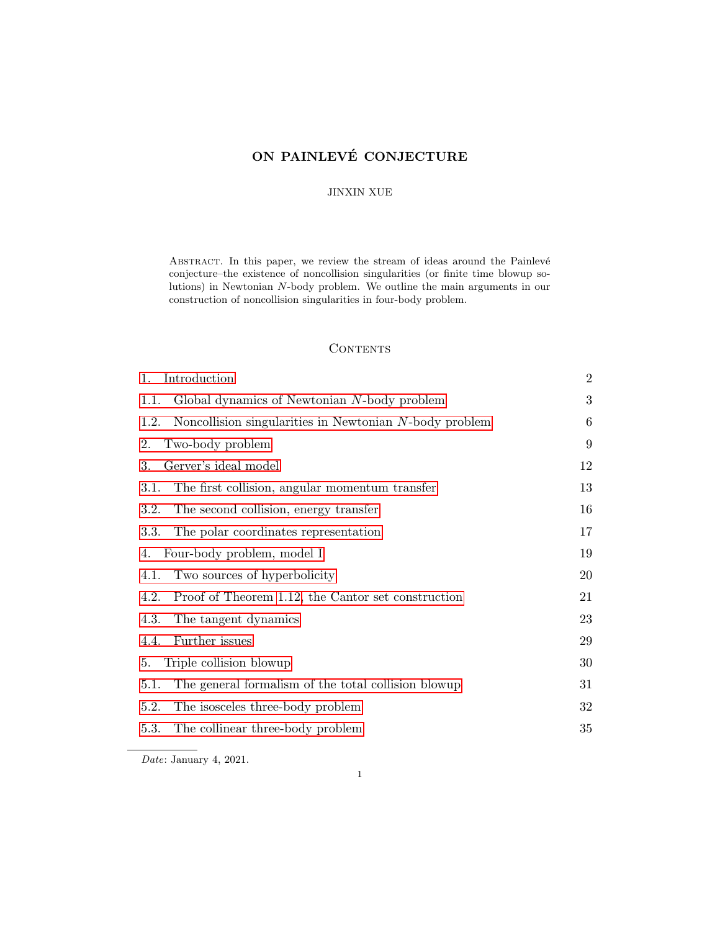# <span id="page-0-0"></span>ON PAINLEVÉ CONJECTURE

### JINXIN XUE

ABSTRACT. In this paper, we review the stream of ideas around the Painlevé conjecture–the existence of noncollision singularities (or finite time blowup solutions) in Newtonian N-body problem. We outline the main arguments in our construction of noncollision singularities in four-body problem.

### **CONTENTS**

| Introduction<br>1.                                             | $\overline{2}$ |
|----------------------------------------------------------------|----------------|
| Global dynamics of Newtonian N-body problem<br>1.1.            | 3              |
| Noncollision singularities in Newtonian N-body problem<br>1.2. | 6              |
| Two-body problem<br>2.                                         | 9              |
| Gerver's ideal model<br>3.                                     | 12             |
| The first collision, angular momentum transfer<br>3.1.         | 13             |
| 3.2.<br>The second collision, energy transfer                  | 16             |
| The polar coordinates representation<br>3.3.                   | 17             |
| Four-body problem, model I<br>4.                               | 19             |
| Two sources of hyperbolicity<br>4.1.                           | 20             |
| Proof of Theorem 1.12, the Cantor set construction<br>4.2.     | 21             |
| 4.3.<br>The tangent dynamics                                   | 23             |
| Further issues<br>4.4.                                         | 29             |
| Triple collision blowup<br>5.                                  | 30             |
| The general formalism of the total collision blowup<br>5.1.    | 31             |
| The isosceles three-body problem<br>5.2.                       | 32             |
| 5.3.<br>The collinear three-body problem                       | 35             |
|                                                                |                |

Date: January 4, 2021.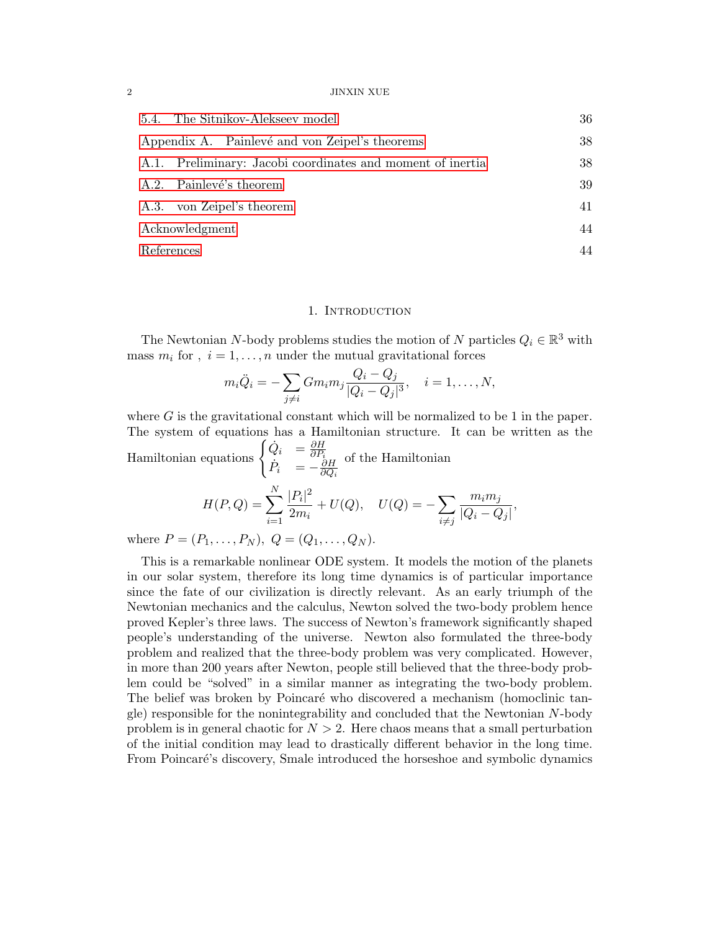#### $2$   $\,$  JINXIN XUE  $\,$

| 5.4. The Sitnikov-Alekseev model                           | 36 |
|------------------------------------------------------------|----|
| Appendix A. Painlevé and von Zeipel's theorems             | 38 |
| A.1. Preliminary: Jacobi coordinates and moment of inertia | 38 |
| A.2. Painlevé's theorem                                    | 39 |
| A.3. von Zeipel's theorem                                  | 41 |
| Acknowledgment                                             | 44 |
| References                                                 | 44 |

### 1. INTRODUCTION

<span id="page-1-0"></span>The Newtonian N-body problems studies the motion of N particles  $Q_i \in \mathbb{R}^3$  with mass  $m_i$  for,  $i = 1, ..., n$  under the mutual gravitational forces

$$
m_i \ddot{Q}_i = -\sum_{j \neq i} Gm_i m_j \frac{Q_i - Q_j}{|Q_i - Q_j|^3}, \quad i = 1, \dots, N,
$$

where  $G$  is the gravitational constant which will be normalized to be 1 in the paper. The system of equations has a Hamiltonian structure. It can be written as the Hamiltonian equations  $\begin{cases} \dot{Q}_i = \frac{\partial H}{\partial P_i} \end{cases}$  $\dot{P}_i$  =  $-\frac{\partial H}{\partial Q_i}$  $\overline{\partial Q_i}$ of the Hamiltonian  $H(P,Q) = \sum$ N  $i=1$  $|P_i|^2$  $\frac{d^{[F_i]}(T_i)}{2m_i} + U(Q), \quad U(Q) = -\sum_{i \neq j}$  $i \neq j$  $m_i m_j$  $\frac{m_i m_j}{|Q_i - Q_j|},$ 

where  $P = (P_1, \ldots, P_N), Q = (Q_1, \ldots, Q_N).$ 

This is a remarkable nonlinear ODE system. It models the motion of the planets in our solar system, therefore its long time dynamics is of particular importance since the fate of our civilization is directly relevant. As an early triumph of the Newtonian mechanics and the calculus, Newton solved the two-body problem hence proved Kepler's three laws. The success of Newton's framework significantly shaped people's understanding of the universe. Newton also formulated the three-body problem and realized that the three-body problem was very complicated. However, in more than 200 years after Newton, people still believed that the three-body problem could be "solved" in a similar manner as integrating the two-body problem. The belief was broken by Poincaré who discovered a mechanism (homoclinic tangle) responsible for the nonintegrability and concluded that the Newtonian N-body problem is in general chaotic for  $N > 2$ . Here chaos means that a small perturbation of the initial condition may lead to drastically different behavior in the long time. From Poincaré's discovery, Smale introduced the horseshoe and symbolic dynamics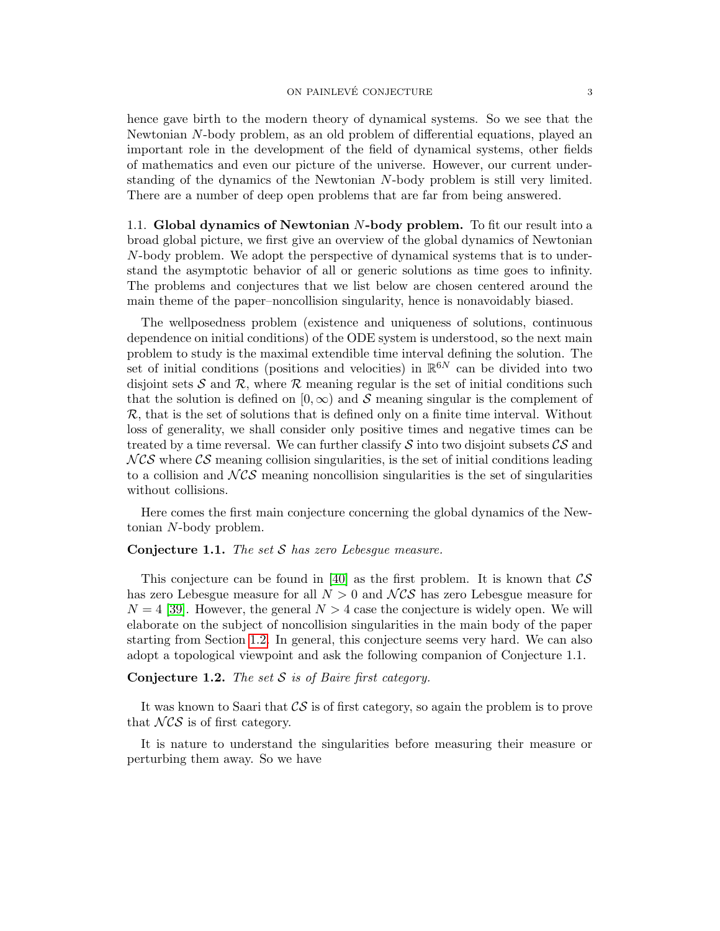### ON PAINLEVÉ CONJECTURE  $\overline{3}$

hence gave birth to the modern theory of dynamical systems. So we see that the Newtonian N-body problem, as an old problem of differential equations, played an important role in the development of the field of dynamical systems, other fields of mathematics and even our picture of the universe. However, our current understanding of the dynamics of the Newtonian N-body problem is still very limited. There are a number of deep open problems that are far from being answered.

<span id="page-2-0"></span>1.1. Global dynamics of Newtonian N-body problem. To fit our result into a broad global picture, we first give an overview of the global dynamics of Newtonian N-body problem. We adopt the perspective of dynamical systems that is to understand the asymptotic behavior of all or generic solutions as time goes to infinity. The problems and conjectures that we list below are chosen centered around the main theme of the paper–noncollision singularity, hence is nonavoidably biased.

The wellposedness problem (existence and uniqueness of solutions, continuous dependence on initial conditions) of the ODE system is understood, so the next main problem to study is the maximal extendible time interval defining the solution. The set of initial conditions (positions and velocities) in  $\mathbb{R}^{6N}$  can be divided into two disjoint sets S and R, where R meaning regular is the set of initial conditions such that the solution is defined on  $[0, \infty)$  and S meaning singular is the complement of  $\mathcal{R}$ , that is the set of solutions that is defined only on a finite time interval. Without loss of generality, we shall consider only positive times and negative times can be treated by a time reversal. We can further classify  $\mathcal S$  into two disjoint subsets  $\mathcal{CS}$  and  $NCS$  where  $CS$  meaning collision singularities, is the set of initial conditions leading to a collision and  $NCS$  meaning noncollision singularities is the set of singularities without collisions.

Here comes the first main conjecture concerning the global dynamics of the Newtonian N-body problem.

# <span id="page-2-1"></span>**Conjecture 1.1.** The set  $S$  has zero Lebesque measure.

This conjecture can be found in [\[40\]](#page-45-0) as the first problem. It is known that  $\mathcal{CS}$ has zero Lebesgue measure for all  $N > 0$  and  $NCS$  has zero Lebesgue measure for  $N = 4$  [\[39\]](#page-45-1). However, the general  $N > 4$  case the conjecture is widely open. We will elaborate on the subject of noncollision singularities in the main body of the paper starting from Section [1.2.](#page-5-0) In general, this conjecture seems very hard. We can also adopt a topological viewpoint and ask the following companion of Conjecture 1.1.

<span id="page-2-2"></span>**Conjecture 1.2.** The set  $S$  is of Baire first category.

It was known to Saari that  $\mathcal{CS}$  is of first category, so again the problem is to prove that  $NCS$  is of first category.

It is nature to understand the singularities before measuring their measure or perturbing them away. So we have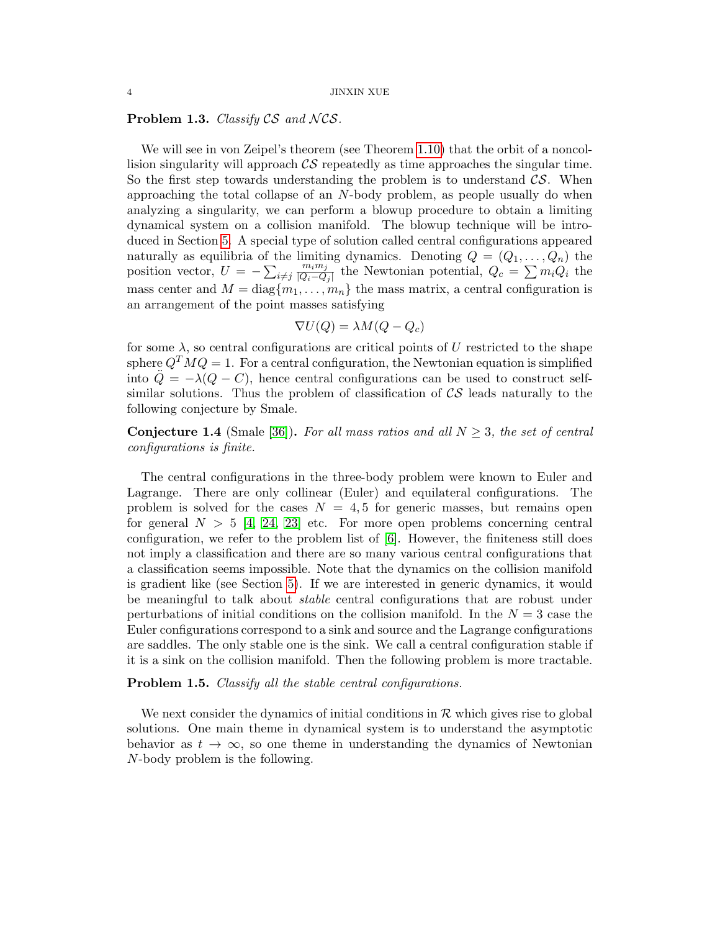### **Problem 1.3.** Classify  $CS$  and  $NCS$ .

We will see in von Zeipel's theorem (see Theorem [1.10\)](#page-5-1) that the orbit of a noncollision singularity will approach  $\mathcal{CS}$  repeatedly as time approaches the singular time. So the first step towards understanding the problem is to understand  $\mathcal{CS}$ . When approaching the total collapse of an  $N$ -body problem, as people usually do when analyzing a singularity, we can perform a blowup procedure to obtain a limiting dynamical system on a collision manifold. The blowup technique will be introduced in Section [5.](#page-29-0) A special type of solution called central configurations appeared naturally as equilibria of the limiting dynamics. Denoting  $Q = (Q_1, \ldots, Q_n)$  the position vector,  $U = -\sum_{i \neq j}$  $m_i m_j$  $\frac{m_i m_j}{|Q_i - Q_j|}$  the Newtonian potential,  $Q_c = \sum m_i Q_i$  the mass center and  $M = diag{m_1, ..., m_n}$  the mass matrix, a central configuration is an arrangement of the point masses satisfying

$$
\nabla U(Q) = \lambda M(Q - Q_c)
$$

for some  $\lambda$ , so central configurations are critical points of U restricted to the shape sphere  $Q^T M Q = 1$ . For a central configuration, the Newtonian equation is simplified into  $\ddot{Q} = -\lambda(Q - C)$ , hence central configurations can be used to construct selfsimilar solutions. Thus the problem of classification of  $\mathcal{CS}$  leads naturally to the following conjecture by Smale.

**Conjecture 1.4** (Smale [\[36\]](#page-45-2)). For all mass ratios and all  $N \geq 3$ , the set of central configurations is finite.

The central configurations in the three-body problem were known to Euler and Lagrange. There are only collinear (Euler) and equilateral configurations. The problem is solved for the cases  $N = 4, 5$  for generic masses, but remains open for general  $N > 5$  [\[4,](#page-43-2) [24,](#page-44-0) [23\]](#page-44-1) etc. For more open problems concerning central configuration, we refer to the problem list of [\[6\]](#page-43-3). However, the finiteness still does not imply a classification and there are so many various central configurations that a classification seems impossible. Note that the dynamics on the collision manifold is gradient like (see Section [5\)](#page-29-0). If we are interested in generic dynamics, it would be meaningful to talk about *stable* central configurations that are robust under perturbations of initial conditions on the collision manifold. In the  $N = 3$  case the Euler configurations correspond to a sink and source and the Lagrange configurations are saddles. The only stable one is the sink. We call a central configuration stable if it is a sink on the collision manifold. Then the following problem is more tractable.

Problem 1.5. Classify all the stable central configurations.

We next consider the dynamics of initial conditions in  $\mathcal R$  which gives rise to global solutions. One main theme in dynamical system is to understand the asymptotic behavior as  $t \to \infty$ , so one theme in understanding the dynamics of Newtonian N-body problem is the following.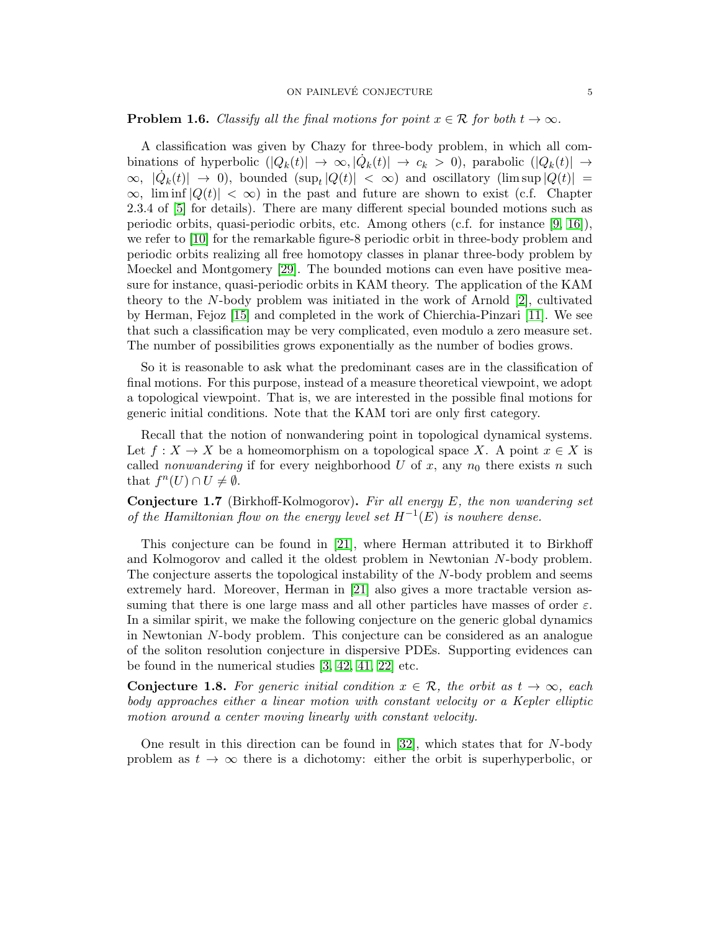### ON PAINLEVÉ CONJECTURE  $\hspace{1.5cm}5$

### **Problem 1.6.** Classify all the final motions for point  $x \in \mathcal{R}$  for both  $t \to \infty$ .

A classification was given by Chazy for three-body problem, in which all combinations of hyperbolic  $(|Q_k(t)| \to \infty, |\dot{Q}_k(t)| \to c_k > 0)$ , parabolic  $(|Q_k(t)| \to \infty)$  $\infty$ ,  $|\dot{Q}_k(t)|$  → 0), bounded  $(\sup_t |Q(t)| < \infty)$  and oscillatory  $(\limsup_l |Q(t)| =$  $\infty$ , lim inf  $|Q(t)| < \infty$ ) in the past and future are shown to exist (c.f. Chapter 2.3.4 of [\[5\]](#page-43-4) for details). There are many different special bounded motions such as periodic orbits, quasi-periodic orbits, etc. Among others (c.f. for instance [\[9,](#page-43-5) [16\]](#page-44-2)), we refer to [\[10\]](#page-43-6) for the remarkable figure-8 periodic orbit in three-body problem and periodic orbits realizing all free homotopy classes in planar three-body problem by Moeckel and Montgomery [\[29\]](#page-44-3). The bounded motions can even have positive measure for instance, quasi-periodic orbits in KAM theory. The application of the KAM theory to the N-body problem was initiated in the work of Arnold [\[2\]](#page-43-7), cultivated by Herman, Fejoz [\[15\]](#page-44-4) and completed in the work of Chierchia-Pinzari [\[11\]](#page-43-8). We see that such a classification may be very complicated, even modulo a zero measure set. The number of possibilities grows exponentially as the number of bodies grows.

So it is reasonable to ask what the predominant cases are in the classification of final motions. For this purpose, instead of a measure theoretical viewpoint, we adopt a topological viewpoint. That is, we are interested in the possible final motions for generic initial conditions. Note that the KAM tori are only first category.

Recall that the notion of nonwandering point in topological dynamical systems. Let  $f: X \to X$  be a homeomorphism on a topological space X. A point  $x \in X$  is called *nonwandering* if for every neighborhood U of x, any  $n_0$  there exists n such that  $f^n(U) \cap U \neq \emptyset$ .

**Conjecture 1.7** (Birkhoff-Kolmogorov). Fir all energy  $E$ , the non wandering set of the Hamiltonian flow on the energy level set  $H^{-1}(E)$  is nowhere dense.

This conjecture can be found in [\[21\]](#page-44-5), where Herman attributed it to Birkhoff and Kolmogorov and called it the oldest problem in Newtonian N-body problem. The conjecture asserts the topological instability of the N-body problem and seems extremely hard. Moreover, Herman in [\[21\]](#page-44-5) also gives a more tractable version assuming that there is one large mass and all other particles have masses of order  $\varepsilon$ . In a similar spirit, we make the following conjecture on the generic global dynamics in Newtonian N-body problem. This conjecture can be considered as an analogue of the soliton resolution conjecture in dispersive PDEs. Supporting evidences can be found in the numerical studies [\[3,](#page-43-9) [42,](#page-45-3) [41,](#page-45-4) [22\]](#page-44-6) etc.

<span id="page-4-0"></span>**Conjecture 1.8.** For generic initial condition  $x \in \mathcal{R}$ , the orbit as  $t \to \infty$ , each body approaches either a linear motion with constant velocity or a Kepler elliptic motion around a center moving linearly with constant velocity.

One result in this direction can be found in  $[32]$ , which states that for N-body problem as  $t \to \infty$  there is a dichotomy: either the orbit is superhyperbolic, or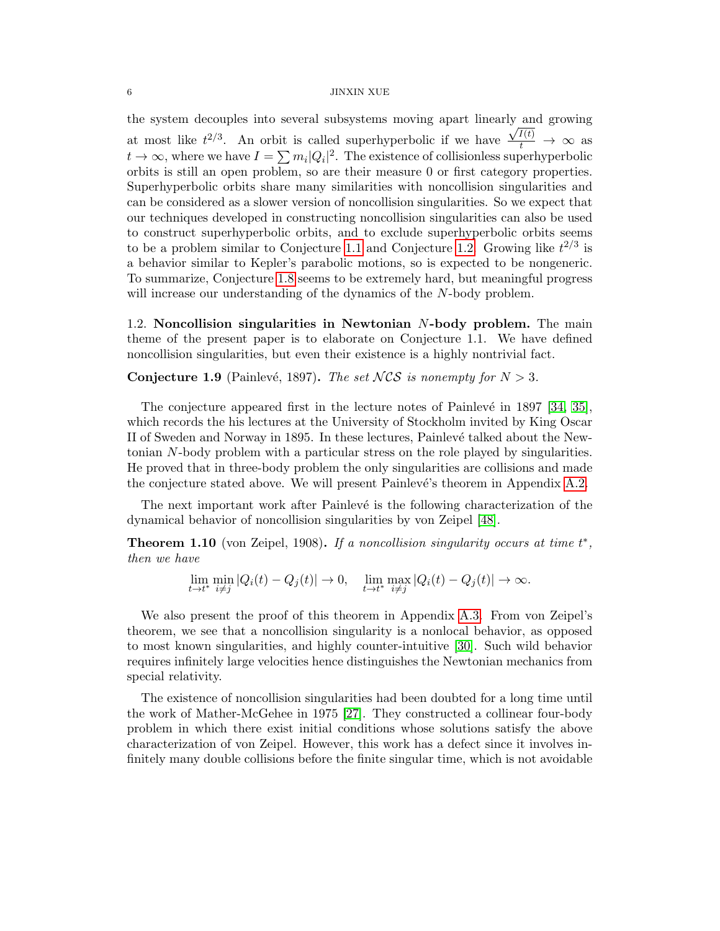#### $6$   $\,$  JINXIN XUE  $\,$

the system decouples into several subsystems moving apart linearly and growing at most like  $t^{2/3}$ . An orbit is called superhyperbolic if we have  $\frac{\sqrt{I(t)}}{t} \to \infty$  as  $t \to \infty$ , where we have  $I = \sum m_i |Q_i|^2$ . The existence of collisionless superhyperbolic orbits is still an open problem, so are their measure 0 or first category properties. Superhyperbolic orbits share many similarities with noncollision singularities and can be considered as a slower version of noncollision singularities. So we expect that our techniques developed in constructing noncollision singularities can also be used to construct superhyperbolic orbits, and to exclude superhyperbolic orbits seems to be a problem similar to Conjecture [1.1](#page-2-1) and Conjecture [1.2.](#page-2-2) Growing like  $t^{2/3}$  is a behavior similar to Kepler's parabolic motions, so is expected to be nongeneric. To summarize, Conjecture [1.8](#page-4-0) seems to be extremely hard, but meaningful progress will increase our understanding of the dynamics of the N-body problem.

<span id="page-5-0"></span>1.2. Noncollision singularities in Newtonian N-body problem. The main theme of the present paper is to elaborate on Conjecture 1.1. We have defined noncollision singularities, but even their existence is a highly nontrivial fact.

**Conjecture 1.9** (Painlevé, 1897). The set NCS is nonempty for  $N > 3$ .

The conjecture appeared first in the lecture notes of Painlevé in  $1897$  [\[34,](#page-44-8) [35\]](#page-44-9), which records the his lectures at the University of Stockholm invited by King Oscar II of Sweden and Norway in 1895. In these lectures, Painlevé talked about the Newtonian N-body problem with a particular stress on the role played by singularities. He proved that in three-body problem the only singularities are collisions and made the conjecture stated above. We will present Painlevé's theorem in Appendix [A.2.](#page-38-0)

The next important work after Painlevé is the following characterization of the dynamical behavior of noncollision singularities by von Zeipel [\[48\]](#page-45-5).

<span id="page-5-1"></span>**Theorem 1.10** (von Zeipel, 1908). If a noncollision singularity occurs at time  $t^*$ , then we have

 $\lim_{t \to t^*} \min_{i \neq j} |Q_i(t) - Q_j(t)| \to 0, \quad \lim_{t \to t^*} \max_{i \neq j} |Q_i(t) - Q_j(t)| \to \infty.$ 

We also present the proof of this theorem in Appendix [A.3.](#page-40-0) From von Zeipel's theorem, we see that a noncollision singularity is a nonlocal behavior, as opposed to most known singularities, and highly counter-intuitive [\[30\]](#page-44-10). Such wild behavior requires infinitely large velocities hence distinguishes the Newtonian mechanics from special relativity.

The existence of noncollision singularities had been doubted for a long time until the work of Mather-McGehee in 1975 [\[27\]](#page-44-11). They constructed a collinear four-body problem in which there exist initial conditions whose solutions satisfy the above characterization of von Zeipel. However, this work has a defect since it involves infinitely many double collisions before the finite singular time, which is not avoidable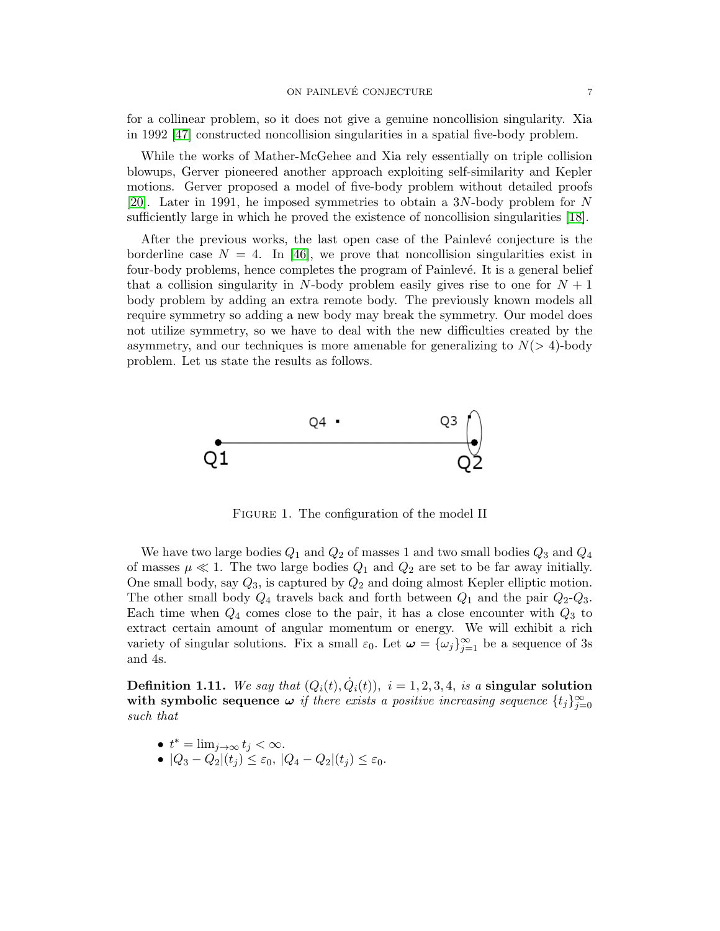for a collinear problem, so it does not give a genuine noncollision singularity. Xia in 1992 [\[47\]](#page-45-6) constructed noncollision singularities in a spatial five-body problem.

While the works of Mather-McGehee and Xia rely essentially on triple collision blowups, Gerver pioneered another approach exploiting self-similarity and Kepler motions. Gerver proposed a model of five-body problem without detailed proofs [\[20\]](#page-44-12). Later in 1991, he imposed symmetries to obtain a 3N-body problem for N sufficiently large in which he proved the existence of noncollision singularities [\[18\]](#page-44-13).

After the previous works, the last open case of the Painlevé conjecture is the borderline case  $N = 4$ . In [\[46\]](#page-45-7), we prove that noncollision singularities exist in four-body problems, hence completes the program of Painlevé. It is a general belief that a collision singularity in N-body problem easily gives rise to one for  $N + 1$ body problem by adding an extra remote body. The previously known models all require symmetry so adding a new body may break the symmetry. Our model does not utilize symmetry, so we have to deal with the new difficulties created by the asymmetry, and our techniques is more amenable for generalizing to  $N(> 4)$ -body problem. Let us state the results as follows.



FIGURE 1. The configuration of the model II

We have two large bodies  $Q_1$  and  $Q_2$  of masses 1 and two small bodies  $Q_3$  and  $Q_4$ of masses  $\mu \ll 1$ . The two large bodies  $Q_1$  and  $Q_2$  are set to be far away initially. One small body, say  $Q_3$ , is captured by  $Q_2$  and doing almost Kepler elliptic motion. The other small body  $Q_4$  travels back and forth between  $Q_1$  and the pair  $Q_2-Q_3$ . Each time when  $Q_4$  comes close to the pair, it has a close encounter with  $Q_3$  to extract certain amount of angular momentum or energy. We will exhibit a rich variety of singular solutions. Fix a small  $\varepsilon_0$ . Let  $\omega = {\{\omega_j\}}_{j=1}^{\infty}$  be a sequence of 3s and 4s.

**Definition 1.11.** We say that  $(Q_i(t), \dot{Q}_i(t)), i = 1, 2, 3, 4$ , is a singular solution with symbolic sequence  $\omega$  if there exists a positive increasing sequence  $\{t_j\}_{j=0}^{\infty}$ such that

- $t^* = \lim_{j \to \infty} t_j < \infty$ .
- $|Q_3 Q_2|(t_j) \leq \varepsilon_0$ ,  $|Q_4 Q_2|(t_j) \leq \varepsilon_0$ .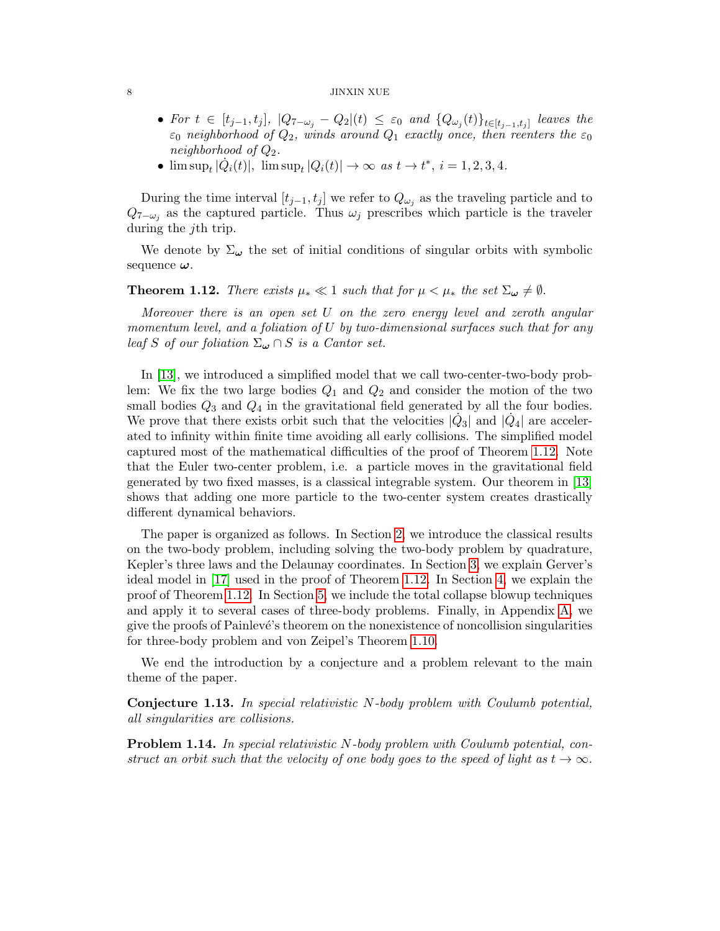#### $8\,$  JINXIN XUE

- For  $t \in [t_{j-1}, t_j]$ ,  $|Q_{7-\omega_j} Q_2|(t) \leq \varepsilon_0$  and  $\{Q_{\omega_j}(t)\}_{t \in [t_{j-1}, t_j]}$  leaves the  $\varepsilon_0$  neighborhood of  $Q_2$ , winds around  $Q_1$  exactly once, then reenters the  $\varepsilon_0$ neighborhood of  $Q_2$ .
- $\limsup_{t} |\dot{Q}_i(t)|$ ,  $\limsup_{t} |Q_i(t)| \to \infty$  as  $t \to t^*$ ,  $i = 1, 2, 3, 4$ .

During the time interval  $[t_{j-1}, t_j]$  we refer to  $Q_{\omega_j}$  as the traveling particle and to  $Q_{7-\omega_j}$  as the captured particle. Thus  $\omega_j$  prescribes which particle is the traveler during the *j*th trip.

We denote by  $\Sigma_{\boldsymbol{\omega}}$  the set of initial conditions of singular orbits with symbolic sequence  $\omega$ .

# <span id="page-7-0"></span>**Theorem 1.12.** There exists  $\mu_* \ll 1$  such that for  $\mu < \mu_*$  the set  $\Sigma_{\omega} \neq \emptyset$ .

Moreover there is an open set U on the zero energy level and zeroth angular momentum level, and a foliation of  $U$  by two-dimensional surfaces such that for any leaf S of our foliation  $\Sigma_{\boldsymbol{\omega}} \cap S$  is a Cantor set.

In [\[13\]](#page-44-14), we introduced a simplified model that we call two-center-two-body problem: We fix the two large bodies  $Q_1$  and  $Q_2$  and consider the motion of the two small bodies  $Q_3$  and  $Q_4$  in the gravitational field generated by all the four bodies. We prove that there exists orbit such that the velocities  $|\dot{Q}_3|$  and  $|\dot{Q}_4|$  are accelerated to infinity within finite time avoiding all early collisions. The simplified model captured most of the mathematical difficulties of the proof of Theorem [1.12.](#page-7-0) Note that the Euler two-center problem, i.e. a particle moves in the gravitational field generated by two fixed masses, is a classical integrable system. Our theorem in [\[13\]](#page-44-14) shows that adding one more particle to the two-center system creates drastically different dynamical behaviors.

The paper is organized as follows. In Section [2,](#page-8-0) we introduce the classical results on the two-body problem, including solving the two-body problem by quadrature, Kepler's three laws and the Delaunay coordinates. In Section [3,](#page-11-0) we explain Gerver's ideal model in [\[17\]](#page-44-15) used in the proof of Theorem [1.12.](#page-7-0) In Section [4,](#page-18-0) we explain the proof of Theorem [1.12.](#page-7-0) In Section [5,](#page-29-0) we include the total collapse blowup techniques and apply it to several cases of three-body problems. Finally, in Appendix [A,](#page-37-0) we give the proofs of Painlevé's theorem on the nonexistence of noncollision singularities for three-body problem and von Zeipel's Theorem [1.10.](#page-5-1)

We end the introduction by a conjecture and a problem relevant to the main theme of the paper.

Conjecture 1.13. In special relativistic N-body problem with Coulumb potential, all singularities are collisions.

Problem 1.14. In special relativistic N-body problem with Coulumb potential, construct an orbit such that the velocity of one body goes to the speed of light as  $t \to \infty$ .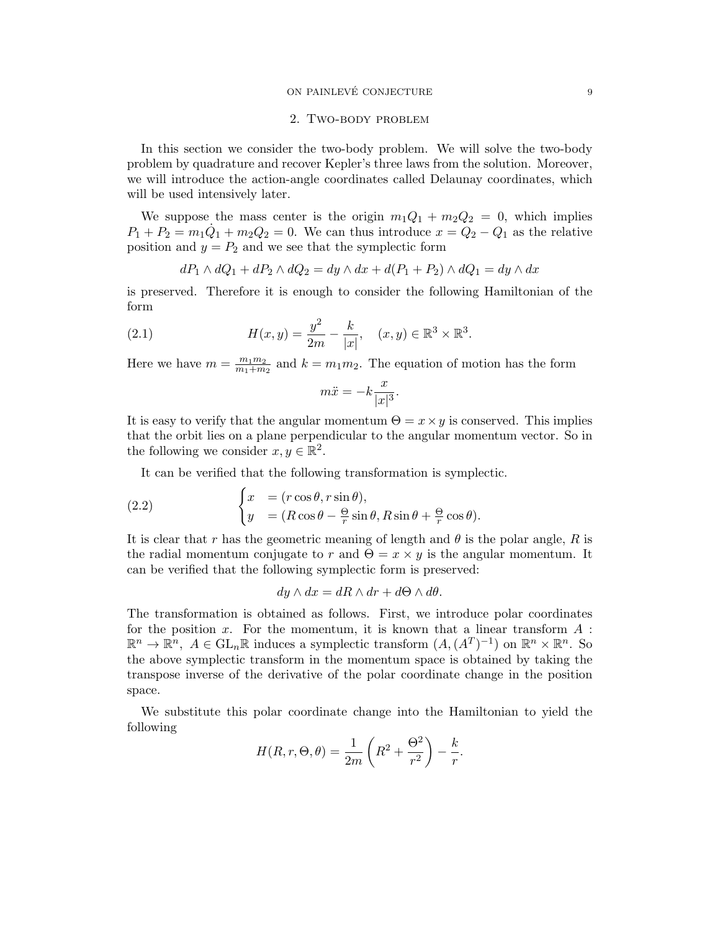### ON PAINLEVÉ CONJECTURE  $\qquad \qquad \qquad 9$

#### 2. Two-body problem

<span id="page-8-0"></span>In this section we consider the two-body problem. We will solve the two-body problem by quadrature and recover Kepler's three laws from the solution. Moreover, we will introduce the action-angle coordinates called Delaunay coordinates, which will be used intensively later.

We suppose the mass center is the origin  $m_1Q_1 + m_2Q_2 = 0$ , which implies  $P_1 + P_2 = m_1 \dot{Q}_1 + m_2 Q_2 = 0$ . We can thus introduce  $x = Q_2 - Q_1$  as the relative position and  $y = P_2$  and we see that the symplectic form

<span id="page-8-1"></span>
$$
dP_1 \wedge dQ_1 + dP_2 \wedge dQ_2 = dy \wedge dx + d(P_1 + P_2) \wedge dQ_1 = dy \wedge dx
$$

is preserved. Therefore it is enough to consider the following Hamiltonian of the form

(2.1) 
$$
H(x,y) = \frac{y^2}{2m} - \frac{k}{|x|}, \quad (x,y) \in \mathbb{R}^3 \times \mathbb{R}^3.
$$

Here we have  $m = \frac{m_1 m_2}{m_1 + m_2}$  $\frac{m_1 m_2}{m_1 + m_2}$  and  $k = m_1 m_2$ . The equation of motion has the form

$$
m\ddot{x} = -k\frac{x}{|x|^3}.
$$

It is easy to verify that the angular momentum  $\Theta = x \times y$  is conserved. This implies that the orbit lies on a plane perpendicular to the angular momentum vector. So in the following we consider  $x, y \in \mathbb{R}^2$ .

It can be verified that the following transformation is symplectic.

(2.2) 
$$
\begin{cases} x = (r \cos \theta, r \sin \theta), \\ y = (R \cos \theta - \frac{\Theta}{r} \sin \theta, R \sin \theta + \frac{\Theta}{r} \cos \theta). \end{cases}
$$

It is clear that r has the geometric meaning of length and  $\theta$  is the polar angle, R is the radial momentum conjugate to r and  $\Theta = x \times y$  is the angular momentum. It can be verified that the following symplectic form is preserved:

$$
dy \wedge dx = dR \wedge dr + d\Theta \wedge d\theta.
$$

The transformation is obtained as follows. First, we introduce polar coordinates for the position x. For the momentum, it is known that a linear transform  $A$ :  $\mathbb{R}^n \to \mathbb{R}^n$ ,  $A \in GL_n\mathbb{R}$  induces a symplectic transform  $(A, (A^T)^{-1})$  on  $\mathbb{R}^n \times \mathbb{R}^n$ . So the above symplectic transform in the momentum space is obtained by taking the transpose inverse of the derivative of the polar coordinate change in the position space.

We substitute this polar coordinate change into the Hamiltonian to yield the following

$$
H(R,r,\Theta,\theta) = \frac{1}{2m} \left( R^2 + \frac{\Theta^2}{r^2} \right) - \frac{k}{r}.
$$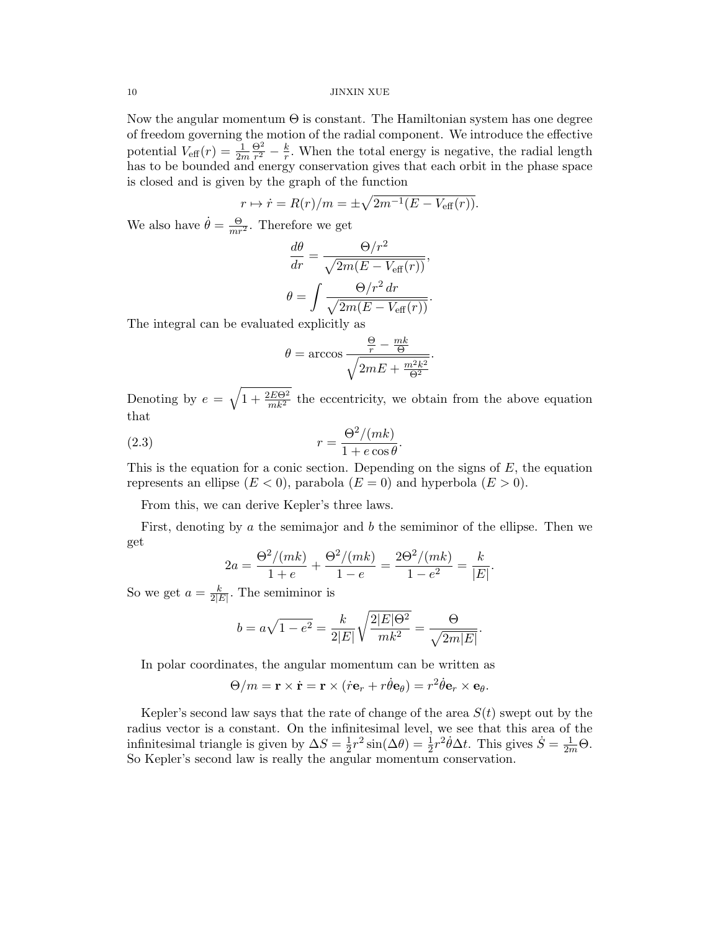Now the angular momentum  $\Theta$  is constant. The Hamiltonian system has one degree of freedom governing the motion of the radial component. We introduce the effective potential  $V_{\text{eff}}(r) = \frac{1}{2m}$  $\Theta^2$  $\frac{\Theta^2}{r^2} - \frac{k}{r}$  $\frac{k}{r}$ . When the total energy is negative, the radial length has to be bounded and energy conservation gives that each orbit in the phase space is closed and is given by the graph of the function

$$
r \mapsto \dot{r} = R(r)/m = \pm \sqrt{2m^{-1}(E - V_{\text{eff}}(r))}.
$$

We also have  $\dot{\theta} = \frac{\Theta}{mr^2}$ . Therefore we get

$$
\frac{d\theta}{dr} = \frac{\Theta/r^2}{\sqrt{2m(E - V_{\text{eff}}(r))}},
$$

$$
\theta = \int \frac{\Theta/r^2 dr}{\sqrt{2m(E - V_{\text{eff}}(r))}}.
$$

The integral can be evaluated explicitly as

<span id="page-9-0"></span>
$$
\theta = \arccos \frac{\frac{\Theta}{r} - \frac{mk}{\Theta}}{\sqrt{2mE + \frac{m^2k^2}{\Theta^2}}}.
$$

Denoting by  $e = \sqrt{1 + \frac{2E\Theta^2}{mk^2}}$  the eccentricity, we obtain from the above equation that

(2.3) 
$$
r = \frac{\Theta^2/(mk)}{1 + e \cos \theta}.
$$

This is the equation for a conic section. Depending on the signs of  $E$ , the equation represents an ellipse  $(E < 0)$ , parabola  $(E = 0)$  and hyperbola  $(E > 0)$ .

From this, we can derive Kepler's three laws.

First, denoting by a the semimajor and b the semiminor of the ellipse. Then we get

$$
2a = \frac{\Theta^2/(mk)}{1+e} + \frac{\Theta^2/(mk)}{1-e} = \frac{2\Theta^2/(mk)}{1-e^2} = \frac{k}{|E|}.
$$

So we get  $a = \frac{k}{2\pi}$  $\frac{k}{2|E|}$ . The semiminor is

$$
b = a\sqrt{1 - e^2} = \frac{k}{2|E|} \sqrt{\frac{2|E|\Theta^2}{mk^2}} = \frac{\Theta}{\sqrt{2m|E|}}.
$$

In polar coordinates, the angular momentum can be written as

$$
\Theta/m = \mathbf{r} \times \dot{\mathbf{r}} = \mathbf{r} \times (\dot{r}\mathbf{e}_r + r\dot{\theta}\mathbf{e}_\theta) = r^2 \dot{\theta}\mathbf{e}_r \times \mathbf{e}_\theta.
$$

Kepler's second law says that the rate of change of the area  $S(t)$  swept out by the radius vector is a constant. On the infinitesimal level, we see that this area of the infinitesimal triangle is given by  $\Delta S = \frac{1}{2}$  $\frac{1}{2}r^2 \sin(\Delta \theta) = \frac{1}{2}r^2 \dot{\theta} \Delta t$ . This gives  $\dot{S} = \frac{1}{2m} \Theta$ . So Kepler's second law is really the angular momentum conservation.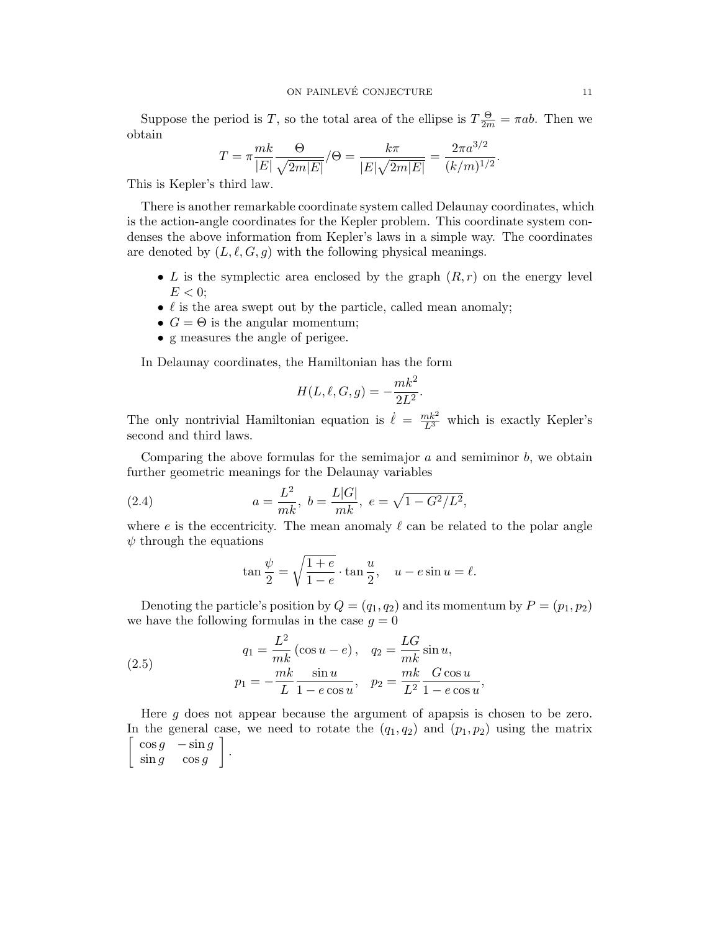Suppose the period is T, so the total area of the ellipse is  $T\frac{\Theta}{2m} = \pi ab$ . Then we obtain

$$
T = \pi \frac{mk}{|E|} \frac{\Theta}{\sqrt{2m|E|}} / \Theta = \frac{k\pi}{|E|\sqrt{2m|E|}} = \frac{2\pi a^{3/2}}{(k/m)^{1/2}}.
$$

This is Kepler's third law.

There is another remarkable coordinate system called Delaunay coordinates, which is the action-angle coordinates for the Kepler problem. This coordinate system condenses the above information from Kepler's laws in a simple way. The coordinates are denoted by  $(L, \ell, G, g)$  with the following physical meanings.

- L is the symplectic area enclosed by the graph  $(R, r)$  on the energy level  $E < 0$ ;
- $\bullet$   $\ell$  is the area swept out by the particle, called mean anomaly;
- $G = \Theta$  is the angular momentum;
- g measures the angle of perigee.

In Delaunay coordinates, the Hamiltonian has the form

$$
H(L,\ell,G,g) = -\frac{mk^2}{2L^2}.
$$

The only nontrivial Hamiltonian equation is  $\dot{\ell} = \frac{mk^2}{L^3}$  which is exactly Kepler's second and third laws.

Comparing the above formulas for the semimajor  $a$  and semiminor  $b$ , we obtain further geometric meanings for the Delaunay variables

(2.4) 
$$
a = \frac{L^2}{mk}, \ b = \frac{L|G|}{mk}, \ e = \sqrt{1 - G^2/L^2},
$$

where e is the eccentricity. The mean anomaly  $\ell$  can be related to the polar angle  $\psi$  through the equations

<span id="page-10-0"></span>
$$
\tan\frac{\psi}{2} = \sqrt{\frac{1+e}{1-e}} \cdot \tan\frac{u}{2}, \quad u - e\sin u = \ell.
$$

Denoting the particle's position by  $Q = (q_1, q_2)$  and its momentum by  $P = (p_1, p_2)$ we have the following formulas in the case  $q = 0$ 

(2.5) 
$$
q_1 = \frac{L^2}{mk} (\cos u - e), \quad q_2 = \frac{LG}{mk} \sin u, p_1 = -\frac{mk}{L} \frac{\sin u}{1 - e \cos u}, \quad p_2 = \frac{mk}{L^2} \frac{G \cos u}{1 - e \cos u},
$$

Here g does not appear because the argument of apapsis is chosen to be zero. In the general case, we need to rotate the  $(q_1, q_2)$  and  $(p_1, p_2)$  using the matrix  $\int \cos g - \sin g$  $\sin g$   $\cos g$ .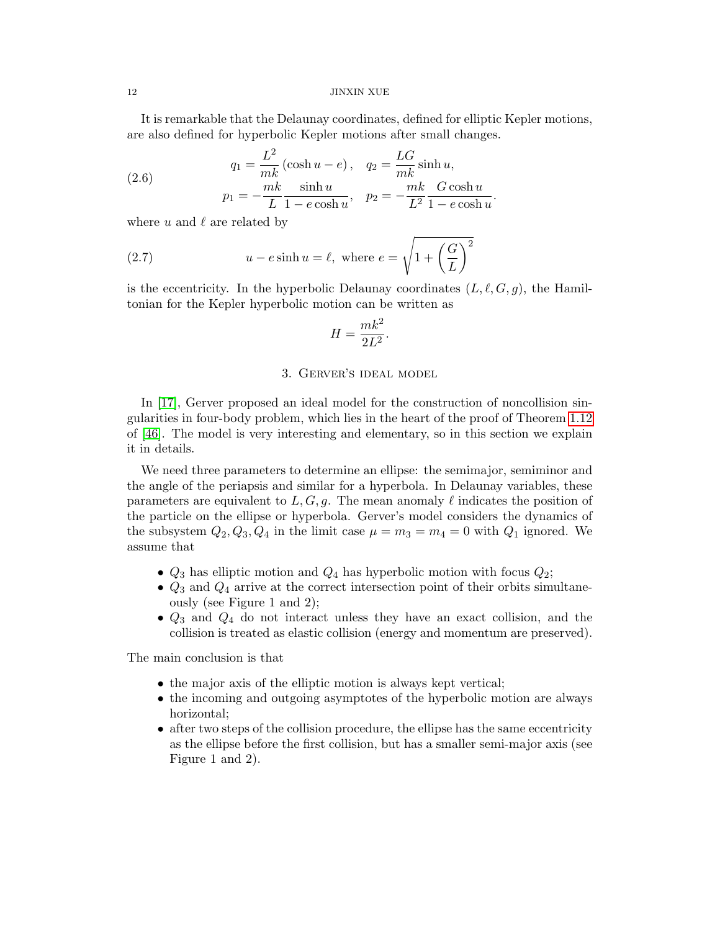It is remarkable that the Delaunay coordinates, defined for elliptic Kepler motions, are also defined for hyperbolic Kepler motions after small changes.

(2.6) 
$$
q_1 = \frac{L^2}{mk} (\cosh u - e), \quad q_2 = \frac{LG}{mk} \sinh u, p_1 = -\frac{mk}{L} \frac{\sinh u}{1 - e \cosh u}, \quad p_2 = -\frac{mk}{L^2} \frac{G \cosh u}{1 - e \cosh u}.
$$

where u and  $\ell$  are related by

(2.7) 
$$
u - e \sinh u = \ell, \text{ where } e = \sqrt{1 + \left(\frac{G}{L}\right)^2}
$$

is the eccentricity. In the hyperbolic Delaunay coordinates  $(L, \ell, G, g)$ , the Hamiltonian for the Kepler hyperbolic motion can be written as

$$
H = \frac{mk^2}{2L^2}.
$$

#### 3. Gerver's ideal model

<span id="page-11-0"></span>In [\[17\]](#page-44-15), Gerver proposed an ideal model for the construction of noncollision singularities in four-body problem, which lies in the heart of the proof of Theorem [1.12](#page-7-0) of [\[46\]](#page-45-7). The model is very interesting and elementary, so in this section we explain it in details.

We need three parameters to determine an ellipse: the semimajor, semiminor and the angle of the periapsis and similar for a hyperbola. In Delaunay variables, these parameters are equivalent to  $L, G, g$ . The mean anomaly  $\ell$  indicates the position of the particle on the ellipse or hyperbola. Gerver's model considers the dynamics of the subsystem  $Q_2, Q_3, Q_4$  in the limit case  $\mu = m_3 = m_4 = 0$  with  $Q_1$  ignored. We assume that

- $Q_3$  has elliptic motion and  $Q_4$  has hyperbolic motion with focus  $Q_2$ ;
- $Q_3$  and  $Q_4$  arrive at the correct intersection point of their orbits simultaneously (see Figure 1 and 2);
- $Q_3$  and  $Q_4$  do not interact unless they have an exact collision, and the collision is treated as elastic collision (energy and momentum are preserved).

The main conclusion is that

- the major axis of the elliptic motion is always kept vertical;
- the incoming and outgoing asymptotes of the hyperbolic motion are always horizontal;
- after two steps of the collision procedure, the ellipse has the same eccentricity as the ellipse before the first collision, but has a smaller semi-major axis (see Figure 1 and 2).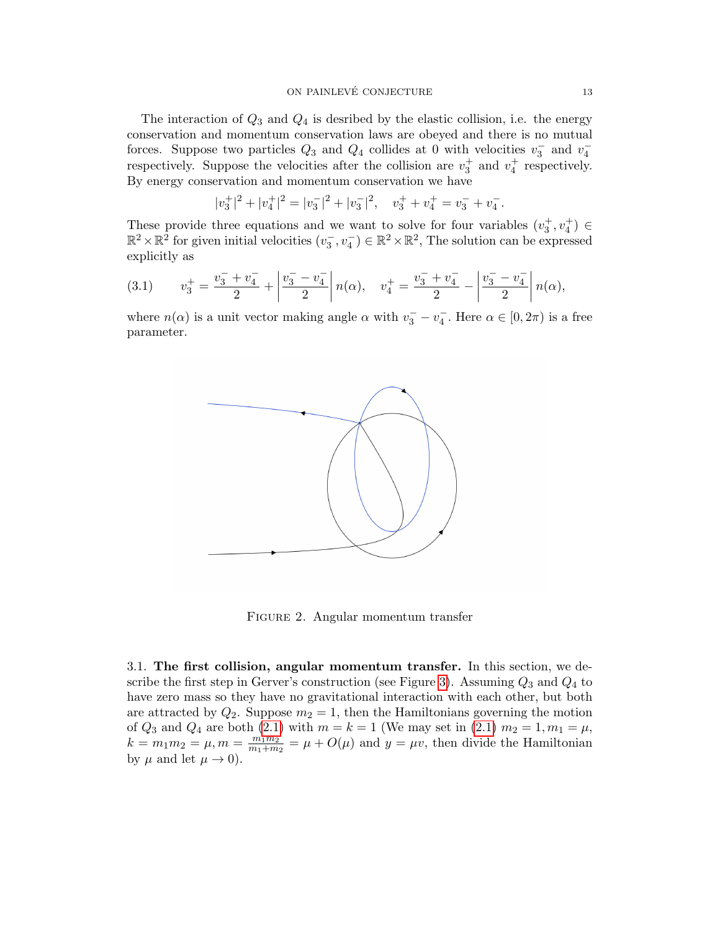The interaction of  $Q_3$  and  $Q_4$  is desribed by the elastic collision, i.e. the energy conservation and momentum conservation laws are obeyed and there is no mutual forces. Suppose two particles  $Q_3$  and  $Q_4$  collides at 0 with velocities  $v_3^-$  and  $v_4^$ respectively. Suppose the velocities after the collision are  $v_3^+$  and  $v_4^+$  respectively. By energy conservation and momentum conservation we have

$$
|v_3^+|^2 + |v_4^+|^2 = |v_3^-|^2 + |v_3^-|^2, \quad v_3^+ + v_4^+ = v_3^- + v_4^-.
$$

These provide three equations and we want to solve for four variables  $(v_3^+, v_4^+) \in$  $\mathbb{R}^2 \times \mathbb{R}^2$  for given initial velocities  $(v_3^-, v_4^-) \in \mathbb{R}^2 \times \mathbb{R}^2$ , The solution can be expressed explicitly as

<span id="page-12-2"></span>(3.1) 
$$
v_3^+ = \frac{v_3^- + v_4^-}{2} + \left| \frac{v_3^- - v_4^-}{2} \right| n(\alpha), \quad v_4^+ = \frac{v_3^- + v_4^-}{2} - \left| \frac{v_3^- - v_4^-}{2} \right| n(\alpha),
$$

where  $n(\alpha)$  is a unit vector making angle  $\alpha$  with  $v_3^- - v_4^-$ . Here  $\alpha \in [0, 2\pi)$  is a free parameter.



<span id="page-12-1"></span>FIGURE 2. Angular momentum transfer

<span id="page-12-0"></span>3.1. The first collision, angular momentum transfer. In this section, we de-scribe the first step in Gerver's construction (see Figure [3\)](#page-12-1). Assuming  $Q_3$  and  $Q_4$  to have zero mass so they have no gravitational interaction with each other, but both are attracted by  $Q_2$ . Suppose  $m_2 = 1$ , then the Hamiltonians governing the motion of  $Q_3$  and  $Q_4$  are both [\(2.1\)](#page-8-1) with  $m = k = 1$  (We may set in (2.1)  $m_2 = 1, m_1 = \mu$ ,  $k = m_1 m_2 = \mu, m = \frac{m_1 m_2}{m_1 + m_2}$  $\frac{m_1 m_2}{m_1 + m_2} = \mu + O(\mu)$  and  $y = \mu v$ , then divide the Hamiltonian by  $\mu$  and let  $\mu \to 0$ ).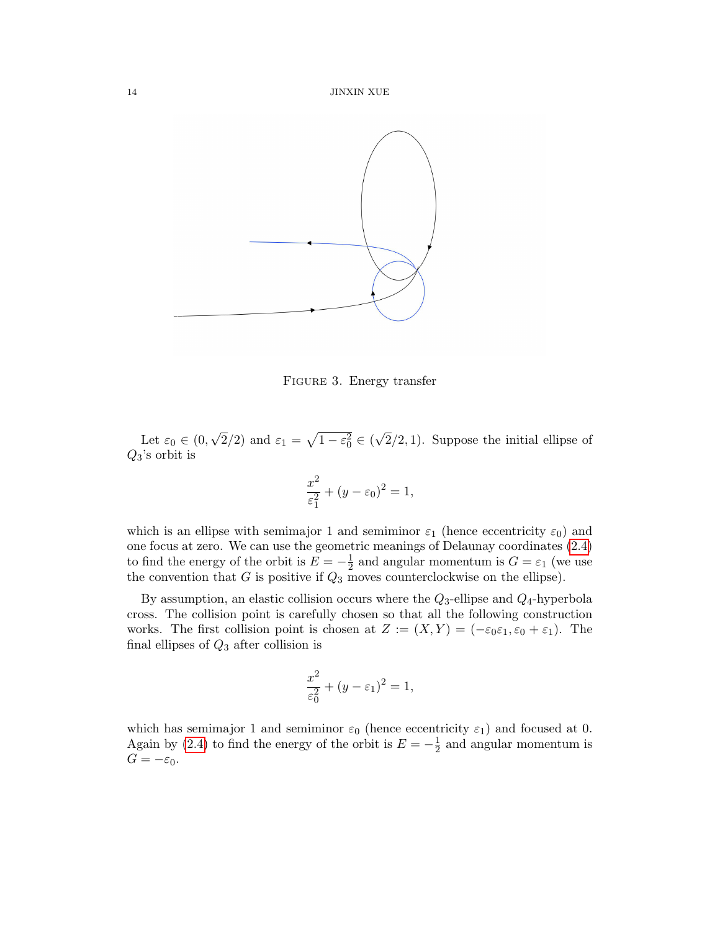

<span id="page-13-0"></span>FIGURE 3. Energy transfer

Let  $\varepsilon_0 \in (0,$ √  $\overline{2}/2$ ) and  $\varepsilon_1 = \sqrt{1 - \varepsilon_0^2} \in ($ √  $2/2, 1$ ). Suppose the initial ellipse of  $Q_3$ 's orbit is

$$
\frac{x^2}{\varepsilon_1^2} + (y - \varepsilon_0)^2 = 1,
$$

which is an ellipse with semimajor 1 and semiminor  $\varepsilon_1$  (hence eccentricity  $\varepsilon_0$ ) and one focus at zero. We can use the geometric meanings of Delaunay coordinates [\(2.4\)](#page-10-0) to find the energy of the orbit is  $E = -\frac{1}{2}$  $\frac{1}{2}$  and angular momentum is  $G = \varepsilon_1$  (we use the convention that  $G$  is positive if  $Q_3$  moves counterclockwise on the ellipse).

By assumption, an elastic collision occurs where the  $Q_3$ -ellipse and  $Q_4$ -hyperbola cross. The collision point is carefully chosen so that all the following construction works. The first collision point is chosen at  $Z := (X, Y) = (-\varepsilon_0 \varepsilon_1, \varepsilon_0 + \varepsilon_1)$ . The final ellipses of  $Q_3$  after collision is

$$
\frac{x^2}{\varepsilon_0^2} + (y - \varepsilon_1)^2 = 1,
$$

which has semimajor 1 and semiminor  $\varepsilon_0$  (hence eccentricity  $\varepsilon_1$ ) and focused at 0. Again by [\(2.4\)](#page-10-0) to find the energy of the orbit is  $E = -\frac{1}{2}$  $\frac{1}{2}$  and angular momentum is  $G = -\varepsilon_0$ .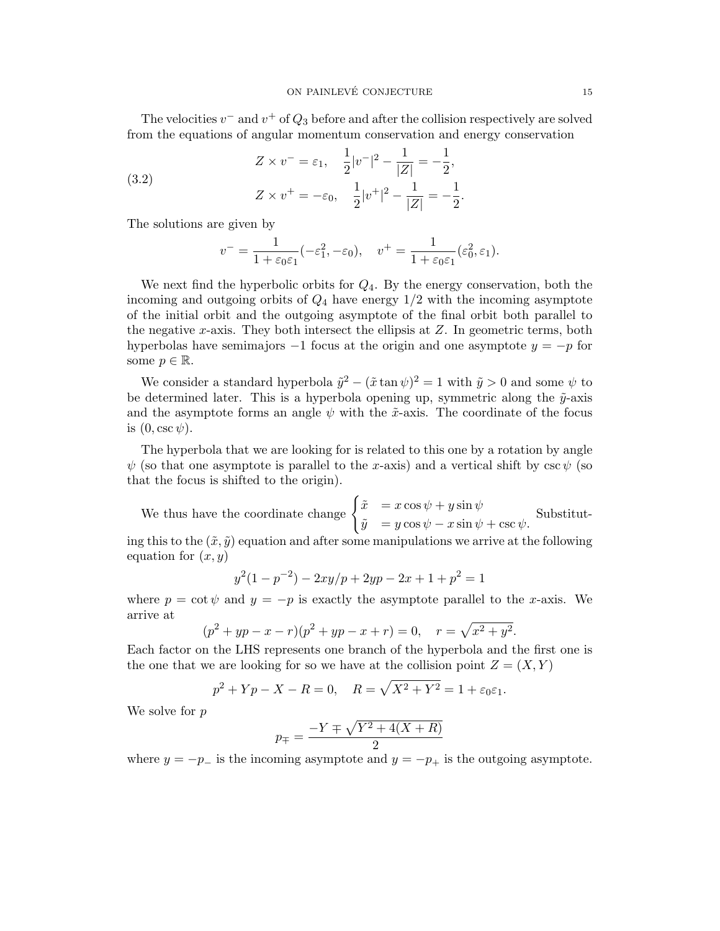The velocities  $v^-$  and  $v^+$  of  $Q_3$  before and after the collision respectively are solved from the equations of angular momentum conservation and energy conservation

(3.2) 
$$
Z \times v^- = \varepsilon_1, \quad \frac{1}{2}|v^-|^2 - \frac{1}{|Z|} = -\frac{1}{2},
$$

$$
Z \times v^+ = -\varepsilon_0, \quad \frac{1}{2}|v^+|^2 - \frac{1}{|Z|} = -\frac{1}{2}.
$$

The solutions are given by

$$
v^- = \frac{1}{1 + \varepsilon_0 \varepsilon_1} (-\varepsilon_1^2, -\varepsilon_0), \quad v^+ = \frac{1}{1 + \varepsilon_0 \varepsilon_1} (\varepsilon_0^2, \varepsilon_1).
$$

We next find the hyperbolic orbits for  $Q_4$ . By the energy conservation, both the incoming and outgoing orbits of  $Q_4$  have energy  $1/2$  with the incoming asymptote of the initial orbit and the outgoing asymptote of the final orbit both parallel to the negative x-axis. They both intersect the ellipsis at  $Z$ . In geometric terms, both hyperbolas have semimajors  $-1$  focus at the origin and one asymptote  $y = -p$  for some  $p \in \mathbb{R}$ .

We consider a standard hyperbola  $\tilde{y}^2 - (\tilde{x} \tan \psi)^2 = 1$  with  $\tilde{y} > 0$  and some  $\psi$  to be determined later. This is a hyperbola opening up, symmetric along the  $\tilde{y}$ -axis and the asymptote forms an angle  $\psi$  with the  $\tilde{x}$ -axis. The coordinate of the focus is  $(0, \csc \psi)$ .

The hyperbola that we are looking for is related to this one by a rotation by angle  $\psi$  (so that one asymptote is parallel to the x-axis) and a vertical shift by  $\csc \psi$  (so that the focus is shifted to the origin).

We thus have the coordinate change  $\begin{cases} \tilde{x} = x \cos \psi + y \sin \psi \end{cases}$  $\tilde{y} = y \cos \psi - x \sin \psi + \csc \psi.$ Substitut-

ing this to the  $(\tilde{x}, \tilde{y})$  equation and after some manipulations we arrive at the following equation for  $(x, y)$ 

$$
y^{2}(1 - p^{-2}) - 2xy/p + 2yp - 2x + 1 + p^{2} = 1
$$

where  $p = \cot \psi$  and  $y = -p$  is exactly the asymptote parallel to the x-axis. We arrive at

$$
(p2 + yp - x - r)(p2 + yp - x + r) = 0, \quad r = \sqrt{x2 + y2}.
$$

Each factor on the LHS represents one branch of the hyperbola and the first one is the one that we are looking for so we have at the collision point  $Z = (X, Y)$ 

$$
p^{2} + Yp - X - R = 0
$$
,  $R = \sqrt{X^{2} + Y^{2}} = 1 + \varepsilon_{0}\varepsilon_{1}$ .

We solve for  $p$ 

$$
p_{\mp} = \frac{-Y \mp \sqrt{Y^2 + 4(X + R)}}{2}
$$

where  $y = -p_-\$  is the incoming asymptote and  $y = -p_+\$  is the outgoing asymptote.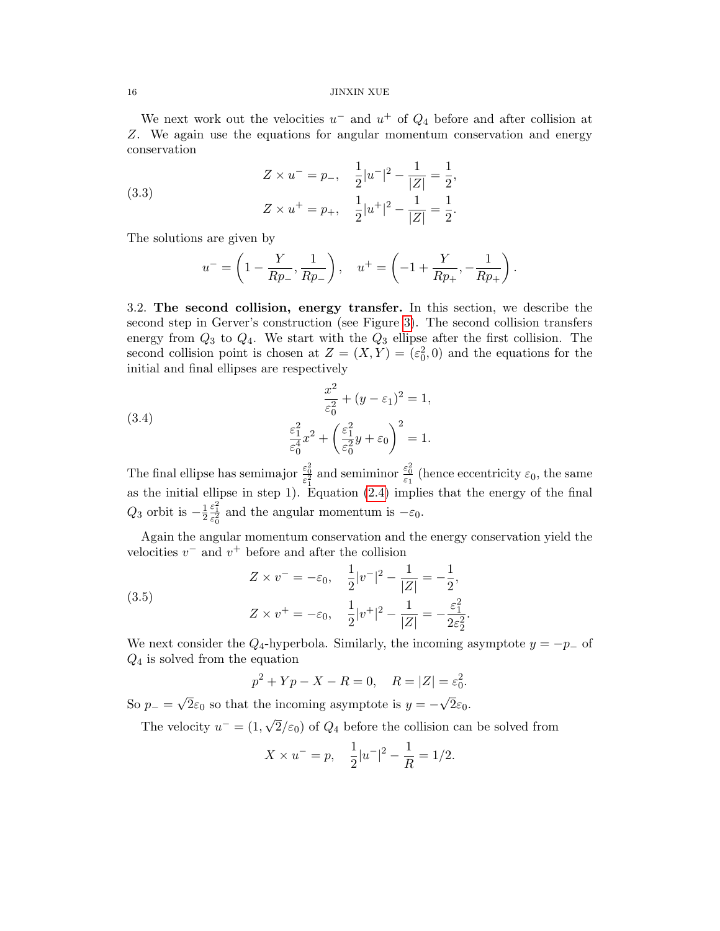We next work out the velocities  $u^-$  and  $u^+$  of  $Q_4$  before and after collision at Z. We again use the equations for angular momentum conservation and energy conservation

(3.3) 
$$
Z \times u^{-} = p_{-}, \quad \frac{1}{2}|u^{-}|^{2} - \frac{1}{|Z|} = \frac{1}{2},
$$

$$
Z \times u^{+} = p_{+}, \quad \frac{1}{2}|u^{+}|^{2} - \frac{1}{|Z|} = \frac{1}{2}.
$$

The solutions are given by

$$
u^- = \left(1 - \frac{Y}{Rp_-}, \frac{1}{Rp_-}\right), \quad u^+ = \left(-1 + \frac{Y}{Rp_+}, -\frac{1}{Rp_+}\right).
$$

<span id="page-15-0"></span>3.2. The second collision, energy transfer. In this section, we describe the second step in Gerver's construction (see Figure [3\)](#page-13-0). The second collision transfers energy from  $Q_3$  to  $Q_4$ . We start with the  $Q_3$  ellipse after the first collision. The second collision point is chosen at  $Z = (X, Y) = (\varepsilon_0^2, 0)$  and the equations for the initial and final ellipses are respectively

(3.4) 
$$
\frac{x^2}{\varepsilon_0^2} + (y - \varepsilon_1)^2 = 1, \n\frac{\varepsilon_1^2}{\varepsilon_0^4} x^2 + \left(\frac{\varepsilon_1^2}{\varepsilon_0^2} y + \varepsilon_0\right)^2 = 1.
$$

The final ellipse has semimajor  $\frac{\varepsilon_0^2}{\varepsilon_1^2}$  and semiminor  $\frac{\varepsilon_0^2}{\varepsilon_1}$  (hence eccentricity  $\varepsilon_0$ , the same as the initial ellipse in step 1). Equation [\(2.4\)](#page-10-0) implies that the energy of the final  $Q_3$  orbit is  $-\frac{1}{2}$ 2  $\frac{\varepsilon_1^2}{\varepsilon_0^2}$  and the angular momentum is  $-\varepsilon_0$ .

Again the angular momentum conservation and the energy conservation yield the velocities  $v^-$  and  $v^+$  before and after the collision

(3.5)  

$$
Z \times v^- = -\varepsilon_0, \quad \frac{1}{2}|v^-|^2 - \frac{1}{|Z|} = -\frac{1}{2},
$$

$$
Z \times v^+ = -\varepsilon_0, \quad \frac{1}{2}|v^+|^2 - \frac{1}{|Z|} = -\frac{\varepsilon_1^2}{2\varepsilon_2^2}
$$

We next consider the  $Q_4$ -hyperbola. Similarly, the incoming asymptote  $y = -p_-\text{ of }$  $Q_4$  is solved from the equation

.

$$
p^2 + Yp - X - R = 0
$$
,  $R = |Z| = \varepsilon_0^2$ .

So  $p_-=$ √  $2\varepsilon_0$  so that the incoming asymptote is  $y = 2\varepsilon_0$ .

The velocity  $u^- = (1, \sqrt{2})$  $2/\varepsilon_0$ ) of  $Q_4$  before the collision can be solved from

$$
X \times u^{-} = p, \quad \frac{1}{2}|u^{-}|^{2} - \frac{1}{R} = 1/2.
$$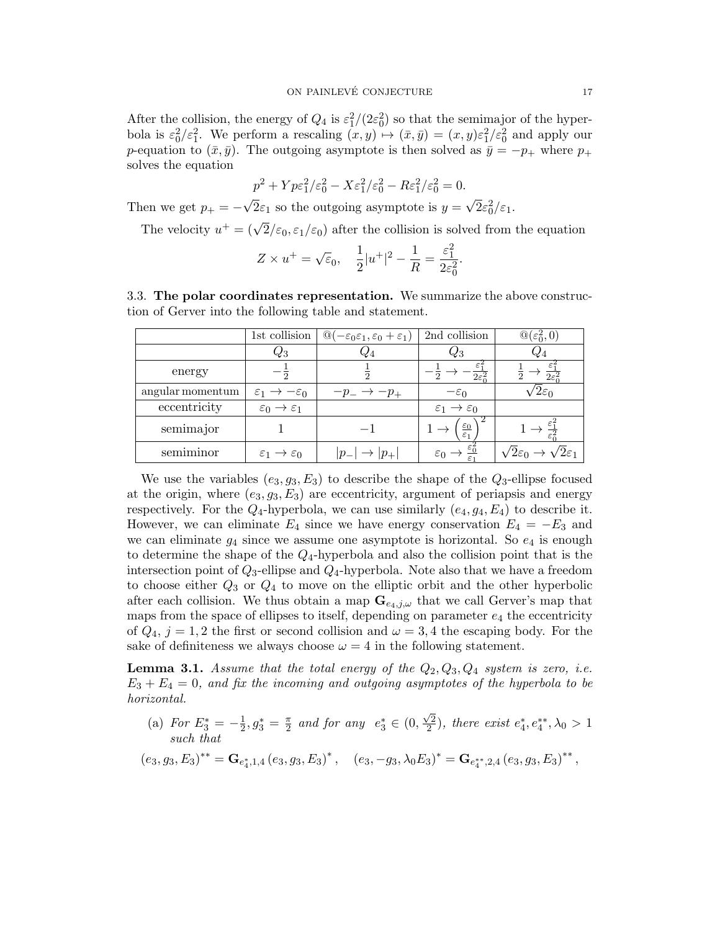After the collision, the energy of  $Q_4$  is  $\epsilon_1^2/(2\epsilon_0^2)$  so that the semimajor of the hyperbola is  $\varepsilon_0^2/\varepsilon_1^2$ . We perform a rescaling  $(x, y) \mapsto (\bar{x}, \bar{y}) = (x, y)\varepsilon_1^2/\varepsilon_0^2$  and apply our p-equation to  $(\bar{x}, \bar{y})$ . The outgoing asymptote is then solved as  $\bar{y} = -p_+$  where  $p_+$ solves the equation

$$
p^2 + Yp\varepsilon_1^2/\varepsilon_0^2 - X\varepsilon_1^2/\varepsilon_0^2 - R\varepsilon_1^2/\varepsilon_0^2 = 0.
$$

Then we get  $p_+ = -$ √  $2\varepsilon_1$  so the outgoing asymptote is  $y =$ √  $\bar{2}\varepsilon_0^2/\varepsilon_1$ .

The velocity  $u^+ = (\sqrt{2}/\varepsilon_0, \varepsilon_1/\varepsilon_0)$  after the collision is solved from the equation

$$
Z \times u^+ = \sqrt{\varepsilon}_0, \quad \frac{1}{2}|u^+|^2 - \frac{1}{R} = \frac{\varepsilon_1^2}{2\varepsilon_0^2}.
$$

<span id="page-16-0"></span>3.3. The polar coordinates representation. We summarize the above construction of Gerver into the following table and statement.

|                  | 1st collision                              | $\mathbb{Q}(-\varepsilon_0\varepsilon_1,\varepsilon_0+\varepsilon_1)$ | 2nd collision                             | $\mathbb{Q}(\varepsilon_0^2,0)$             |
|------------------|--------------------------------------------|-----------------------------------------------------------------------|-------------------------------------------|---------------------------------------------|
|                  | $\,_{3}$                                   |                                                                       | $\mathcal{C}3$                            | $Q_4$                                       |
| energy           |                                            |                                                                       | $\overline{2\varepsilon_0^2}$             | $\overline{2\varepsilon_0^2}$               |
| angular momentum | $\varepsilon_1 \rightarrow -\varepsilon_0$ | $-p_- \rightarrow -p_+$                                               | $-\varepsilon_0$                          | Zεn                                         |
| eccentricity     | $\varepsilon_0 \rightarrow \varepsilon_1$  |                                                                       | $\varepsilon_1 \rightarrow \varepsilon_0$ |                                             |
| semimajor        |                                            |                                                                       | $\varepsilon_0$                           |                                             |
| semiminor        | $\varepsilon_1 \rightarrow \varepsilon_0$  | $\rightarrow$ $ p_{+} $<br>$ p_{-} $                                  |                                           | $\sqrt{2\varepsilon_1}$<br>$2\varepsilon_0$ |

We use the variables  $(e_3, q_3, E_3)$  to describe the shape of the  $Q_3$ -ellipse focused at the origin, where  $(e_3, g_3, E_3)$  are eccentricity, argument of periapsis and energy respectively. For the  $Q_4$ -hyperbola, we can use similarly  $(e_4, g_4, E_4)$  to describe it. However, we can eliminate  $E_4$  since we have energy conservation  $E_4 = -E_3$  and we can eliminate  $g_4$  since we assume one asymptote is horizontal. So  $e_4$  is enough to determine the shape of the  $Q_4$ -hyperbola and also the collision point that is the intersection point of  $Q_3$ -ellipse and  $Q_4$ -hyperbola. Note also that we have a freedom to choose either  $Q_3$  or  $Q_4$  to move on the elliptic orbit and the other hyperbolic after each collision. We thus obtain a map  $\mathbf{G}_{e_4,j,\omega}$  that we call Gerver's map that maps from the space of ellipses to itself, depending on parameter  $e_4$  the eccentricity of  $Q_4$ ,  $j = 1, 2$  the first or second collision and  $\omega = 3, 4$  the escaping body. For the sake of definiteness we always choose  $\omega = 4$  in the following statement.

**Lemma 3.1.** Assume that the total energy of the  $Q_2, Q_3, Q_4$  system is zero, i.e.  $E_3 + E_4 = 0$ , and fix the incoming and outgoing asymptotes of the hyperbola to be horizontal.

(a) For  $E_3^* = -\frac{1}{2}$  $\frac{1}{2}, g_3^* = \frac{\pi}{2}$  $\frac{\pi}{2}$  and for any  $e_3^* \in (0,$  $\sqrt{2}$  $\frac{\sqrt{2}}{2}$ ), there exist  $e_4^*, e_4^{**}, \lambda_0 > 1$ such that

$$
(e_3,g_3,E_3)^{**} = \mathbf{G}_{e_4^*,1,4} (e_3,g_3,E_3)^{*} , \quad (e_3,-g_3,\lambda_0 E_3)^{*} = \mathbf{G}_{e_4^{**},2,4} (e_3,g_3,E_3)^{**} ,
$$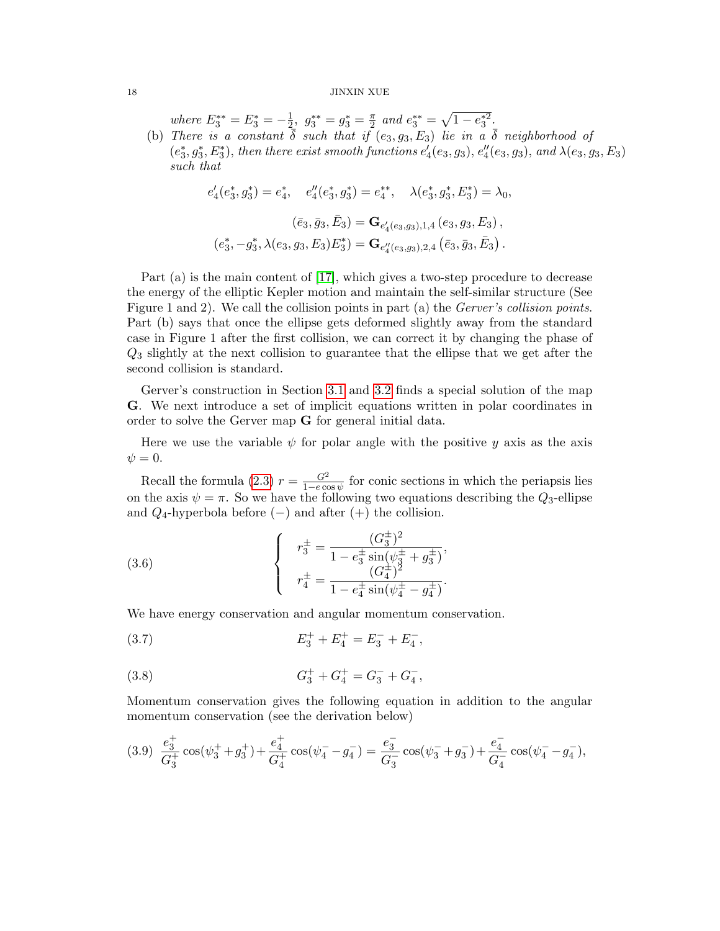where  $E_3^{**} = E_3^* = -\frac{1}{2}$  $\frac{1}{2}, g_3^{**} = g_3^* = \frac{\pi}{2}$  $\frac{\pi}{2}$  and  $e_3^{**} = \sqrt{1 - e_3^{*2}}$ . (b) There is a constant  $\overline{\delta}$  such that if  $(e_3, g_3, E_3)$  lie in a  $\overline{\delta}$  neighborhood of

 $(e_3^*, g_3^*, E_3^*)$ , then there exist smooth functions  $e_4'(e_3, g_3)$ ,  $e_4''(e_3, g_3)$ , and  $\lambda(e_3, g_3, E_3)$ such that

> $e_4'(e_3^*, g_3^*) = e_4^*, \quad e_4''(e_3^*, g_3^*) = e_4^{**}, \quad \lambda(e_3^*, g_3^*, E_3^*) = \lambda_0,$  $(\bar{e}_3, \bar{g}_3, \bar{E}_3) = \mathbf{G}_{e'_4(e_3,g_3),1,4} (e_3, g_3, E_3),$  $(e_3^*, -g_3^*, \lambda(e_3, g_3, E_3)E_3^*) = \mathbf{G}_{e_4''(e_3, g_3), 2, 4} (\bar{e}_3, \bar{g}_3, \bar{E}_3).$

Part (a) is the main content of [\[17\]](#page-44-15), which gives a two-step procedure to decrease the energy of the elliptic Kepler motion and maintain the self-similar structure (See Figure 1 and 2). We call the collision points in part (a) the *Gerver's collision points*. Part (b) says that once the ellipse gets deformed slightly away from the standard case in Figure 1 after the first collision, we can correct it by changing the phase of Q<sup>3</sup> slightly at the next collision to guarantee that the ellipse that we get after the second collision is standard.

Gerver's construction in Section [3.1](#page-12-0) and [3.2](#page-15-0) finds a special solution of the map G. We next introduce a set of implicit equations written in polar coordinates in order to solve the Gerver map G for general initial data.

Here we use the variable  $\psi$  for polar angle with the positive y axis as the axis  $\psi = 0.$ 

Recall the formula [\(2.3\)](#page-9-0)  $r = \frac{G^2}{1 - e^{ct}}$  $\frac{G^2}{1-e \cos \psi}$  for conic sections in which the periapsis lies on the axis  $\psi = \pi$ . So we have the following two equations describing the  $Q_3$ -ellipse and  $Q_4$ -hyperbola before (−) and after (+) the collision.

(3.6) 
$$
\begin{cases}\nr_3^{\pm} = \frac{(G_3^{\pm})^2}{1 - e_3^{\pm} \sin(\psi_3^{\pm} + g_3^{\pm})},\\
r_4^{\pm} = \frac{(G_4^{\pm})^2}{1 - e_4^{\pm} \sin(\psi_4^{\pm} - g_4^{\pm})}.\n\end{cases}
$$

We have energy conservation and angular momentum conservation.

(3.7) 
$$
E_3^+ + E_4^+ = E_3^- + E_4^-,
$$

(3.8) 
$$
G_3^+ + G_4^+ = G_3^- + G_4^-,
$$

Momentum conservation gives the following equation in addition to the angular momentum conservation (see the derivation below)

<span id="page-17-0"></span>
$$
(3.9)\ \ \frac{e_3^+}{G_3^+}\cos(\psi_3^+ + g_3^+) + \frac{e_4^+}{G_4^+}\cos(\psi_4^- - g_4^-) = \frac{e_3^-}{G_3^-}\cos(\psi_3^- + g_3^-) + \frac{e_4^-}{G_4^-}\cos(\psi_4^- - g_4^-),
$$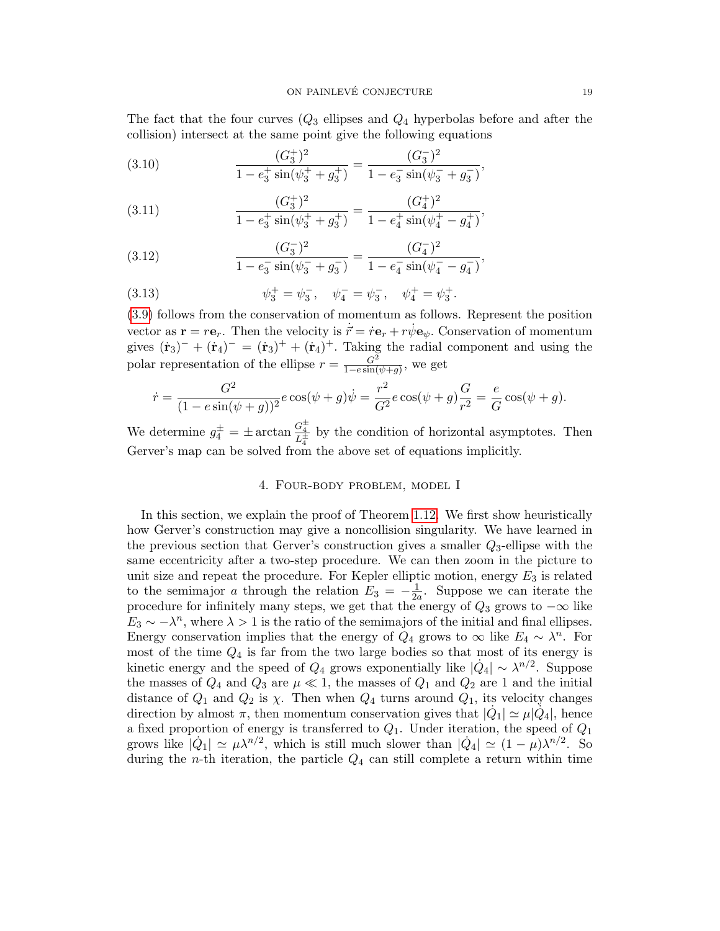The fact that the four curves  $(Q_3$  ellipses and  $Q_4$  hyperbolas before and after the collision) intersect at the same point give the following equations

(3.10) 
$$
\frac{(G_3^+)^2}{1 - e_3^+ \sin(\psi_3^+ + g_3^+)} = \frac{(G_3^-)^2}{1 - e_3^- \sin(\psi_3^- + g_3^-)}
$$

(3.11) 
$$
\frac{(G_3^+)^2}{1 - e_3^+ \sin(\psi_3^+ + g_3^+)} = \frac{(G_4^+)^2}{1 - e_4^+ \sin(\psi_4^+ - g_4^+)},
$$

(3.12) 
$$
\frac{(G_3^-)^2}{1 - e_3^-\sin(\psi_3^- + g_3^-)} = \frac{(G_4^-)^2}{1 - e_4^-\sin(\psi_4^- - g_4^-)},
$$

(3.13) 
$$
\psi_3^+ = \psi_3^-, \quad \psi_4^- = \psi_3^-, \quad \psi_4^+ = \psi_3^+.
$$

[\(3.9\)](#page-17-0) follows from the conservation of momentum as follows. Represent the position vector as  $\mathbf{r} = r\mathbf{e}_r$ . Then the velocity is  $\vec{r} = r\mathbf{e}_r + r\dot{\psi}\mathbf{e}_\psi$ . Conservation of momentum gives  $(\dot{\mathbf{r}}_3)^{-} + (\dot{\mathbf{r}}_4)^{-} = (\dot{\mathbf{r}}_3)^{+} + (\dot{\mathbf{r}}_4)^{+}$ . Taking the radial component and using the polar representation of the ellipse  $r = \frac{G^2}{1 - e \sin \theta}$  $\frac{G^2}{1-e\sin(\psi+g)}$ , we get

$$
\dot{r} = \frac{G^2}{(1 - e\sin(\psi + g))^2} e\cos(\psi + g)\dot{\psi} = \frac{r^2}{G^2} e\cos(\psi + g)\frac{G}{r^2} = \frac{e}{G}\cos(\psi + g).
$$

We determine  $g_4^{\pm} = \pm \arctan \frac{G_4^{\pm}}{L_4^{\pm}}$  by the condition of horizontal asymptotes. Then Gerver's map can be solved from the above set of equations implicitly.

### 4. Four-body problem, model I

<span id="page-18-0"></span>In this section, we explain the proof of Theorem [1.12.](#page-7-0) We first show heuristically how Gerver's construction may give a noncollision singularity. We have learned in the previous section that Gerver's construction gives a smaller  $Q_3$ -ellipse with the same eccentricity after a two-step procedure. We can then zoom in the picture to unit size and repeat the procedure. For Kepler elliptic motion, energy  $E_3$  is related to the semimajor a through the relation  $E_3 = -\frac{1}{2a}$  $\frac{1}{2a}$ . Suppose we can iterate the procedure for infinitely many steps, we get that the energy of  $Q_3$  grows to  $-\infty$  like  $E_3 \sim -\lambda^n$ , where  $\lambda > 1$  is the ratio of the semimajors of the initial and final ellipses. Energy conservation implies that the energy of  $Q_4$  grows to  $\infty$  like  $E_4 \sim \lambda^n$ . For most of the time  $Q_4$  is far from the two large bodies so that most of its energy is kinetic energy and the speed of  $Q_4$  grows exponentially like  $|\dot{Q}_4| \sim \lambda^{n/2}$ . Suppose the masses of  $Q_4$  and  $Q_3$  are  $\mu \ll 1$ , the masses of  $Q_1$  and  $Q_2$  are 1 and the initial distance of  $Q_1$  and  $Q_2$  is  $\chi$ . Then when  $Q_4$  turns around  $Q_1$ , its velocity changes direction by almost  $\pi$ , then momentum conservation gives that  $|\dot{Q}_1| \simeq \mu |\dot{Q}_4|$ , hence a fixed proportion of energy is transferred to  $Q_1$ . Under iteration, the speed of  $Q_1$ grows like  $|\dot{Q}_1| \simeq \mu \lambda^{n/2}$ , which is still much slower than  $|\dot{Q}_4| \simeq (1 - \mu) \lambda^{n/2}$ . So during the *n*-th iteration, the particle  $Q_4$  can still complete a return within time

,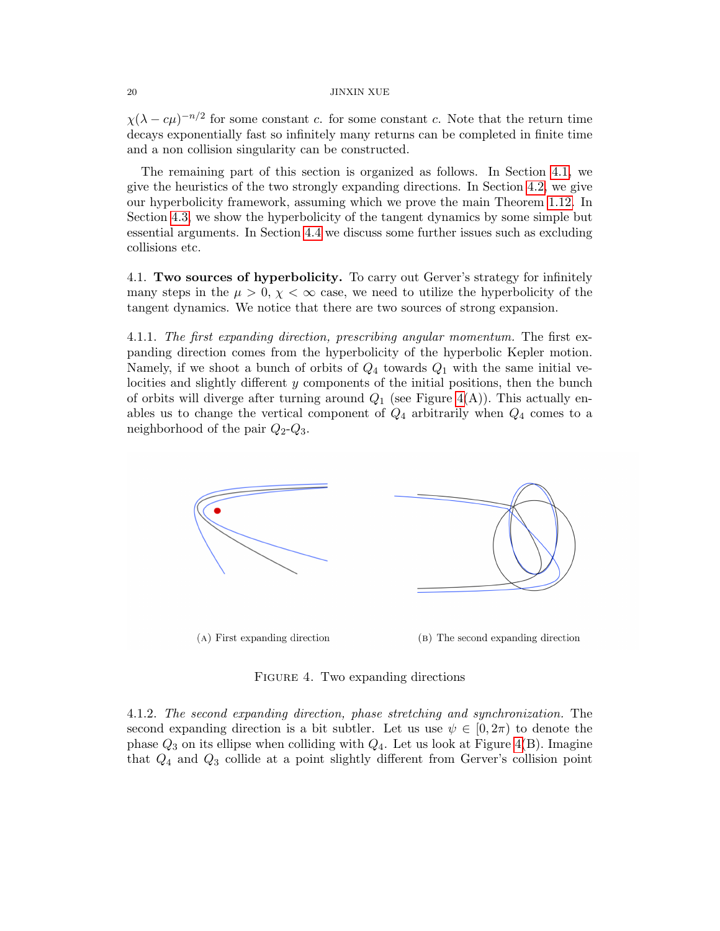$\chi(\lambda - c\mu)^{-n/2}$  for some constant c. for some constant c. Note that the return time decays exponentially fast so infinitely many returns can be completed in finite time and a non collision singularity can be constructed.

The remaining part of this section is organized as follows. In Section [4.1,](#page-19-0) we give the heuristics of the two strongly expanding directions. In Section [4.2,](#page-20-0) we give our hyperbolicity framework, assuming which we prove the main Theorem [1.12.](#page-7-0) In Section [4.3,](#page-22-0) we show the hyperbolicity of the tangent dynamics by some simple but essential arguments. In Section [4.4](#page-28-0) we discuss some further issues such as excluding collisions etc.

<span id="page-19-0"></span>4.1. Two sources of hyperbolicity. To carry out Gerver's strategy for infinitely many steps in the  $\mu > 0$ ,  $\chi < \infty$  case, we need to utilize the hyperbolicity of the tangent dynamics. We notice that there are two sources of strong expansion.

<span id="page-19-2"></span>4.1.1. The first expanding direction, prescribing angular momentum. The first expanding direction comes from the hyperbolicity of the hyperbolic Kepler motion. Namely, if we shoot a bunch of orbits of  $Q_4$  towards  $Q_1$  with the same initial velocities and slightly different y components of the initial positions, then the bunch of orbits will diverge after turning around  $Q_1$  (see Figure [4\(](#page-19-1)A)). This actually enables us to change the vertical component of  $Q_4$  arbitrarily when  $Q_4$  comes to a neighborhood of the pair  $Q_2-Q_3$ .



<span id="page-19-1"></span>FIGURE 4. Two expanding directions

4.1.2. The second expanding direction, phase stretching and synchronization. The second expanding direction is a bit subtler. Let us use  $\psi \in [0, 2\pi)$  to denote the phase  $Q_3$  on its ellipse when colliding with  $Q_4$ . Let us look at Figure [4\(](#page-19-1)B). Imagine that  $Q_4$  and  $Q_3$  collide at a point slightly different from Gerver's collision point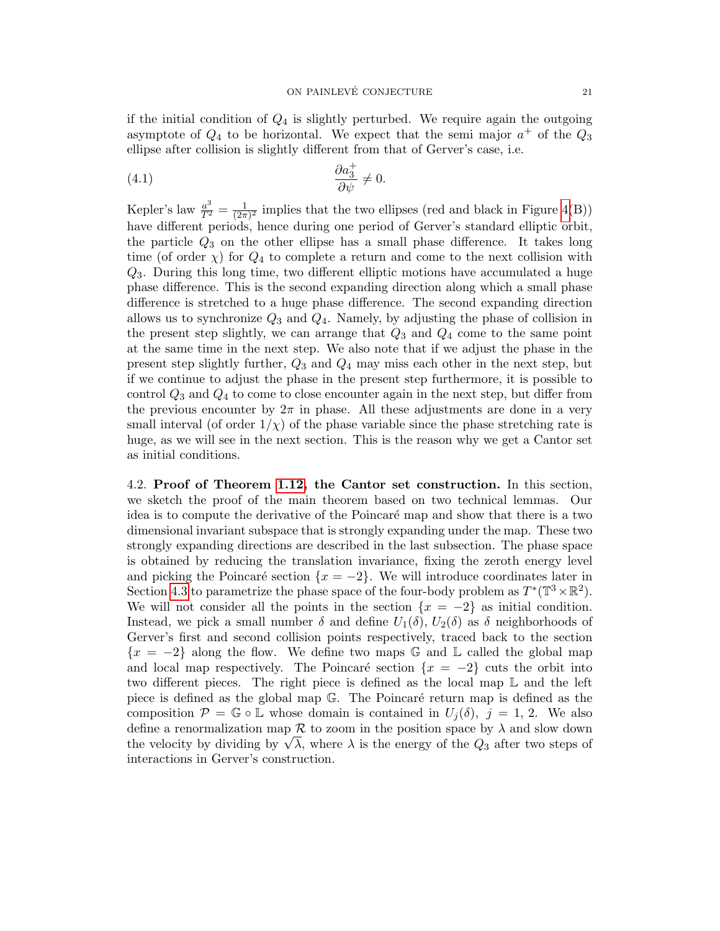if the initial condition of  $Q_4$  is slightly perturbed. We require again the outgoing asymptote of  $Q_4$  to be horizontal. We expect that the semi-major  $a^+$  of the  $Q_3$ ellipse after collision is slightly different from that of Gerver's case, i.e.

<span id="page-20-1"></span>
$$
\frac{\partial a_3^+}{\partial \psi} \neq 0.
$$

Kepler's law  $\frac{a^3}{T^2} = \frac{1}{(2\pi)}$  $\frac{1}{(2\pi)^2}$  implies that the two ellipses (red and black in Figure [4\(](#page-19-1)B)) have different periods, hence during one period of Gerver's standard elliptic orbit, the particle  $Q_3$  on the other ellipse has a small phase difference. It takes long time (of order  $\chi$ ) for  $Q_4$  to complete a return and come to the next collision with Q3. During this long time, two different elliptic motions have accumulated a huge phase difference. This is the second expanding direction along which a small phase difference is stretched to a huge phase difference. The second expanding direction allows us to synchronize  $Q_3$  and  $Q_4$ . Namely, by adjusting the phase of collision in the present step slightly, we can arrange that  $Q_3$  and  $Q_4$  come to the same point at the same time in the next step. We also note that if we adjust the phase in the present step slightly further,  $Q_3$  and  $Q_4$  may miss each other in the next step, but if we continue to adjust the phase in the present step furthermore, it is possible to control  $Q_3$  and  $Q_4$  to come to close encounter again in the next step, but differ from the previous encounter by  $2\pi$  in phase. All these adjustments are done in a very small interval (of order  $1/\chi$ ) of the phase variable since the phase stretching rate is huge, as we will see in the next section. This is the reason why we get a Cantor set as initial conditions.

<span id="page-20-0"></span>4.2. Proof of Theorem [1.12,](#page-7-0) the Cantor set construction. In this section, we sketch the proof of the main theorem based on two technical lemmas. Our idea is to compute the derivative of the Poincaré map and show that there is a two dimensional invariant subspace that is strongly expanding under the map. These two strongly expanding directions are described in the last subsection. The phase space is obtained by reducing the translation invariance, fixing the zeroth energy level and picking the Poincaré section  $\{x = -2\}$ . We will introduce coordinates later in Section [4.3](#page-22-0) to parametrize the phase space of the four-body problem as  $T^*(\mathbb{T}^3 \times \mathbb{R}^2)$ . We will not consider all the points in the section  $\{x = -2\}$  as initial condition. Instead, we pick a small number  $\delta$  and define  $U_1(\delta)$ ,  $U_2(\delta)$  as  $\delta$  neighborhoods of Gerver's first and second collision points respectively, traced back to the section  $\{x = -2\}$  along the flow. We define two maps G and L called the global map and local map respectively. The Poincaré section  $\{x = -2\}$  cuts the orbit into two different pieces. The right piece is defined as the local map L and the left piece is defined as the global map  $\mathbb{G}$ . The Poincaré return map is defined as the composition  $\mathcal{P} = \mathbb{G} \circ \mathbb{L}$  whose domain is contained in  $U_i(\delta)$ ,  $j = 1, 2$ . We also define a renormalization map  $R$  to zoom in the position space by  $\lambda$  and slow down define a renormalization map  $\kappa$  to zoom in the position space by  $\lambda$  and slow down<br>the velocity by dividing by  $\sqrt{\lambda}$ , where  $\lambda$  is the energy of the  $Q_3$  after two steps of interactions in Gerver's construction.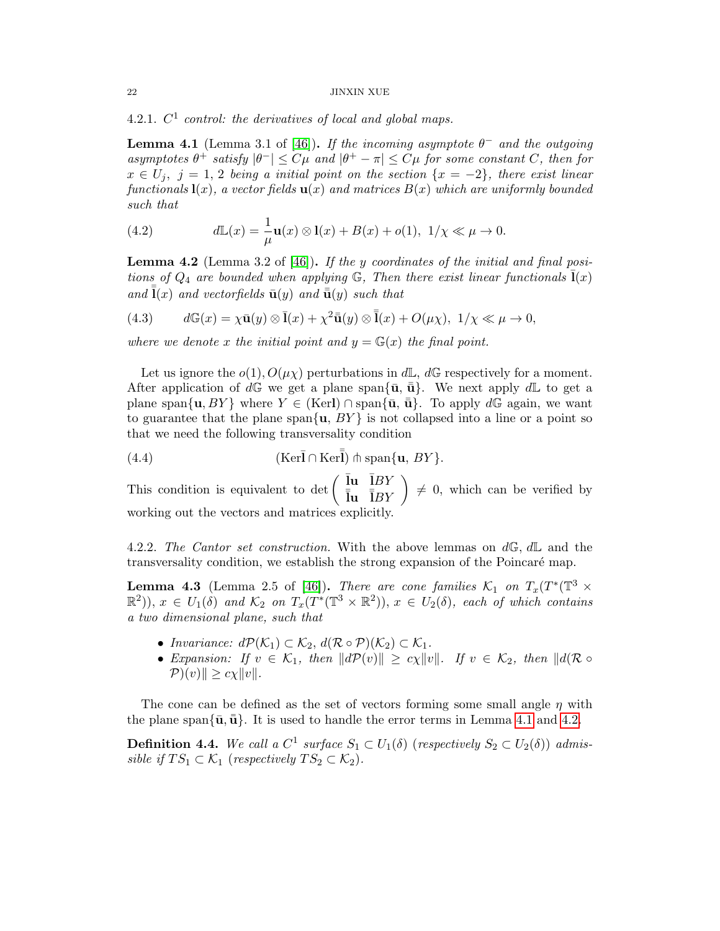4.2.1.  $C^1$  control: the derivatives of local and global maps.

<span id="page-21-0"></span>**Lemma 4.1** (Lemma 3.1 of [\[46\]](#page-45-7)). If the incoming asymptote  $\theta^-$  and the outgoing asymptotes  $\theta^+$  satisfy  $|\theta^-| \leq C\mu$  and  $|\theta^+ - \pi| \leq C\mu$  for some constant C, then for  $x \in U_j$ ,  $j = 1, 2$  being a initial point on the section  $\{x = -2\}$ , there exist linear functionals  $\mathbf{l}(x)$ , a vector fields  $\mathbf{u}(x)$  and matrices  $B(x)$  which are uniformly bounded such that

(4.2) 
$$
d\mathbb{L}(x) = \frac{1}{\mu}\mathbf{u}(x) \otimes \mathbf{l}(x) + B(x) + o(1), \ 1/\chi \ll \mu \to 0.
$$

<span id="page-21-1"></span>**Lemma 4.2** (Lemma 3.2 of [\[46\]](#page-45-7)). If the y coordinates of the initial and final positions of  $Q_4$  are bounded when applying  $\mathbb{G}$ , Then there exist linear functionals  $\bar{\mathbf{l}}(x)$ and  $\bar{\mathbf{l}}(x)$  and vectorfields  $\bar{\mathbf{u}}(y)$  and  $\bar{\bar{\mathbf{u}}}(y)$  such that

(4.3) 
$$
d\mathbb{G}(x) = \chi \bar{\mathbf{u}}(y) \otimes \bar{\mathbf{l}}(x) + \chi^2 \bar{\mathbf{u}}(y) \otimes \bar{\bar{\mathbf{l}}}(x) + O(\mu\chi), \ 1/\chi \ll \mu \to 0,
$$

where we denote x the initial point and  $y = \mathbb{G}(x)$  the final point.

Let us ignore the  $o(1)$ ,  $O(\mu_X)$  perturbations in  $d\mathbb{L}$ ,  $d\mathbb{G}$  respectively for a moment. After application of  $d\mathbb{G}$  we get a plane span ${\bar{\mathbf{u}}}, \bar{\mathbf{u}}$ . We next apply  $d\mathbb{L}$  to get a plane span $\{u, BY\}$  where  $Y \in (Ker) \cap \text{span}\{\bar{u}, \bar{u}\}.$  To apply dG again, we want to guarantee that the plane span $\{u, BY\}$  is not collapsed into a line or a point so that we need the following transversality condition

(4.4) (Ker¯l ∩ Ker¯¯l) t span{u, BY }.

This condition is equivalent to det  $\begin{pmatrix} \bar{\mathbf{I}} \mathbf{u} & \bar{I}BY \\ \bar{\mathbf{I}} \mathbf{u} & \bar{I}BY \end{pmatrix} \neq 0$ , which can be verified by working out the vectors and matrices explicitly.

4.2.2. The Cantor set construction. With the above lemmas on  $d\mathbb{G}, d\mathbb{L}$  and the transversality condition, we establish the strong expansion of the Poincaré map.

<span id="page-21-2"></span>**Lemma 4.3** (Lemma 2.5 of [\[46\]](#page-45-7)). There are cone families  $K_1$  on  $T_x(T^*(\mathbb{T}^3 \times$  $(\mathbb{R}^2)$ ,  $x \in U_1(\delta)$  and  $\mathcal{K}_2$  on  $T_x(T^*(\mathbb{T}^3 \times \mathbb{R}^2))$ ,  $x \in U_2(\delta)$ , each of which contains a two dimensional plane, such that

- Invariance:  $d\mathcal{P}(\mathcal{K}_1) \subset \mathcal{K}_2$ ,  $d(\mathcal{R} \circ \mathcal{P})(\mathcal{K}_2) \subset \mathcal{K}_1$ .
- Expansion: If  $v \in \mathcal{K}_1$ , then  $||d\mathcal{P}(v)|| \ge c\chi ||v||$ . If  $v \in \mathcal{K}_2$ , then  $||d(\mathcal{R} \circ$  $\mathcal{P}(v)$ ||  $\geq c \chi \|v\|.$

The cone can be defined as the set of vectors forming some small angle  $\eta$  with the plane span ${\bar{\mathbf{u}}}, \bar{\mathbf{u}}\}$ . It is used to handle the error terms in Lemma [4.1](#page-21-0) and [4.2.](#page-21-1)

**Definition 4.4.** We call a  $C^1$  surface  $S_1 \subset U_1(\delta)$  (respectively  $S_2 \subset U_2(\delta)$ ) admissible if  $TS_1 \subset \mathcal{K}_1$  (respectively  $TS_2 \subset \mathcal{K}_2$ ).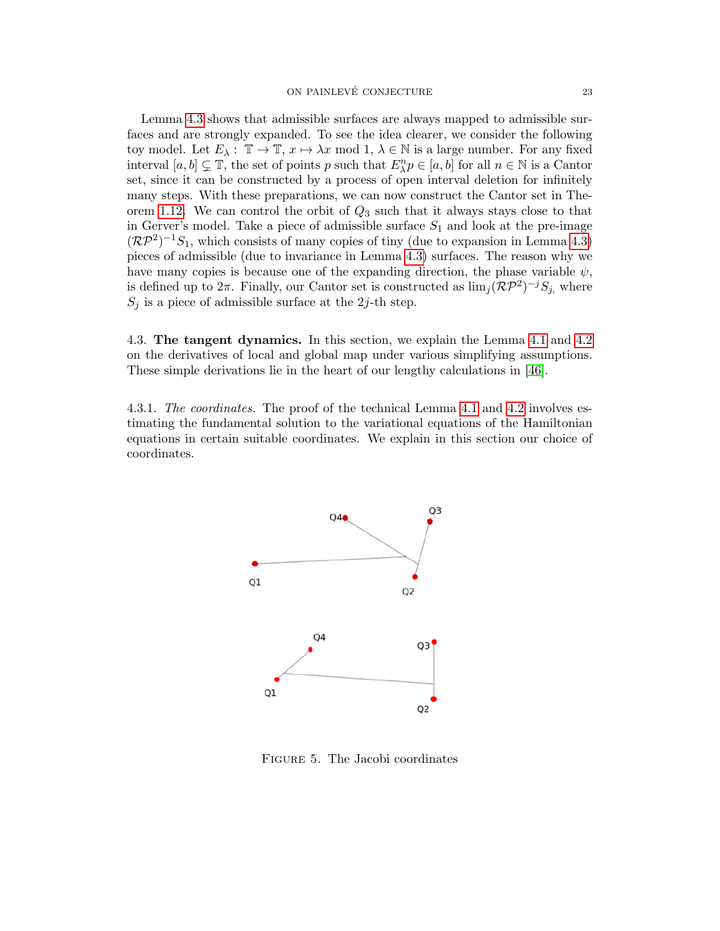Lemma [4.3](#page-21-2) shows that admissible surfaces are always mapped to admissible surfaces and are strongly expanded. To see the idea clearer, we consider the following toy model. Let  $E_\lambda: \mathbb{T} \to \mathbb{T}$ ,  $x \mapsto \lambda x \mod 1$ ,  $\lambda \in \mathbb{N}$  is a large number. For any fixed interval  $[a, b] \subsetneq \mathbb{T}$ , the set of points p such that  $E_{\lambda}^{n} p \in [a, b]$  for all  $n \in \mathbb{N}$  is a Cantor set, since it can be constructed by a process of open interval deletion for infinitely many steps. With these preparations, we can now construct the Cantor set in The-orem [1.12.](#page-7-0) We can control the orbit of  $Q_3$  such that it always stays close to that in Gerver's model. Take a piece of admissible surface  $S_1$  and look at the pre-image  $(\mathcal{RP}^2)^{-1}S_1$ , which consists of many copies of tiny (due to expansion in Lemma [4.3\)](#page-21-2) pieces of admissible (due to invariance in Lemma [4.3\)](#page-21-2) surfaces. The reason why we have many copies is because one of the expanding direction, the phase variable  $\psi$ , is defined up to  $2\pi$ . Finally, our Cantor set is constructed as  $\lim_{j} (\mathcal{RP}^2)^{-j} S_{j}$ , where  $S_j$  is a piece of admissible surface at the 2j-th step.

<span id="page-22-0"></span>4.3. The tangent dynamics. In this section, we explain the Lemma [4.1](#page-21-0) and [4.2](#page-21-1) on the derivatives of local and global map under various simplifying assumptions. These simple derivations lie in the heart of our lengthy calculations in [\[46\]](#page-45-7).

4.3.1. The coordinates. The proof of the technical Lemma [4.1](#page-21-0) and [4.2](#page-21-1) involves estimating the fundamental solution to the variational equations of the Hamiltonian equations in certain suitable coordinates. We explain in this section our choice of coordinates.



<span id="page-22-1"></span>Figure 5. The Jacobi coordinates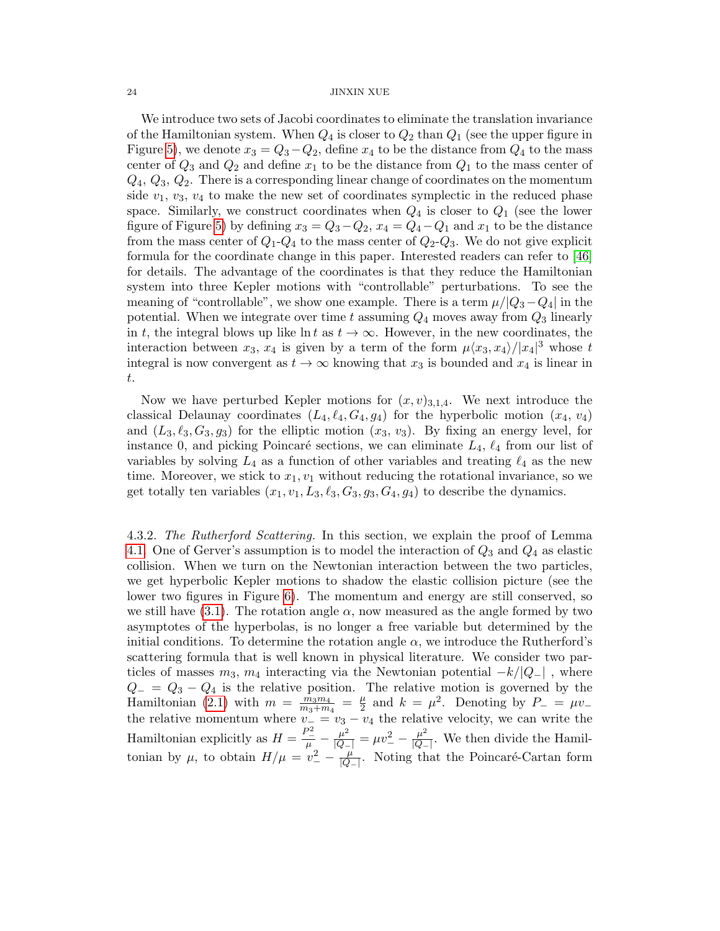We introduce two sets of Jacobi coordinates to eliminate the translation invariance of the Hamiltonian system. When  $Q_4$  is closer to  $Q_2$  than  $Q_1$  (see the upper figure in Figure [5\)](#page-22-1), we denote  $x_3 = Q_3 - Q_2$ , define  $x_4$  to be the distance from  $Q_4$  to the mass center of  $Q_3$  and  $Q_2$  and define  $x_1$  to be the distance from  $Q_1$  to the mass center of  $Q_4, Q_3, Q_2$ . There is a corresponding linear change of coordinates on the momentum side  $v_1, v_3, v_4$  to make the new set of coordinates symplectic in the reduced phase space. Similarly, we construct coordinates when  $Q_4$  is closer to  $Q_1$  (see the lower figure of Figure [5\)](#page-22-1) by defining  $x_3 = Q_3 - Q_2$ ,  $x_4 = Q_4 - Q_1$  and  $x_1$  to be the distance from the mass center of  $Q_1 - Q_4$  to the mass center of  $Q_2 - Q_3$ . We do not give explicit formula for the coordinate change in this paper. Interested readers can refer to [\[46\]](#page-45-7) for details. The advantage of the coordinates is that they reduce the Hamiltonian system into three Kepler motions with "controllable" perturbations. To see the meaning of "controllable", we show one example. There is a term  $\mu/(Q_3-Q_4)$  in the potential. When we integrate over time t assuming  $Q_4$  moves away from  $Q_3$  linearly in t, the integral blows up like ln t as  $t \to \infty$ . However, in the new coordinates, the interaction between  $x_3, x_4$  is given by a term of the form  $\mu\langle x_3, x_4\rangle/|x_4|^3$  whose t integral is now convergent as  $t \to \infty$  knowing that  $x_3$  is bounded and  $x_4$  is linear in t.

Now we have perturbed Kepler motions for  $(x, v)_{3,1,4}$ . We next introduce the classical Delaunay coordinates  $(L_4, \ell_4, G_4, g_4)$  for the hyperbolic motion  $(x_4, v_4)$ and  $(L_3, \ell_3, G_3, g_3)$  for the elliptic motion  $(x_3, v_3)$ . By fixing an energy level, for instance 0, and picking Poincaré sections, we can eliminate  $L_4$ ,  $\ell_4$  from our list of variables by solving  $L_4$  as a function of other variables and treating  $\ell_4$  as the new time. Moreover, we stick to  $x_1, v_1$  without reducing the rotational invariance, so we get totally ten variables  $(x_1, v_1, L_3, \ell_3, G_3, g_3, G_4, g_4)$  to describe the dynamics.

4.3.2. The Rutherford Scattering. In this section, we explain the proof of Lemma [4.1.](#page-21-0) One of Gerver's assumption is to model the interaction of  $Q_3$  and  $Q_4$  as elastic collision. When we turn on the Newtonian interaction between the two particles, we get hyperbolic Kepler motions to shadow the elastic collision picture (see the lower two figures in Figure [6\)](#page-24-0). The momentum and energy are still conserved, so we still have [\(3.1\)](#page-12-2). The rotation angle  $\alpha$ , now measured as the angle formed by two asymptotes of the hyperbolas, is no longer a free variable but determined by the initial conditions. To determine the rotation angle  $\alpha$ , we introduce the Rutherford's scattering formula that is well known in physical literature. We consider two particles of masses  $m_3$ ,  $m_4$  interacting via the Newtonian potential  $-k/|Q_-\|$ , where  $Q_-=Q_3-Q_4$  is the relative position. The relative motion is governed by the Hamiltonian [\(2.1\)](#page-8-1) with  $m = \frac{m_3 m_4}{m_1 + m_2}$  $\frac{\tilde{m}_3 m_4}{m_3+m_4} = \frac{\mu}{2}$  $\frac{\mu}{2}$  and  $k = \mu^2$ . Denoting by  $P_- = \mu v_$ the relative momentum where  $v_ - = v_3 - v_4$  the relative velocity, we can write the Hamiltonian explicitly as  $H = \frac{P_{-}^2}{\mu} - \frac{\mu^2}{|Q_{-}|} = \mu v_{-}^2 - \frac{\mu^2}{|Q_{-}|}$  $\frac{\mu}{|Q-|}$ . We then divide the Hamiltonian by  $\mu$ , to obtain  $H/\mu = v^2 - \frac{\mu}{Q}$  $\frac{\mu}{|Q_-\rangle}$ . Noting that the Poincaré-Cartan form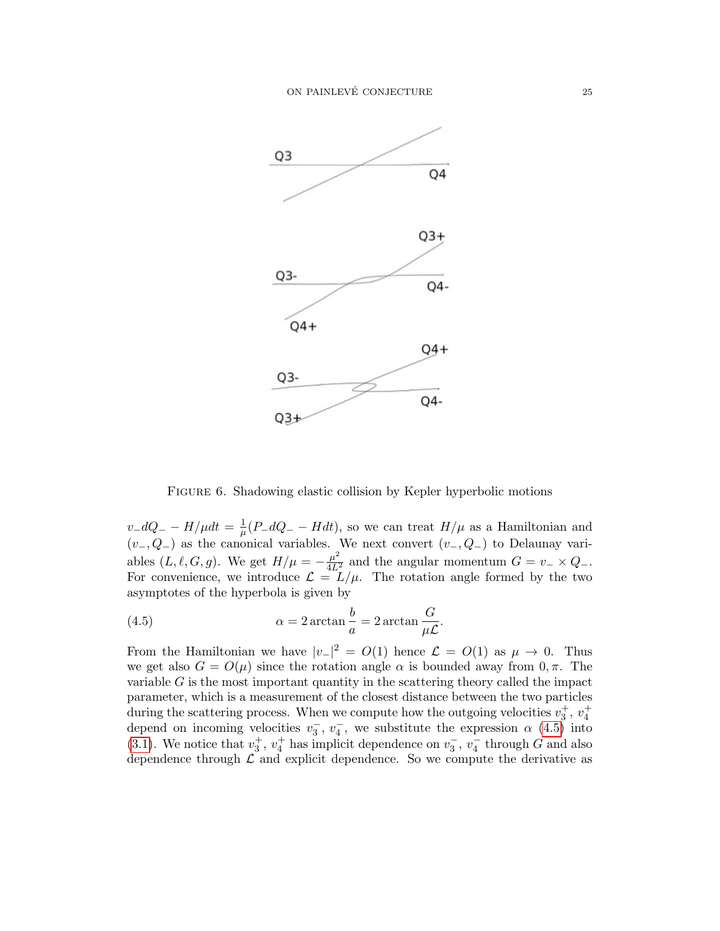

<span id="page-24-0"></span>Figure 6. Shadowing elastic collision by Kepler hyperbolic motions

 $v_dQ_+ - H/\mu dt = \frac{1}{\mu}$  $\frac{1}{\mu}(P_{-}dQ_{-}-Hdt)$ , so we can treat  $H/\mu$  as a Hamiltonian and  $(v_-, Q_-)$  as the canonical variables. We next convert  $(v_-, Q_-)$  to Delaunay variables  $(L, \ell, G, g)$ . We get  $H/\mu = -\frac{\mu^2}{4L^2}$  and the angular momentum  $G = v_- \times Q_-$ . For convenience, we introduce  $\mathcal{L} = L/\mu$ . The rotation angle formed by the two asymptotes of the hyperbola is given by

<span id="page-24-1"></span>(4.5) 
$$
\alpha = 2 \arctan \frac{b}{a} = 2 \arctan \frac{G}{\mu \mathcal{L}}.
$$

From the Hamiltonian we have  $|v_{-}|^2 = O(1)$  hence  $\mathcal{L} = O(1)$  as  $\mu \to 0$ . Thus we get also  $G = O(\mu)$  since the rotation angle  $\alpha$  is bounded away from 0,  $\pi$ . The variable  $G$  is the most important quantity in the scattering theory called the impact parameter, which is a measurement of the closest distance between the two particles during the scattering process. When we compute how the outgoing velocities  $v_3^+$ ,  $v_4^+$ depend on incoming velocities  $v_3^-, v_4^-,$  we substitute the expression  $\alpha$  [\(4.5\)](#page-24-1) into [\(3.1\)](#page-12-2). We notice that  $v_3^+, v_4^+$  has implicit dependence on  $v_3^-, v_4^-$  through G and also dependence through  $\mathcal L$  and explicit dependence. So we compute the derivative as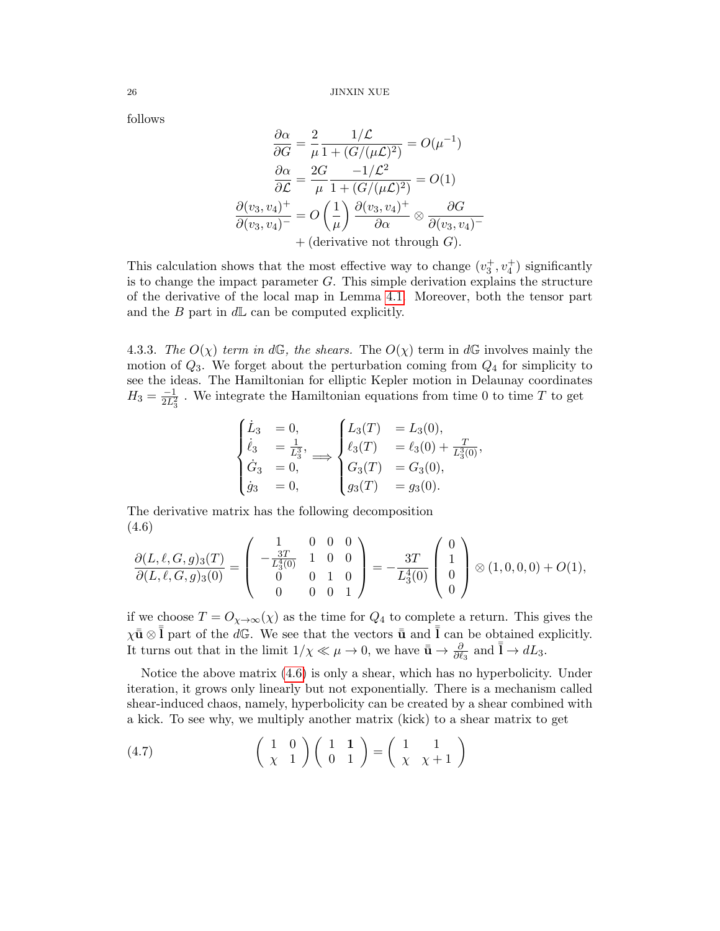follows

$$
\frac{\partial \alpha}{\partial G} = \frac{2}{\mu} \frac{1/\mathcal{L}}{1 + (G/(\mu \mathcal{L})^2)} = O(\mu^{-1})
$$

$$
\frac{\partial \alpha}{\partial \mathcal{L}} = \frac{2G}{\mu} \frac{-1/\mathcal{L}^2}{1 + (G/(\mu \mathcal{L})^2)} = O(1)
$$

$$
\frac{\partial (v_3, v_4)^+}{\partial (v_3, v_4)^-} = O\left(\frac{1}{\mu}\right) \frac{\partial (v_3, v_4)^+}{\partial \alpha} \otimes \frac{\partial G}{\partial (v_3, v_4)^-}
$$

$$
+ (\text{derivative not through } G).
$$

This calculation shows that the most effective way to change  $(v_3^+, v_4^+)$  significantly is to change the impact parameter  $G$ . This simple derivation explains the structure of the derivative of the local map in Lemma [4.1.](#page-21-0) Moreover, both the tensor part and the B part in  $d\mathbb{L}$  can be computed explicitly.

4.3.3. The  $O(\chi)$  term in dG, the shears. The  $O(\chi)$  term in dG involves mainly the motion of  $Q_3$ . We forget about the perturbation coming from  $Q_4$  for simplicity to see the ideas. The Hamiltonian for elliptic Kepler motion in Delaunay coordinates  $H_3 = \frac{-1}{2L_3^2}$ . We integrate the Hamiltonian equations from time 0 to time T to get

$$
\begin{cases}\n\dot{L}_3 = 0, \\
\dot{\ell}_3 = \frac{1}{L_3^3}, \\
\dot{G}_3 = 0, \\
\dot{g}_3 = 0,\n\end{cases}\n\Longrightarrow\n\begin{cases}\nL_3(T) = L_3(0), \\
\ell_3(T) = \ell_3(0) + \frac{T}{L_3^3(0)}, \\
G_3(T) = G_3(0), \\
g_3(T) = g_3(0).\n\end{cases}
$$

The derivative matrix has the following decomposition (4.6)

<span id="page-25-0"></span>
$$
\frac{\partial (L,\ell,G,g)_3(T)}{\partial (L,\ell,G,g)_3(0)} = \left( \begin{array}{ccc} 1 & 0 & 0 & 0 \\ -\frac{3T}{L_3^4(0)} & 1 & 0 & 0 \\ 0 & 0 & 1 & 0 \\ 0 & 0 & 0 & 1 \end{array} \right) = -\frac{3T}{L_3^4(0)} \left( \begin{array}{c} 0 \\ 1 \\ 0 \\ 0 \end{array} \right) \otimes (1,0,0,0) + O(1),
$$

if we choose  $T = O_{\chi \to \infty}(\chi)$  as the time for  $Q_4$  to complete a return. This gives the  $\chi \bar{\bar{u}} \otimes \bar{\bar{l}}$  part of the dG. We see that the vectors  $\bar{\bar{u}}$  and  $\bar{\bar{l}}$  can be obtained explicitly. It turns out that in the limit  $1/\chi \ll \mu \to 0$ , we have  $\bar{\bar{u}} \to \frac{\partial}{\partial \ell_3}$  and  $\bar{\bar{l}} \to dL_3$ .

Notice the above matrix [\(4.6\)](#page-25-0) is only a shear, which has no hyperbolicity. Under iteration, it grows only linearly but not exponentially. There is a mechanism called shear-induced chaos, namely, hyperbolicity can be created by a shear combined with a kick. To see why, we multiply another matrix (kick) to a shear matrix to get

<span id="page-25-1"></span>(4.7) 
$$
\begin{pmatrix} 1 & 0 \ \chi & 1 \end{pmatrix} \begin{pmatrix} 1 & 1 \ 0 & 1 \end{pmatrix} = \begin{pmatrix} 1 & 1 \ \chi & \chi + 1 \end{pmatrix}
$$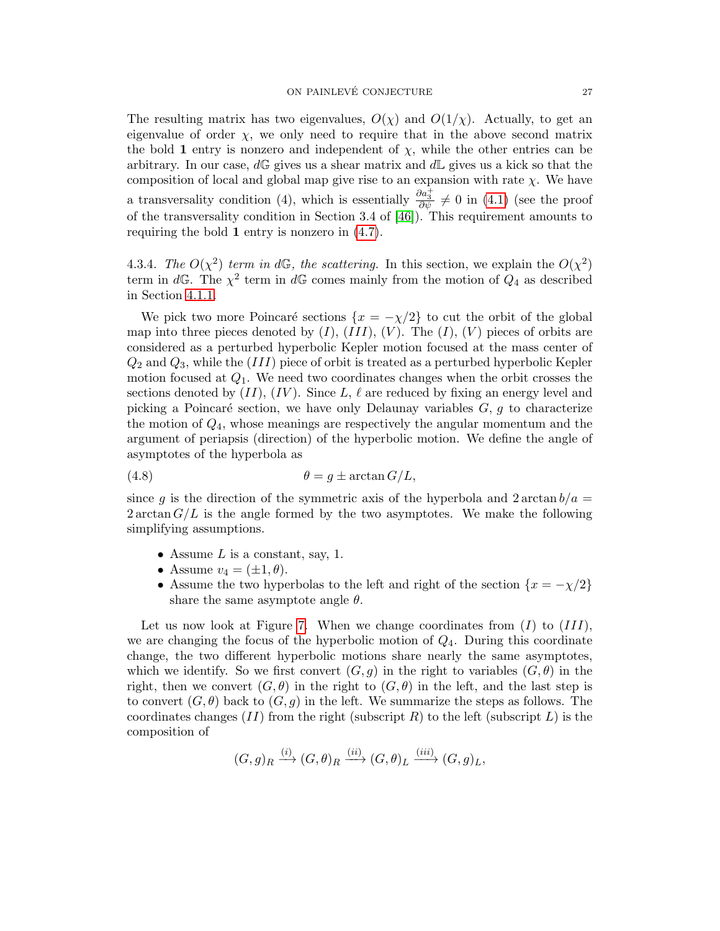The resulting matrix has two eigenvalues,  $O(\chi)$  and  $O(1/\chi)$ . Actually, to get an eigenvalue of order  $\chi$ , we only need to require that in the above second matrix the bold 1 entry is nonzero and independent of  $\chi$ , while the other entries can be arbitrary. In our case,  $d\mathbb{G}$  gives us a shear matrix and  $d\mathbb{L}$  gives us a kick so that the composition of local and global map give rise to an expansion with rate  $\chi$ . We have a transversality condition (4), which is essentially  $\frac{\partial a_3^+}{\partial \psi} \neq 0$  in [\(4.1\)](#page-20-1) (see the proof of the transversality condition in Section 3.4 of [\[46\]](#page-45-7)). This requirement amounts to requiring the bold 1 entry is nonzero in [\(4.7\)](#page-25-1).

4.3.4. The  $O(\chi^2)$  term in dG, the scattering. In this section, we explain the  $O(\chi^2)$ term in dG. The  $\chi^2$  term in dG comes mainly from the motion of  $Q_4$  as described in Section [4.1.1.](#page-19-2)

We pick two more Poincaré sections  $\{x = -\chi/2\}$  to cut the orbit of the global map into three pieces denoted by  $(I)$ ,  $(III)$ ,  $(V)$ . The  $(I)$ ,  $(V)$  pieces of orbits are considered as a perturbed hyperbolic Kepler motion focused at the mass center of  $Q_2$  and  $Q_3$ , while the (III) piece of orbit is treated as a perturbed hyperbolic Kepler motion focused at  $Q_1$ . We need two coordinates changes when the orbit crosses the sections denoted by  $(II)$ ,  $(IV)$ . Since L,  $\ell$  are reduced by fixing an energy level and picking a Poincaré section, we have only Delaunay variables  $G, g$  to characterize the motion of  $Q_4$ , whose meanings are respectively the angular momentum and the argument of periapsis (direction) of the hyperbolic motion. We define the angle of asymptotes of the hyperbola as

(4.8) 
$$
\theta = g \pm \arctan G/L,
$$

since g is the direction of the symmetric axis of the hyperbola and  $2 \arctan b/a =$  $2 \arctan G/L$  is the angle formed by the two asymptotes. We make the following simplifying assumptions.

- Assume  $L$  is a constant, say, 1.
- Assume  $v_4 = (\pm 1, \theta)$ .
- Assume the two hyperbolas to the left and right of the section  $\{x = -\chi/2\}$ share the same asymptote angle  $\theta$ .

Let us now look at Figure [7.](#page-27-0) When we change coordinates from  $(I)$  to  $(III)$ , we are changing the focus of the hyperbolic motion of  $Q_4$ . During this coordinate change, the two different hyperbolic motions share nearly the same asymptotes, which we identify. So we first convert  $(G, g)$  in the right to variables  $(G, \theta)$  in the right, then we convert  $(G, \theta)$  in the right to  $(G, \theta)$  in the left, and the last step is to convert  $(G, \theta)$  back to  $(G, q)$  in the left. We summarize the steps as follows. The coordinates changes  $(II)$  from the right (subscript R) to the left (subscript L) is the composition of

$$
(G,g)_R \xrightarrow{(i)} (G,\theta)_R \xrightarrow{(ii)} (G,\theta)_L \xrightarrow{(iii)} (G,g)_L,
$$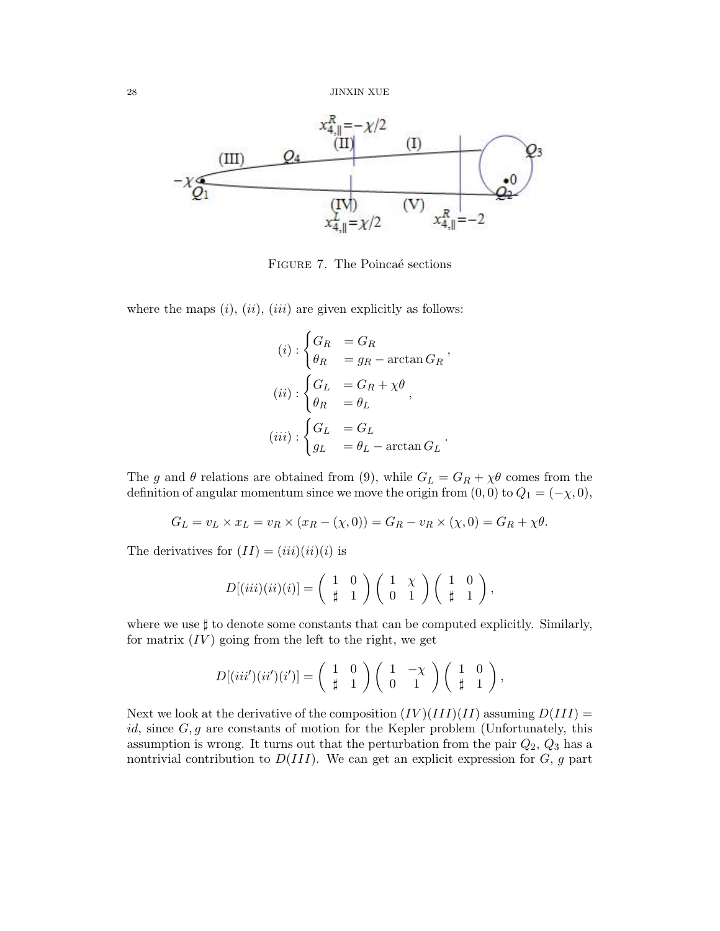

<span id="page-27-0"></span>FIGURE 7. The Poincaé sections

where the maps  $(i)$ ,  $(ii)$ ,  $(iii)$  are given explicitly as follows:

$$
(i) : \begin{cases} G_R &= G_R \\ \theta_R &= g_R - \arctan G_R \end{cases},
$$

$$
(ii) : \begin{cases} G_L &= G_R + \chi \theta \\ \theta_R &= \theta_L \end{cases},
$$

$$
(iii) : \begin{cases} G_L &= G_L \\ g_L &= \theta_L - \arctan G_L \end{cases}.
$$

The g and  $\theta$  relations are obtained from (9), while  $G_L = G_R + \chi \theta$  comes from the definition of angular momentum since we move the origin from  $(0, 0)$  to  $Q_1 = (-\chi, 0)$ ,

$$
G_L = v_L \times x_L = v_R \times (x_R - (\chi, 0)) = G_R - v_R \times (\chi, 0) = G_R + \chi \theta.
$$

The derivatives for  $(II) = (iii)(ii)(i)$  is

$$
D[(iii)(ii)(i)] = \begin{pmatrix} 1 & 0 \\ \sharp & 1 \end{pmatrix} \begin{pmatrix} 1 & \chi \\ 0 & 1 \end{pmatrix} \begin{pmatrix} 1 & 0 \\ \sharp & 1 \end{pmatrix},
$$

where we use  $\sharp$  to denote some constants that can be computed explicitly. Similarly, for matrix  $(IV)$  going from the left to the right, we get

$$
D[(iii')(ii')(i')]=\begin{pmatrix}1 & 0\\ \frac{1}{4} & 1\end{pmatrix}\begin{pmatrix}1 & -\chi\\ 0 & 1\end{pmatrix}\begin{pmatrix}1 & 0\\ \frac{1}{4} & 1\end{pmatrix},
$$

Next we look at the derivative of the composition  $(IV)(III)(II)$  assuming  $D(III)$  = id, since  $G, g$  are constants of motion for the Kepler problem (Unfortunately, this assumption is wrong. It turns out that the perturbation from the pair  $Q_2$ ,  $Q_3$  has a nontrivial contribution to  $D(III)$ . We can get an explicit expression for  $G, g$  part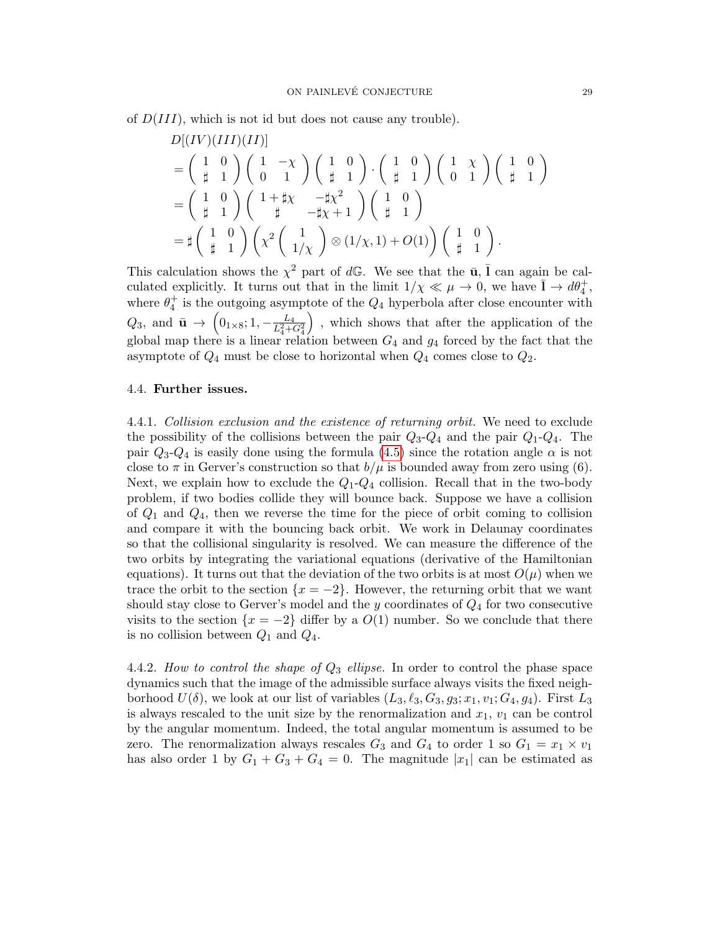of  $D(III)$ , which is not id but does not cause any trouble).

$$
D[(IV)(III)(II)]
$$
\n
$$
= \begin{pmatrix} 1 & 0 \\ \frac{1}{\mu} & 1 \end{pmatrix} \begin{pmatrix} 1 & -\chi \\ 0 & 1 \end{pmatrix} \begin{pmatrix} 1 & 0 \\ \frac{1}{\mu} & 1 \end{pmatrix} \cdot \begin{pmatrix} 1 & 0 \\ \frac{1}{\mu} & 1 \end{pmatrix} \begin{pmatrix} 1 & \chi \\ 0 & 1 \end{pmatrix} \begin{pmatrix} 1 & 0 \\ \frac{1}{\mu} & 1 \end{pmatrix}
$$
\n
$$
= \begin{pmatrix} 1 & 0 \\ \frac{1}{\mu} & 1 \end{pmatrix} \begin{pmatrix} 1 + \frac{1}{\mu}\chi & -\frac{1}{\mu}\chi^2 \\ \frac{1}{\mu} & -\frac{1}{\mu}\chi + 1 \end{pmatrix} \begin{pmatrix} 1 & 0 \\ \frac{1}{\mu} & 1 \end{pmatrix}
$$
\n
$$
= \sharp \begin{pmatrix} 1 & 0 \\ \frac{1}{\mu} & 1 \end{pmatrix} \begin{pmatrix} \chi^2 \begin{pmatrix} 1 \\ 1/\chi \end{pmatrix} \otimes (1/\chi, 1) + O(1) \end{pmatrix} \begin{pmatrix} 1 & 0 \\ \frac{1}{\mu} & 1 \end{pmatrix}.
$$

This calculation shows the  $\chi^2$  part of dG. We see that the  $\bar{u}$ ,  $\bar{l}$  can again be calculated explicitly. It turns out that in the limit  $1/\chi \ll \mu \to 0$ , we have  $\bar{1} \to d\theta_4^+$ , where  $\theta_4^+$  is the outgoing asymptote of the  $Q_4$  hyperbola after close encounter with  $Q_3$ , and  $\bar{\mathbf{u}} \to \left(0_{1\times8}; 1, -\frac{L_4}{L_4^2 + G_4^2}\right)$  , which shows that after the application of the global map there is a linear relation between  $G_4$  and  $g_4$  forced by the fact that the asymptote of  $Q_4$  must be close to horizontal when  $Q_4$  comes close to  $Q_2$ .

### <span id="page-28-0"></span>4.4. Further issues.

4.4.1. Collision exclusion and the existence of returning orbit. We need to exclude the possibility of the collisions between the pair  $Q_3$ - $Q_4$  and the pair  $Q_1$ - $Q_4$ . The pair  $Q_3 - Q_4$  is easily done using the formula [\(4.5\)](#page-24-1) since the rotation angle  $\alpha$  is not close to  $\pi$  in Gerver's construction so that  $b/\mu$  is bounded away from zero using (6). Next, we explain how to exclude the  $Q_1 - Q_4$  collision. Recall that in the two-body problem, if two bodies collide they will bounce back. Suppose we have a collision of  $Q_1$  and  $Q_4$ , then we reverse the time for the piece of orbit coming to collision and compare it with the bouncing back orbit. We work in Delaunay coordinates so that the collisional singularity is resolved. We can measure the difference of the two orbits by integrating the variational equations (derivative of the Hamiltonian equations). It turns out that the deviation of the two orbits is at most  $O(\mu)$  when we trace the orbit to the section  $\{x = -2\}$ . However, the returning orbit that we want should stay close to Gerver's model and the y coordinates of  $Q_4$  for two consecutive visits to the section  $\{x = -2\}$  differ by a  $O(1)$  number. So we conclude that there is no collision between  $Q_1$  and  $Q_4$ .

4.4.2. How to control the shape of  $Q_3$  ellipse. In order to control the phase space dynamics such that the image of the admissible surface always visits the fixed neighborhood  $U(\delta)$ , we look at our list of variables  $(L_3, \ell_3, G_3, g_3; x_1, v_1; G_4, g_4)$ . First  $L_3$ is always rescaled to the unit size by the renormalization and  $x_1, v_1$  can be control by the angular momentum. Indeed, the total angular momentum is assumed to be zero. The renormalization always rescales  $G_3$  and  $G_4$  to order 1 so  $G_1 = x_1 \times v_1$ has also order 1 by  $G_1 + G_3 + G_4 = 0$ . The magnitude |x<sub>1</sub>| can be estimated as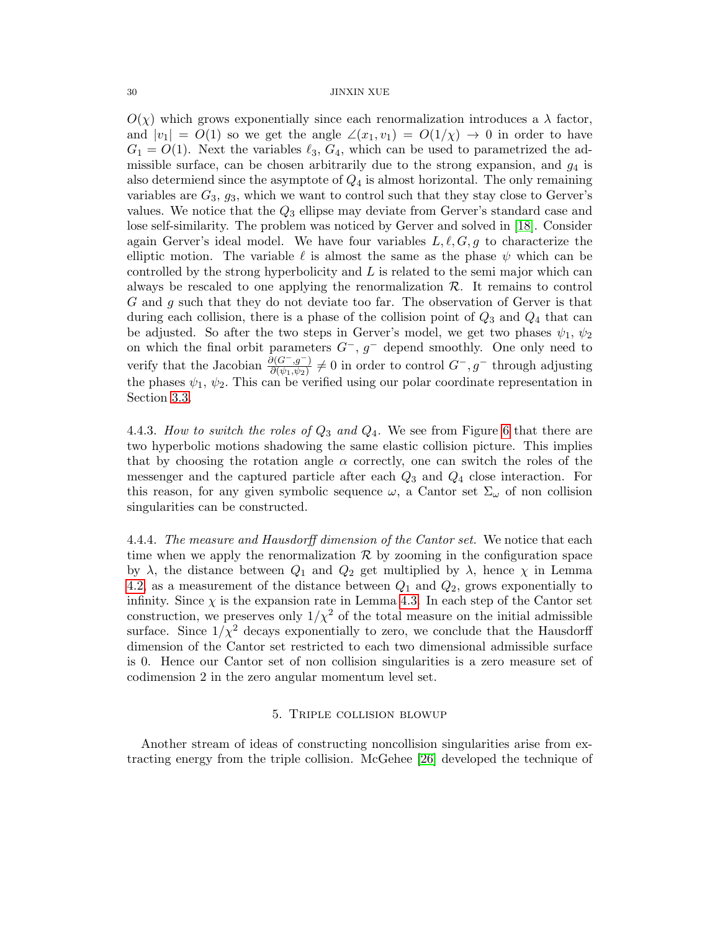$O(\chi)$  which grows exponentially since each renormalization introduces a  $\lambda$  factor, and  $|v_1| = O(1)$  so we get the angle  $\angle(x_1, v_1) = O(1/\chi) \rightarrow 0$  in order to have  $G_1 = O(1)$ . Next the variables  $\ell_3, G_4$ , which can be used to parametrized the admissible surface, can be chosen arbitrarily due to the strong expansion, and  $g_4$  is also determiend since the asymptote of  $Q_4$  is almost horizontal. The only remaining variables are  $G_3$ ,  $g_3$ , which we want to control such that they stay close to Gerver's values. We notice that the  $Q_3$  ellipse may deviate from Gerver's standard case and lose self-similarity. The problem was noticed by Gerver and solved in [\[18\]](#page-44-13). Consider again Gerver's ideal model. We have four variables  $L, \ell, G, g$  to characterize the elliptic motion. The variable  $\ell$  is almost the same as the phase  $\psi$  which can be controlled by the strong hyperbolicity and L is related to the semi major which can always be rescaled to one applying the renormalization  $\mathcal{R}$ . It remains to control G and g such that they do not deviate too far. The observation of Gerver is that during each collision, there is a phase of the collision point of  $Q_3$  and  $Q_4$  that can be adjusted. So after the two steps in Gerver's model, we get two phases  $\psi_1, \psi_2$ on which the final orbit parameters  $G^-$ ,  $g^-$  depend smoothly. One only need to verify that the Jacobian  $\frac{\partial (G^-, g^-)}{\partial (\psi_1, \psi_2)} \neq 0$  in order to control  $G^-, g^-$  through adjusting the phases  $\psi_1$ ,  $\psi_2$ . This can be verified using our polar coordinate representation in Section [3.3.](#page-16-0)

4.4.3. How to switch the roles of  $Q_3$  and  $Q_4$ . We see from Figure [6](#page-24-0) that there are two hyperbolic motions shadowing the same elastic collision picture. This implies that by choosing the rotation angle  $\alpha$  correctly, one can switch the roles of the messenger and the captured particle after each  $Q_3$  and  $Q_4$  close interaction. For this reason, for any given symbolic sequence  $\omega$ , a Cantor set  $\Sigma_{\omega}$  of non collision singularities can be constructed.

4.4.4. The measure and Hausdorff dimension of the Cantor set. We notice that each time when we apply the renormalization  $\mathcal R$  by zooming in the configuration space by  $\lambda$ , the distance between  $Q_1$  and  $Q_2$  get multiplied by  $\lambda$ , hence  $\chi$  in Lemma [4.2,](#page-21-1) as a measurement of the distance between  $Q_1$  and  $Q_2$ , grows exponentially to infinity. Since  $\chi$  is the expansion rate in Lemma [4.3.](#page-21-2) In each step of the Cantor set construction, we preserves only  $1/\chi^2$  of the total measure on the initial admissible surface. Since  $1/\chi^2$  decays exponentially to zero, we conclude that the Hausdorff dimension of the Cantor set restricted to each two dimensional admissible surface is 0. Hence our Cantor set of non collision singularities is a zero measure set of codimension 2 in the zero angular momentum level set.

### 5. Triple collision blowup

<span id="page-29-0"></span>Another stream of ideas of constructing noncollision singularities arise from extracting energy from the triple collision. McGehee [\[26\]](#page-44-16) developed the technique of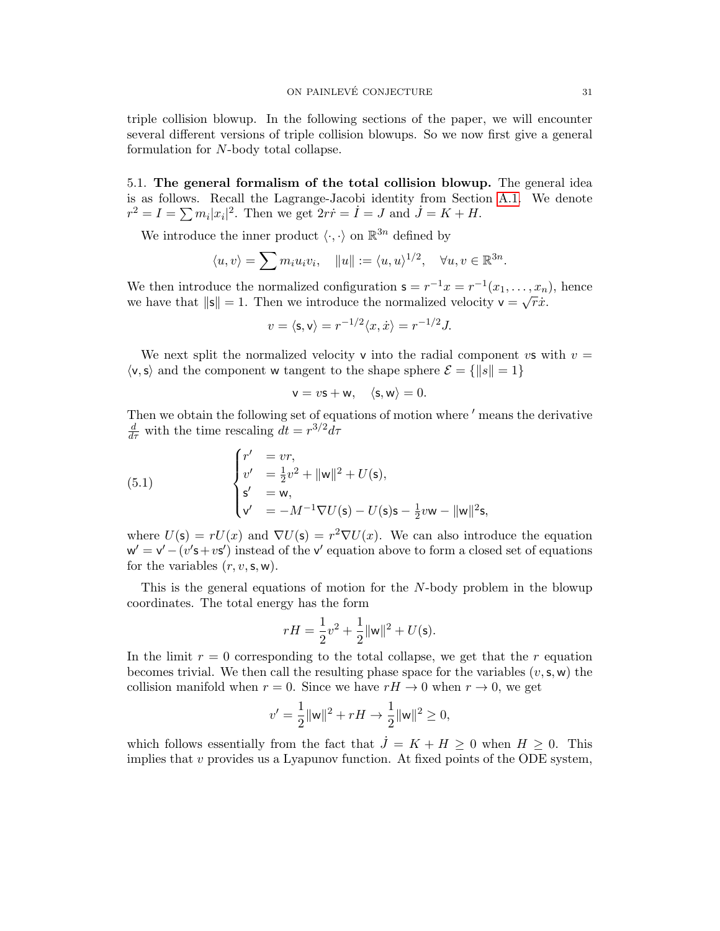triple collision blowup. In the following sections of the paper, we will encounter several different versions of triple collision blowups. So we now first give a general formulation for N-body total collapse.

<span id="page-30-0"></span>5.1. The general formalism of the total collision blowup. The general idea is as follows. Recall the Lagrange-Jacobi identity from Section [A.1.](#page-37-1) We denote  $r^2 = I = \sum m_i |x_i|^2$ . Then we get  $2r\dot{r} = \dot{I} = J$  and  $\dot{J} = K + H$ .

We introduce the inner product  $\langle \cdot, \cdot \rangle$  on  $\mathbb{R}^{3n}$  defined by

$$
\langle u, v \rangle = \sum m_i u_i v_i, \quad ||u|| := \langle u, u \rangle^{1/2}, \quad \forall u, v \in \mathbb{R}^{3n}.
$$

We then introduce the normalized configuration  $\mathsf{s} = r^{-1}x = r^{-1}(x_1, \ldots, x_n)$ , hence we have that  $\|\mathbf{s}\| = 1$ . Then we introduce the normalized velocity  $\mathbf{v} = \sqrt{r}\dot{x}$ .

$$
v = \langle \mathsf{s}, \mathsf{v} \rangle = r^{-1/2} \langle x, \dot{x} \rangle = r^{-1/2} J.
$$

We next split the normalized velocity v into the radial component vs with  $v =$  $\langle v, s \rangle$  and the component w tangent to the shape sphere  $\mathcal{E} = \{ ||s|| = 1 \}$ 

$$
\mathsf{v}=v\mathsf{s}+\mathsf{w},\quad \langle \mathsf{s},\mathsf{w}\rangle=0.
$$

Then we obtain the following set of equations of motion where  $'$  means the derivative  $\frac{d}{d\tau}$  with the time rescaling  $dt = r^{3/2}d\tau$ 

<span id="page-30-1"></span>(5.1) 
$$
\begin{cases} r' &= vr, \\ v' &= \frac{1}{2}v^2 + ||w||^2 + U(s), \\ s' &= w, \\ v' &= -M^{-1}\nabla U(s) - U(s)s - \frac{1}{2}vw - ||w||^2s, \end{cases}
$$

where  $U(\mathbf{s}) = rU(x)$  and  $\nabla U(\mathbf{s}) = r^2 \nabla U(x)$ . We can also introduce the equation  $w' = v' - (v' + v')$  instead of the v' equation above to form a closed set of equations for the variables  $(r, v, s, w)$ .

This is the general equations of motion for the N-body problem in the blowup coordinates. The total energy has the form

$$
rH = \frac{1}{2}v^2 + \frac{1}{2}||w||^2 + U(s).
$$

In the limit  $r = 0$  corresponding to the total collapse, we get that the r equation becomes trivial. We then call the resulting phase space for the variables  $(v, s, w)$  the collision manifold when  $r = 0$ . Since we have  $rH \to 0$  when  $r \to 0$ , we get

$$
v' = \frac{1}{2} ||\mathbf{w}||^2 + rH \to \frac{1}{2} ||\mathbf{w}||^2 \ge 0,
$$

which follows essentially from the fact that  $\dot{J} = K + H \geq 0$  when  $H \geq 0$ . This implies that  $v$  provides us a Lyapunov function. At fixed points of the ODE system,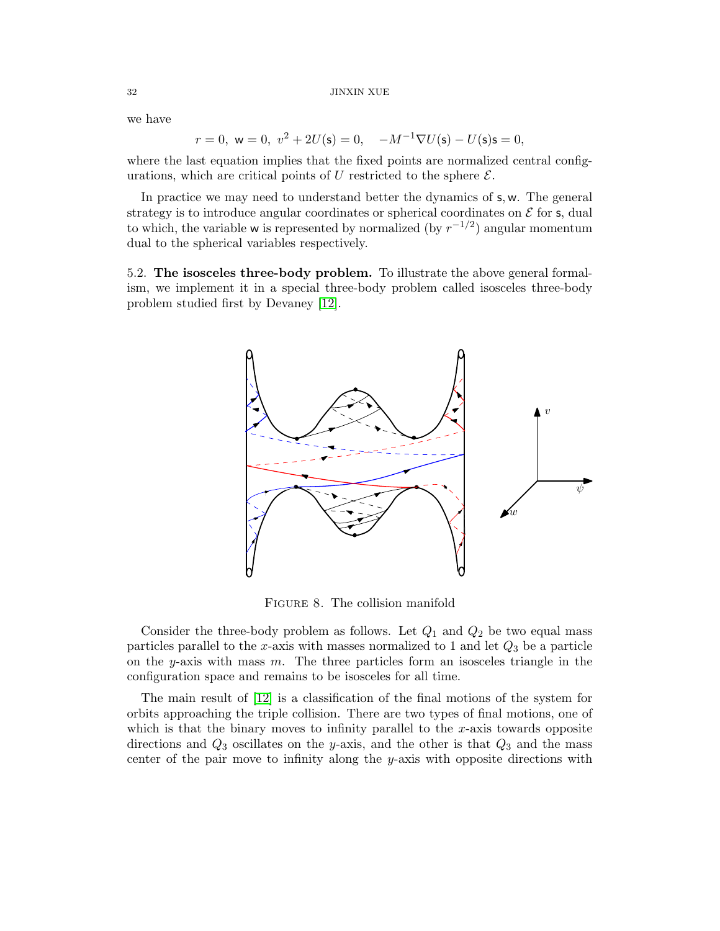#### $_{\rm 32}$   $_{\rm 32}$   $_{\rm JINXIN}$  XUE

we have

$$
r = 0
$$
,  $w = 0$ ,  $v^2 + 2U(s) = 0$ ,  $-M^{-1}\nabla U(s) - U(s)s = 0$ ,

where the last equation implies that the fixed points are normalized central configurations, which are critical points of U restricted to the sphere  $\mathcal{E}$ .

In practice we may need to understand better the dynamics of  $s, w$ . The general strategy is to introduce angular coordinates or spherical coordinates on  $\mathcal E$  for s, dual to which, the variable w is represented by normalized (by  $r^{-1/2}$ ) angular momentum dual to the spherical variables respectively.

<span id="page-31-0"></span>5.2. The isosceles three-body problem. To illustrate the above general formalism, we implement it in a special three-body problem called isosceles three-body problem studied first by Devaney [\[12\]](#page-44-17).



Figure 8. The collision manifold

Consider the three-body problem as follows. Let  $Q_1$  and  $Q_2$  be two equal mass particles parallel to the x-axis with masses normalized to 1 and let  $Q_3$  be a particle on the y-axis with mass  $m$ . The three particles form an isosceles triangle in the configuration space and remains to be isosceles for all time.

The main result of [\[12\]](#page-44-17) is a classification of the final motions of the system for orbits approaching the triple collision. There are two types of final motions, one of which is that the binary moves to infinity parallel to the  $x$ -axis towards opposite directions and  $Q_3$  oscillates on the y-axis, and the other is that  $Q_3$  and the mass center of the pair move to infinity along the y-axis with opposite directions with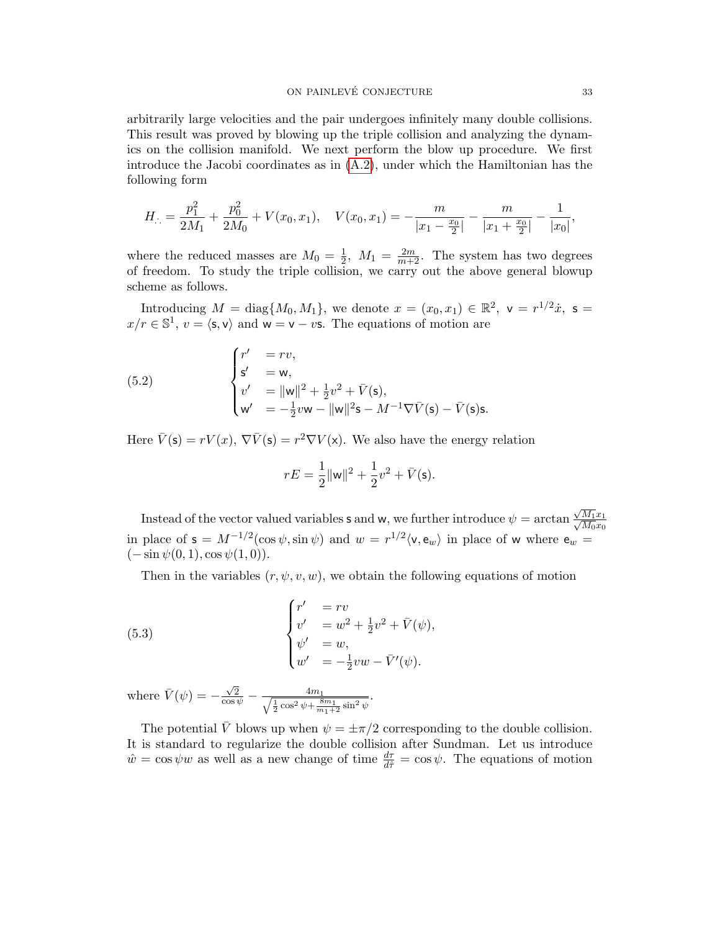arbitrarily large velocities and the pair undergoes infinitely many double collisions. This result was proved by blowing up the triple collision and analyzing the dynamics on the collision manifold. We next perform the blow up procedure. We first introduce the Jacobi coordinates as in  $(A.2)$ , under which the Hamiltonian has the following form

$$
H_{\cdot \cdot} = \frac{p_1^2}{2M_1} + \frac{p_0^2}{2M_0} + V(x_0, x_1), \quad V(x_0, x_1) = -\frac{m}{|x_1 - x_0|} - \frac{m}{|x_1 + x_0|} - \frac{1}{|x_0|},
$$

where the reduced masses are  $M_0 = \frac{1}{2}$  $\frac{1}{2}$ ,  $M_1 = \frac{2m}{m+2}$ . The system has two degrees of freedom. To study the triple collision, we carry out the above general blowup scheme as follows.

Introducing  $M = \text{diag}\{M_0, M_1\}$ , we denote  $x = (x_0, x_1) \in \mathbb{R}^2$ ,  $\mathsf{v} = r^{1/2}\dot{x}$ ,  $\mathsf{s} =$  $x/r \in \mathbb{S}^1$ ,  $v = \langle s, v \rangle$  and  $w = v - v\mathbf{s}$ . The equations of motion are

(5.2) 
$$
\begin{cases} r' = rv, \\ s' = w, \\ v' = ||w||^2 + \frac{1}{2}v^2 + \bar{V}(s), \\ w' = -\frac{1}{2}vw - ||w||^2s - M^{-1}\nabla \bar{V}(s) - \bar{V}(s)s. \end{cases}
$$

Here  $\bar{V}(\mathsf{s}) = rV(x), \nabla \bar{V}(\mathsf{s}) = r^2 \nabla V(\mathsf{x})$ . We also have the energy relation

$$
rE = \frac{1}{2} ||\mathbf{w}||^2 + \frac{1}{2}v^2 + \bar{V}(\mathbf{s}).
$$

Instead of the vector valued variables **s** and w, we further introduce  $\psi = \arctan \theta$ √  $\frac{\sqrt{M_1}x_1}{\sqrt{M_1}}$  $\overline{M_0}x_0$ in place of  $s = M^{-1/2}(\cos \psi, \sin \psi)$  and  $w = r^{1/2}\langle v, e_w \rangle$  in place of w where  $e_w =$  $(-\sin \psi(0, 1), \cos \psi(1, 0)).$ 

<span id="page-32-0"></span>Then in the variables  $(r, \psi, v, w)$ , we obtain the following equations of motion

(5.3) 
$$
\begin{cases} r' &= rv \\ v' &= w^2 + \frac{1}{2}v^2 + \bar{V}(\psi), \\ \psi' &= w, \\ w' &= -\frac{1}{2}vw - \bar{V}'(\psi). \end{cases}
$$

where  $\bar{V}(\psi) = -\frac{\sqrt{2}}{\cos \psi} - \frac{4m_1}{\sqrt{\frac{1}{2}\cos^2 \psi + \frac{8m_1}{m_1+2}\sin^2 \psi}}$ .

The potential  $\bar{V}$  blows up when  $\psi = \pm \pi/2$  corresponding to the double collision. It is standard to regularize the double collision after Sundman. Let us introduce  $\hat{w} = \cos \psi w$  as well as a new change of time  $\frac{d\tau}{d\hat{\tau}} = \cos \psi$ . The equations of motion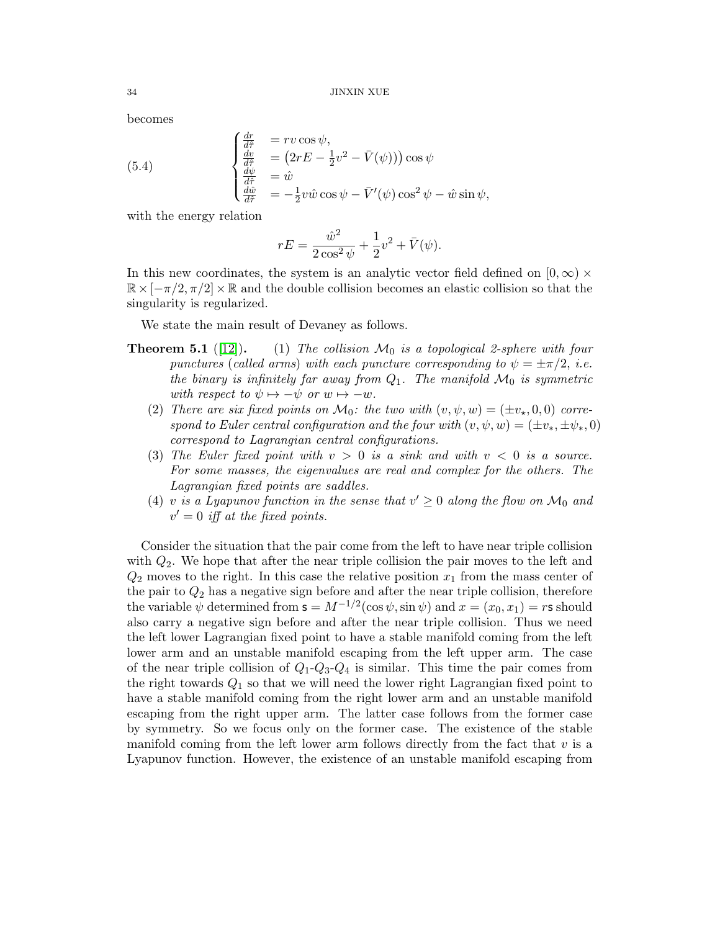becomes

(5.4) 
$$
\begin{cases} \frac{dr}{d\tilde{\tau}} &= rv \cos \psi, \\ \frac{dr}{d\tilde{\tau}} &= (2rE - \frac{1}{2}v^2 - \bar{V}(\psi))) \cos \psi \\ \frac{d\psi}{d\tilde{\tau}} &= \hat{w} \\ \frac{d\hat{w}}{d\tilde{\tau}} &= -\frac{1}{2}v\hat{w} \cos \psi - \bar{V}'(\psi) \cos^2 \psi - \hat{w} \sin \psi, \end{cases}
$$

with the energy relation

<span id="page-33-0"></span>
$$
rE = \frac{\hat{w}^2}{2\cos^2\psi} + \frac{1}{2}v^2 + \bar{V}(\psi).
$$

In this new coordinates, the system is an analytic vector field defined on  $[0, \infty) \times$  $\mathbb{R} \times [-\pi/2, \pi/2] \times \mathbb{R}$  and the double collision becomes an elastic collision so that the singularity is regularized.

We state the main result of Devaney as follows.

- **Theorem 5.1** ([\[12\]](#page-44-17)). (1) The collision  $\mathcal{M}_0$  is a topological 2-sphere with four punctures (called arms) with each puncture corresponding to  $\psi = \pm \pi/2$ , *i.e.* the binary is infinitely far away from  $Q_1$ . The manifold  $\mathcal{M}_0$  is symmetric with respect to  $\psi \mapsto -\psi$  or  $w \mapsto -w$ .
	- (2) There are six fixed points on  $\mathcal{M}_0$ : the two with  $(v, \psi, w) = (\pm v_*, 0, 0)$  correspond to Euler central configuration and the four with  $(v, \psi, w) = (\pm v_*, \pm \psi_*, 0)$ correspond to Lagrangian central configurations.
	- (3) The Euler fixed point with  $v > 0$  is a sink and with  $v < 0$  is a source. For some masses, the eigenvalues are real and complex for the others. The Lagrangian fixed points are saddles.
	- (4) v is a Lyapunov function in the sense that  $v' \geq 0$  along the flow on  $\mathcal{M}_0$  and  $v' = 0$  iff at the fixed points.

Consider the situation that the pair come from the left to have near triple collision with  $Q_2$ . We hope that after the near triple collision the pair moves to the left and  $Q_2$  moves to the right. In this case the relative position  $x_1$  from the mass center of the pair to  $Q_2$  has a negative sign before and after the near triple collision, therefore the variable  $\psi$  determined from  $\mathbf{s} = M^{-1/2}(\cos \psi, \sin \psi)$  and  $x = (x_0, x_1) = r\mathbf{s}$  should also carry a negative sign before and after the near triple collision. Thus we need the left lower Lagrangian fixed point to have a stable manifold coming from the left lower arm and an unstable manifold escaping from the left upper arm. The case of the near triple collision of  $Q_1$ - $Q_3$ - $Q_4$  is similar. This time the pair comes from the right towards  $Q_1$  so that we will need the lower right Lagrangian fixed point to have a stable manifold coming from the right lower arm and an unstable manifold escaping from the right upper arm. The latter case follows from the former case by symmetry. So we focus only on the former case. The existence of the stable manifold coming from the left lower arm follows directly from the fact that  $v$  is a Lyapunov function. However, the existence of an unstable manifold escaping from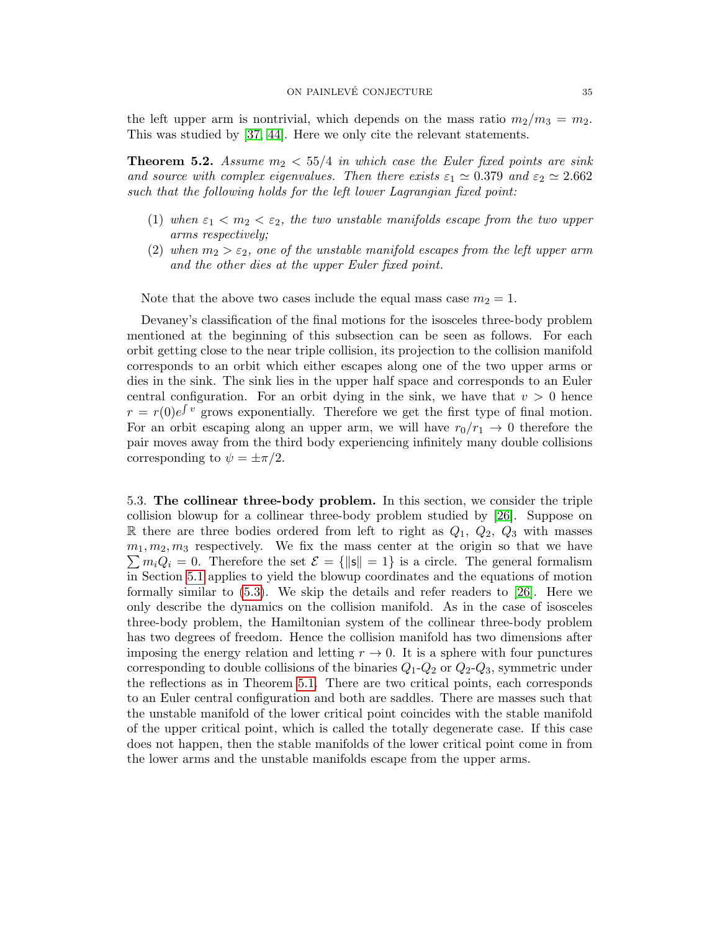the left upper arm is nontrivial, which depends on the mass ratio  $m_2/m_3 = m_2$ . This was studied by [\[37,](#page-45-8) [44\]](#page-45-9). Here we only cite the relevant statements.

**Theorem 5.2.** Assume  $m_2 < 55/4$  in which case the Euler fixed points are sink and source with complex eigenvalues. Then there exists  $\varepsilon_1 \simeq 0.379$  and  $\varepsilon_2 \simeq 2.662$ such that the following holds for the left lower Lagrangian fixed point:

- (1) when  $\varepsilon_1 < m_2 < \varepsilon_2$ , the two unstable manifolds escape from the two upper arms respectively;
- (2) when  $m_2 > \varepsilon_2$ , one of the unstable manifold escapes from the left upper arm and the other dies at the upper Euler fixed point.

Note that the above two cases include the equal mass case  $m_2 = 1$ .

Devaney's classification of the final motions for the isosceles three-body problem mentioned at the beginning of this subsection can be seen as follows. For each orbit getting close to the near triple collision, its projection to the collision manifold corresponds to an orbit which either escapes along one of the two upper arms or dies in the sink. The sink lies in the upper half space and corresponds to an Euler central configuration. For an orbit dying in the sink, we have that  $v > 0$  hence  $r = r(0)e^{\int v}$  grows exponentially. Therefore we get the first type of final motion. For an orbit escaping along an upper arm, we will have  $r_0/r_1 \rightarrow 0$  therefore the pair moves away from the third body experiencing infinitely many double collisions corresponding to  $\psi = \pm \pi/2$ .

<span id="page-34-0"></span>5.3. The collinear three-body problem. In this section, we consider the triple collision blowup for a collinear three-body problem studied by [\[26\]](#page-44-16). Suppose on R there are three bodies ordered from left to right as  $Q_1$ ,  $Q_2$ ,  $Q_3$  with masses  $m_1, m_2, m_3$  respectively. We fix the mass center at the origin so that we have  $\sum m_i Q_i = 0$ . Therefore the set  $\mathcal{E} = {\|\mathbf{s}\| = 1}$  is a circle. The general formalism in Section [5.1](#page-30-0) applies to yield the blowup coordinates and the equations of motion formally similar to [\(5.3\)](#page-32-0). We skip the details and refer readers to [\[26\]](#page-44-16). Here we only describe the dynamics on the collision manifold. As in the case of isosceles three-body problem, the Hamiltonian system of the collinear three-body problem has two degrees of freedom. Hence the collision manifold has two dimensions after imposing the energy relation and letting  $r \to 0$ . It is a sphere with four punctures corresponding to double collisions of the binaries  $Q_1 - Q_2$  or  $Q_2 - Q_3$ , symmetric under the reflections as in Theorem [5.1.](#page-0-0) There are two critical points, each corresponds to an Euler central configuration and both are saddles. There are masses such that the unstable manifold of the lower critical point coincides with the stable manifold of the upper critical point, which is called the totally degenerate case. If this case does not happen, then the stable manifolds of the lower critical point come in from the lower arms and the unstable manifolds escape from the upper arms.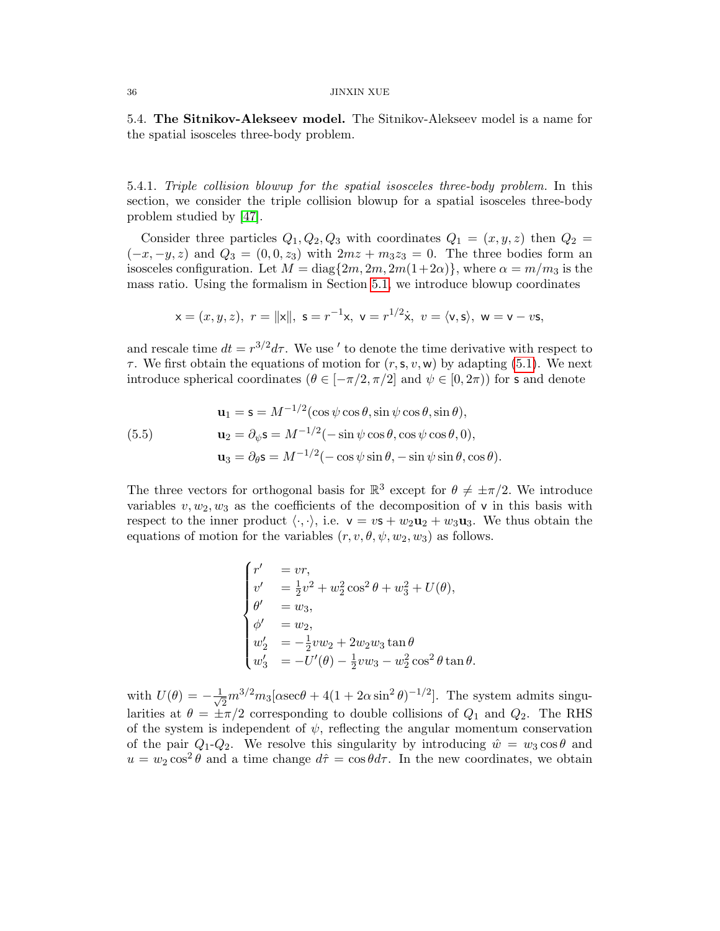#### $_{\rm JINXIN}$  XUE  $_{\rm JINXIN}$

<span id="page-35-0"></span>5.4. The Sitnikov-Alekseev model. The Sitnikov-Alekseev model is a name for the spatial isosceles three-body problem.

5.4.1. Triple collision blowup for the spatial isosceles three-body problem. In this section, we consider the triple collision blowup for a spatial isosceles three-body problem studied by [\[47\]](#page-45-6).

Consider three particles  $Q_1, Q_2, Q_3$  with coordinates  $Q_1 = (x, y, z)$  then  $Q_2 =$  $(-x, -y, z)$  and  $Q_3 = (0, 0, z_3)$  with  $2mz + m_3z_3 = 0$ . The three bodies form an isosceles configuration. Let  $M = \text{diag}\{2m, 2m, 2m(1+2\alpha)\}\$ , where  $\alpha = m/m_3$  is the mass ratio. Using the formalism in Section [5.1,](#page-30-0) we introduce blowup coordinates

$$
x = (x, y, z), r = ||x||, s = r^{-1}x, v = r^{1/2}\dot{x}, v = \langle v, s \rangle, w = v - vs,
$$

and rescale time  $dt = r^{3/2} d\tau$ . We use ' to denote the time derivative with respect to  $\tau$ . We first obtain the equations of motion for  $(r, s, v, w)$  by adapting [\(5.1\)](#page-30-1). We next introduce spherical coordinates ( $\theta \in [-\pi/2, \pi/2]$  and  $\psi \in [0, 2\pi)$ ) for s and denote

(5.5)  
\n
$$
\mathbf{u}_1 = \mathbf{s} = M^{-1/2} (\cos \psi \cos \theta, \sin \psi \cos \theta, \sin \theta),
$$
\n
$$
\mathbf{u}_2 = \partial_{\psi} \mathbf{s} = M^{-1/2} (-\sin \psi \cos \theta, \cos \psi \cos \theta, 0),
$$
\n
$$
\mathbf{u}_3 = \partial_{\theta} \mathbf{s} = M^{-1/2} (-\cos \psi \sin \theta, -\sin \psi \sin \theta, \cos \theta).
$$

The three vectors for orthogonal basis for  $\mathbb{R}^3$  except for  $\theta \neq \pm \pi/2$ . We introduce variables  $v, w_2, w_3$  as the coefficients of the decomposition of v in this basis with respect to the inner product  $\langle \cdot, \cdot \rangle$ , i.e.  $v = v s + w_2 u_2 + w_3 u_3$ . We thus obtain the equations of motion for the variables  $(r, v, \theta, \psi, w_2, w_3)$  as follows.

$$
\begin{cases}\nr' &= vr, \\
v' &= \frac{1}{2}v^2 + w_2^2 \cos^2 \theta + w_3^2 + U(\theta), \\
\theta' &= w_3, \\
\phi' &= w_2, \\
w_2' &= -\frac{1}{2}vw_2 + 2w_2w_3 \tan \theta \\
w_3' &= -U'(\theta) - \frac{1}{2}vw_3 - w_2^2 \cos^2 \theta \tan \theta.\n\end{cases}
$$

with  $U(\theta) = -\frac{1}{\sqrt{2}}$  $\frac{1}{2}m^{3/2}m_3[\alpha \sec\theta + 4(1 + 2\alpha \sin^2\theta)^{-1/2}]$ . The system admits singularities at  $\theta = \pm \pi/2$  corresponding to double collisions of  $Q_1$  and  $Q_2$ . The RHS of the system is independent of  $\psi$ , reflecting the angular momentum conservation of the pair  $Q_1-Q_2$ . We resolve this singularity by introducing  $\hat{w} = w_3 \cos \theta$  and  $u = w_2 \cos^2 \theta$  and a time change  $d\hat{\tau} = \cos \theta d\tau$ . In the new coordinates, we obtain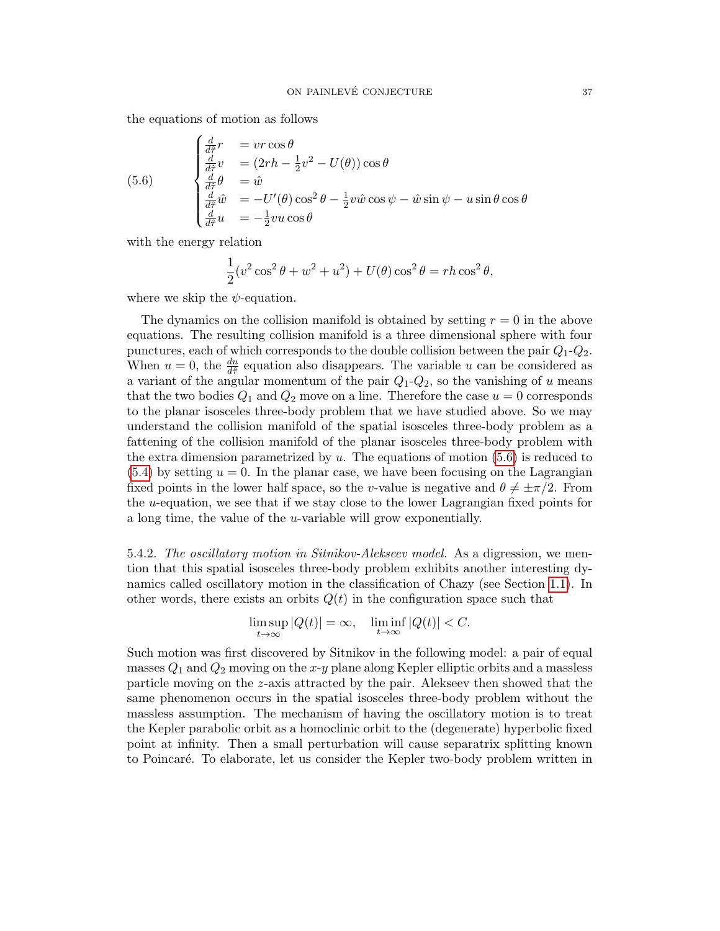the equations of motion as follows

<span id="page-36-0"></span>(5.6) 
$$
\begin{cases} \frac{d}{d\hat{\tau}}r &= vr\cos\theta\\ \frac{d}{d\hat{\tau}}v &= (2rh - \frac{1}{2}v^2 - U(\theta))\cos\theta\\ \frac{d}{d\hat{\tau}}\theta &= \hat{w}\\ \frac{d}{d\hat{\tau}}\hat{w} &= -U'(\theta)\cos^2\theta - \frac{1}{2}v\hat{w}\cos\psi - \hat{w}\sin\psi - u\sin\theta\cos\theta\\ \frac{d}{d\hat{\tau}}u &= -\frac{1}{2}vu\cos\theta \end{cases}
$$

with the energy relation

$$
\frac{1}{2}(v^2\cos^2\theta + w^2 + u^2) + U(\theta)\cos^2\theta = rh\cos^2\theta,
$$

where we skip the  $\psi$ -equation.

The dynamics on the collision manifold is obtained by setting  $r = 0$  in the above equations. The resulting collision manifold is a three dimensional sphere with four punctures, each of which corresponds to the double collision between the pair  $Q_1$ - $Q_2$ . When  $u = 0$ , the  $\frac{du}{d\hat{\tau}}$  equation also disappears. The variable u can be considered as a variant of the angular momentum of the pair  $Q_1 - Q_2$ , so the vanishing of u means that the two bodies  $Q_1$  and  $Q_2$  move on a line. Therefore the case  $u = 0$  corresponds to the planar isosceles three-body problem that we have studied above. So we may understand the collision manifold of the spatial isosceles three-body problem as a fattening of the collision manifold of the planar isosceles three-body problem with the extra dimension parametrized by  $u$ . The equations of motion  $(5.6)$  is reduced to  $(5.4)$  by setting  $u = 0$ . In the planar case, we have been focusing on the Lagrangian fixed points in the lower half space, so the v-value is negative and  $\theta \neq \pm \pi/2$ . From the u-equation, we see that if we stay close to the lower Lagrangian fixed points for a long time, the value of the u-variable will grow exponentially.

5.4.2. The oscillatory motion in Sitnikov-Alekseev model. As a digression, we mention that this spatial isosceles three-body problem exhibits another interesting dynamics called oscillatory motion in the classification of Chazy (see Section [1.1\)](#page-2-0). In other words, there exists an orbits  $Q(t)$  in the configuration space such that

$$
\limsup_{t \to \infty} |Q(t)| = \infty, \quad \liminf_{t \to \infty} |Q(t)| < C.
$$

Such motion was first discovered by Sitnikov in the following model: a pair of equal masses  $Q_1$  and  $Q_2$  moving on the x-y plane along Kepler elliptic orbits and a massless particle moving on the z-axis attracted by the pair. Alekseev then showed that the same phenomenon occurs in the spatial isosceles three-body problem without the massless assumption. The mechanism of having the oscillatory motion is to treat the Kepler parabolic orbit as a homoclinic orbit to the (degenerate) hyperbolic fixed point at infinity. Then a small perturbation will cause separatrix splitting known to Poincar´e. To elaborate, let us consider the Kepler two-body problem written in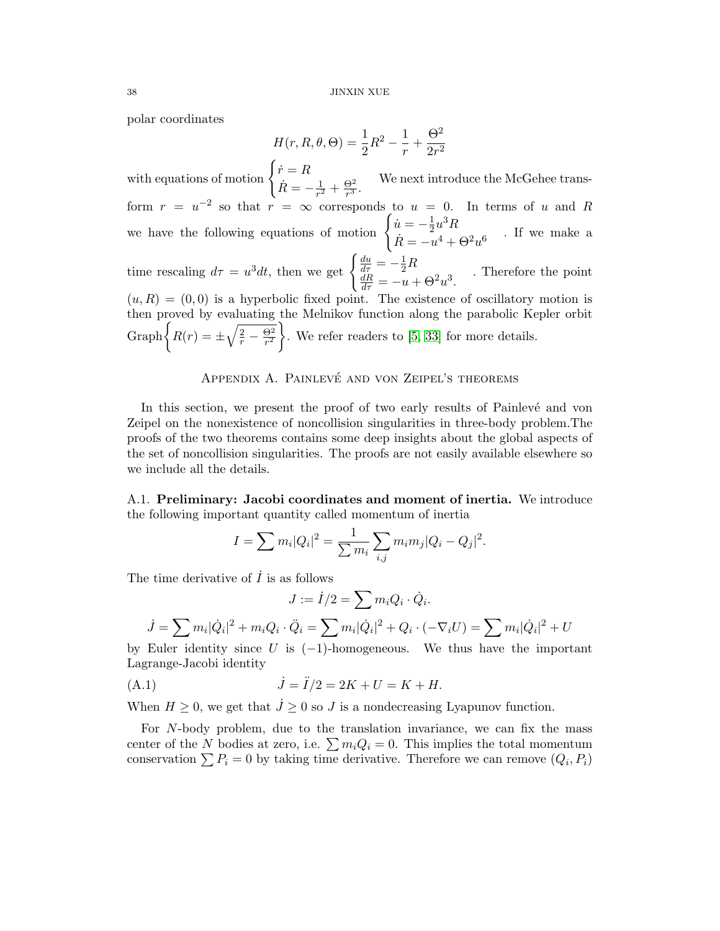polar coordinates

$$
H(r, R, \theta, \Theta) = \frac{1}{2}R^2 - \frac{1}{r} + \frac{\Theta^2}{2r^2}
$$

with equations of motion  $\begin{cases} \dot{r} = R \end{cases}$  $\dot{R} = -\frac{1}{r^2}$  $rac{1}{r^2} + \frac{\Theta^2}{r^3}$  $\frac{\Theta^2}{r^3}$ . We next introduce the McGehee transform  $r = u^{-2}$  so that  $r = \infty$  corresponds to  $u = 0$ . In terms of u and R we have the following equations of motion  $\begin{cases} \dot{u} = -\frac{1}{2} \end{cases}$  $\frac{1}{2}u^3R$  $\dot{R} = -u^4 + \Theta^2 u^6$ . If we make a time rescaling  $d\tau = u^3 dt$ , then we get  $\begin{cases} \frac{du}{d\tau} = -\frac{1}{2}R \\ \frac{dR}{d\tau} = -u + \Theta^2 u^3. \end{cases}$ . Therefore the point  $(u, R) = (0, 0)$  is a hyperbolic fixed point. The existence of oscillatory motion is then proved by evaluating the Melnikov function along the parabolic Kepler orbit Graph  $\left\{ R(r) = \pm \sqrt{\frac{2}{r} - \frac{\Theta^2}{r^2}} \right\}$  $r^2$ . We refer readers to [\[5,](#page-43-4) [33\]](#page-44-18) for more details.

### APPENDIX A. PAINLEVÉ AND VON ZEIPEL'S THEOREMS

<span id="page-37-0"></span>In this section, we present the proof of two early results of Painlevé and von Zeipel on the nonexistence of noncollision singularities in three-body problem.The proofs of the two theorems contains some deep insights about the global aspects of the set of noncollision singularities. The proofs are not easily available elsewhere so we include all the details.

<span id="page-37-1"></span>A.1. Preliminary: Jacobi coordinates and moment of inertia. We introduce the following important quantity called momentum of inertia

$$
I = \sum m_i |Q_i|^2 = \frac{1}{\sum m_i} \sum_{i,j} m_i m_j |Q_i - Q_j|^2.
$$

The time derivative of  $\tilde{I}$  is as follows

$$
J := \dot{I}/2 = \sum m_i Q_i \cdot \dot{Q}_i.
$$

$$
\dot{J} = \sum m_i |\dot{Q}_i|^2 + m_i Q_i \cdot \ddot{Q}_i = \sum m_i |\dot{Q}_i|^2 + Q_i \cdot (-\nabla_i U) = \sum m_i |\dot{Q}_i|^2 + U
$$

by Euler identity since U is  $(-1)$ -homogeneous. We thus have the important Lagrange-Jacobi identity

(A.1) 
$$
\dot{J} = \ddot{I}/2 = 2K + U = K + H.
$$

When  $H \geq 0$ , we get that  $\dot{J} \geq 0$  so J is a nondecreasing Lyapunov function.

For N-body problem, due to the translation invariance, we can fix the mass center of the N bodies at zero, i.e.  $\sum m_iQ_i = 0$ . This implies the total momentum conservation  $\sum P_i = 0$  by taking time derivative. Therefore we can remove  $(Q_i, P_i)$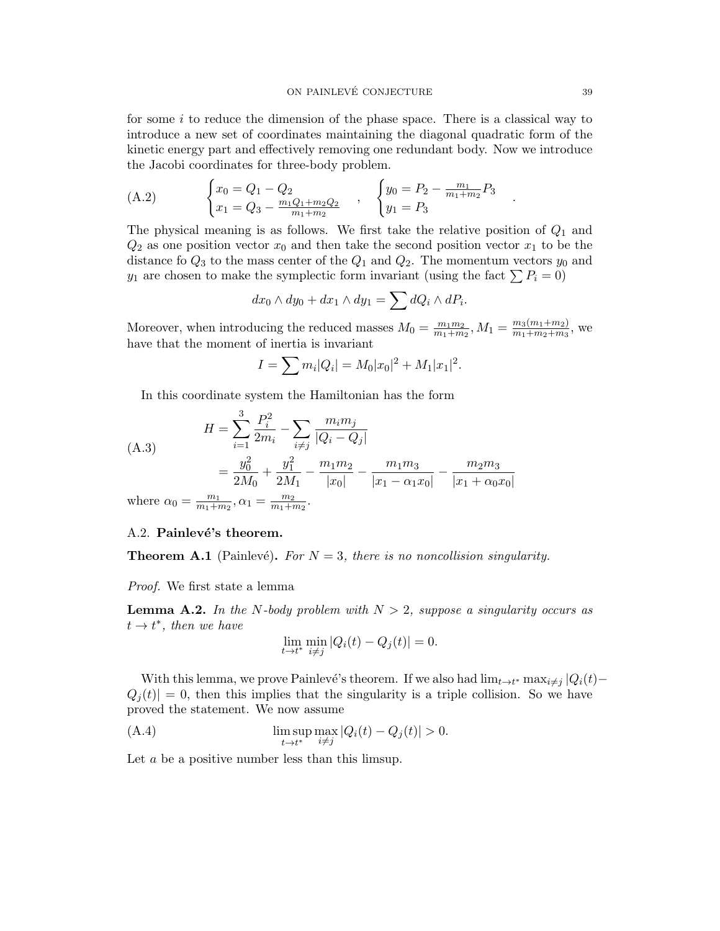for some  $i$  to reduce the dimension of the phase space. There is a classical way to introduce a new set of coordinates maintaining the diagonal quadratic form of the kinetic energy part and effectively removing one redundant body. Now we introduce the Jacobi coordinates for three-body problem.

<span id="page-38-1"></span>(A.2) 
$$
\begin{cases} x_0 = Q_1 - Q_2 \\ x_1 = Q_3 - \frac{m_1 Q_1 + m_2 Q_2}{m_1 + m_2} \end{cases}, \quad \begin{cases} y_0 = P_2 - \frac{m_1}{m_1 + m_2} P_3 \\ y_1 = P_3 \end{cases}
$$

The physical meaning is as follows. We first take the relative position of  $Q_1$  and  $Q_2$  as one position vector  $x_0$  and then take the second position vector  $x_1$  to be the distance fo  $Q_3$  to the mass center of the  $Q_1$  and  $Q_2$ . The momentum vectors  $y_0$  and  $y_1$  are chosen to make the symplectic form invariant (using the fact  $\sum P_i = 0$ )

$$
dx_0 \wedge dy_0 + dx_1 \wedge dy_1 = \sum dQ_i \wedge dP_i.
$$

Moreover, when introducing the reduced masses  $M_0 = \frac{m_1 m_2}{m_1 + m_2}$  $\frac{m_1m_2}{m_1+m_2}, M_1 = \frac{m_3(m_1+m_2)}{m_1+m_2+m_3}$  $\frac{m_3(m_1+m_2)}{m_1+m_2+m_3}$ , we have that the moment of inertia is invariant

$$
I = \sum m_i |Q_i| = M_0 |x_0|^2 + M_1 |x_1|^2.
$$

In this coordinate system the Hamiltonian has the form

(A.3)  
\n
$$
H = \sum_{i=1}^{3} \frac{P_i^2}{2m_i} - \sum_{i \neq j} \frac{m_i m_j}{|Q_i - Q_j|}
$$
\n
$$
= \frac{y_0^2}{2M_0} + \frac{y_1^2}{2M_1} - \frac{m_1 m_2}{|x_0|} - \frac{m_1 m_3}{|x_1 - \alpha_1 x_0|} - \frac{m_2 m_3}{|x_1 + \alpha_0 x_0|}
$$
\nwhere  $\alpha_0 = \frac{m_1}{m_1 + m_2}, \alpha_1 = \frac{m_2}{m_1 + m_3}$ .

where  $\alpha_0 =$  $\frac{m_1}{m_1+m_2}, \alpha_1 =$  $m_1+m_2$ 

### <span id="page-38-0"></span>A.2. Painlevé's theorem.

**Theorem A.1** (Painlevé). For  $N = 3$ , there is no noncollision singularity.

Proof. We first state a lemma

<span id="page-38-2"></span>**Lemma A.2.** In the N-body problem with  $N > 2$ , suppose a singularity occurs as  $t \rightarrow t^*$ , then we have

<span id="page-38-3"></span>
$$
\lim_{t \to t^*} \min_{i \neq j} |Q_i(t) - Q_j(t)| = 0.
$$

With this lemma, we prove Painlevé's theorem. If we also had  $\lim_{t \to t^*} \max_{i \neq j} |Q_i(t) Q_i(t)| = 0$ , then this implies that the singularity is a triple collision. So we have proved the statement. We now assume

(A.4) 
$$
\limsup_{t \to t^*} \max_{i \neq j} |Q_i(t) - Q_j(t)| > 0.
$$

Let a be a positive number less than this limsup.

.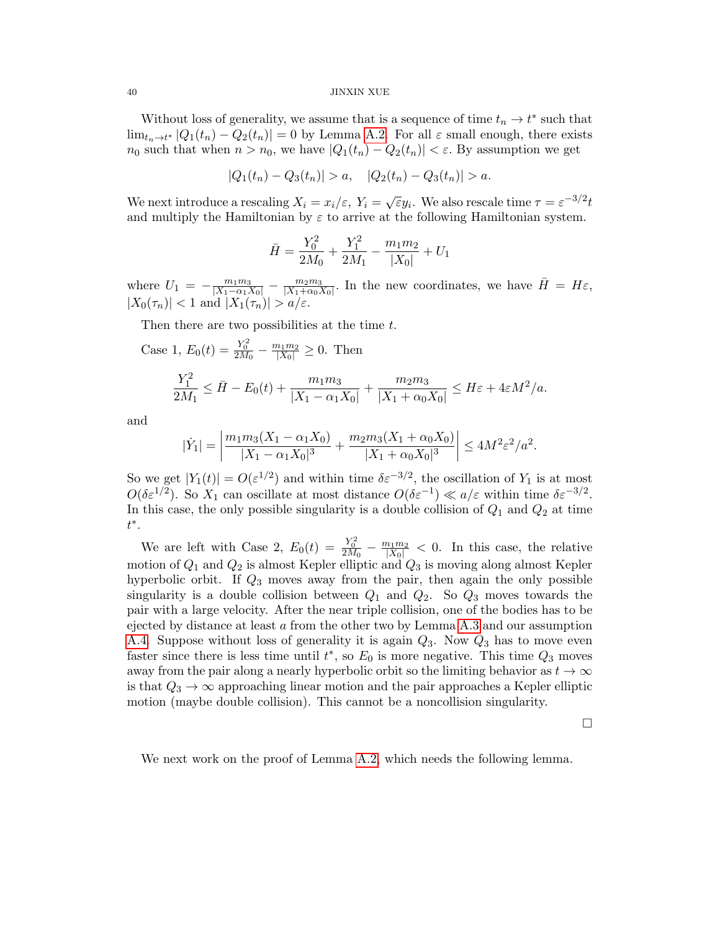Without loss of generality, we assume that is a sequence of time  $t_n \to t^*$  such that  $\lim_{t_n \to t^*} |Q_1(t_n) - Q_2(t_n)| = 0$  by Lemma [A.2.](#page-38-2) For all  $\varepsilon$  small enough, there exists  $n_0$  such that when  $n > n_0$ , we have  $|Q_1(t_n) - Q_2(t_n)| < \varepsilon$ . By assumption we get

$$
|Q_1(t_n)-Q_3(t_n)|>a, \quad |Q_2(t_n)-Q_3(t_n)|>a.
$$

We next introduce a rescaling  $X_i = x_i/\varepsilon$ ,  $Y_i = \sqrt{\varepsilon}y_i$ . We also rescale time  $\tau = \varepsilon^{-3/2}t$ and multiply the Hamiltonian by  $\varepsilon$  to arrive at the following Hamiltonian system.

$$
\bar{H} = \frac{Y_0^2}{2M_0} + \frac{Y_1^2}{2M_1} - \frac{m_1m_2}{|X_0|} + U_1
$$

where  $U_1 = -\frac{m_1 m_3}{|X_1 - \alpha_1 X_0|} - \frac{m_2 m_3}{|X_1 + \alpha_0 X}$  $\frac{m_2 m_3}{|X_1+\alpha_0 X_0|}$ . In the new coordinates, we have  $\bar{H} = H\varepsilon$ ,  $|X_0(\tau_n)| < 1$  and  $|X_1(\tau_n)| > a/\varepsilon$ .

Then there are two possibilities at the time t.

Case 1, 
$$
E_0(t) = \frac{Y_0^2}{2M_0} - \frac{m_1 m_2}{|X_0|} \ge 0
$$
. Then  
\n
$$
\frac{Y_1^2}{2M_1} \le \bar{H} - E_0(t) + \frac{m_1 m_3}{|X_1 - \alpha_1 X_0|} + \frac{m_2 m_3}{|X_1 + \alpha_0 X_0|} \le H\varepsilon + 4\varepsilon M^2/a.
$$

and

$$
|\dot{Y}_1| = \left| \frac{m_1 m_3 (X_1 - \alpha_1 X_0)}{|X_1 - \alpha_1 X_0|^3} + \frac{m_2 m_3 (X_1 + \alpha_0 X_0)}{|X_1 + \alpha_0 X_0|^3} \right| \le 4M^2 \varepsilon^2 / a^2.
$$

So we get  $|Y_1(t)| = O(\varepsilon^{1/2})$  and within time  $\delta \varepsilon^{-3/2}$ , the oscillation of  $Y_1$  is at most  $O(\delta \varepsilon^{1/2})$ . So  $X_1$  can oscillate at most distance  $O(\delta \varepsilon^{-1}) \ll a/\varepsilon$  within time  $\delta \varepsilon^{-3/2}$ . In this case, the only possible singularity is a double collision of  $Q_1$  and  $Q_2$  at time t ∗ .

We are left with Case 2,  $E_0(t) = \frac{Y_0^2}{2M_0} - \frac{m_1m_2}{|X_0|} < 0$ . In this case, the relative motion of  $Q_1$  and  $Q_2$  is almost Kepler elliptic and  $Q_3$  is moving along almost Kepler hyperbolic orbit. If  $Q_3$  moves away from the pair, then again the only possible singularity is a double collision between  $Q_1$  and  $Q_2$ . So  $Q_3$  moves towards the pair with a large velocity. After the near triple collision, one of the bodies has to be ejected by distance at least a from the other two by Lemma [A.3](#page-40-1) and our assumption [A.4.](#page-38-3) Suppose without loss of generality it is again  $Q_3$ . Now  $Q_3$  has to move even faster since there is less time until  $t^*$ , so  $E_0$  is more negative. This time  $Q_3$  moves away from the pair along a nearly hyperbolic orbit so the limiting behavior as  $t \to \infty$ is that  $Q_3 \rightarrow \infty$  approaching linear motion and the pair approaches a Kepler elliptic motion (maybe double collision). This cannot be a noncollision singularity.

 $\Box$ 

We next work on the proof of Lemma [A.2,](#page-38-2) which needs the following lemma.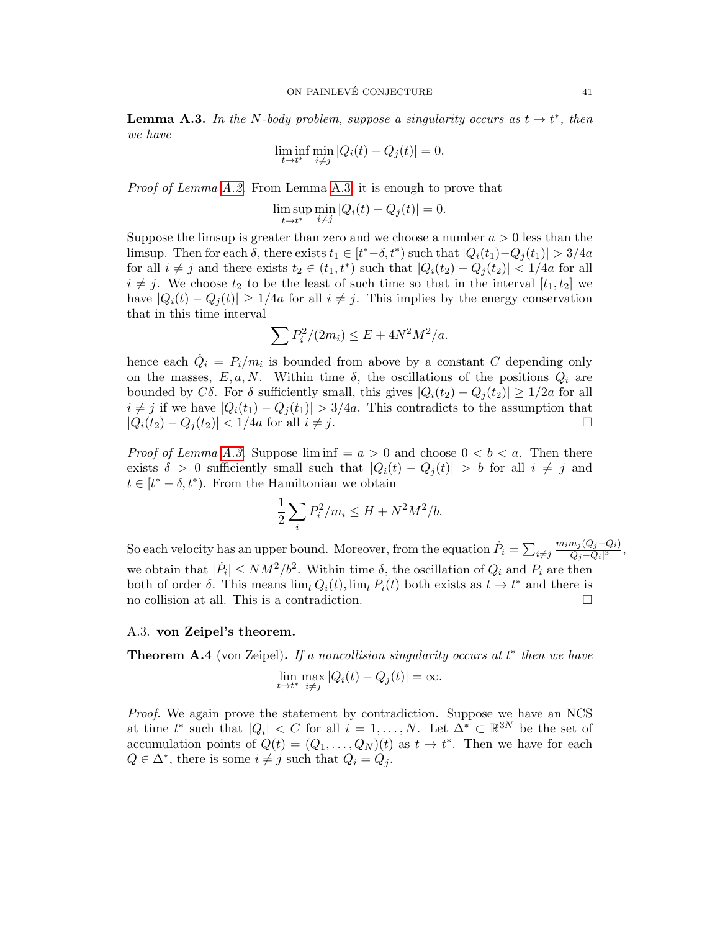<span id="page-40-1"></span>**Lemma A.3.** In the N-body problem, suppose a singularity occurs as  $t \to t^*$ , then we have

$$
\liminf_{t \to t^*} \min_{i \neq j} |Q_i(t) - Q_j(t)| = 0.
$$

*Proof of Lemma [A.2.](#page-38-2)* From Lemma [A.3,](#page-40-1) it is enough to prove that

$$
\limsup_{t \to t^*} \min_{i \neq j} |Q_i(t) - Q_j(t)| = 0.
$$

Suppose the limsup is greater than zero and we choose a number  $a > 0$  less than the limsup. Then for each  $\delta$ , there exists  $t_1 \in [t^*-\delta, t^*)$  such that  $|Q_i(t_1) - Q_j(t_1)| > 3/4a$ for all  $i \neq j$  and there exists  $t_2 \in (t_1, t^*)$  such that  $|Q_i(t_2) - Q_j(t_2)| < 1/4a$  for all  $i \neq j$ . We choose  $t_2$  to be the least of such time so that in the interval  $[t_1, t_2]$  we have  $|Q_i(t) - Q_j(t)| \ge 1/4a$  for all  $i \ne j$ . This implies by the energy conservation that in this time interval

$$
\sum P_i^2/(2m_i) \le E + 4N^2M^2/a.
$$

hence each  $\dot{Q}_i = P_i/m_i$  is bounded from above by a constant C depending only on the masses,  $E, a, N$ . Within time  $\delta$ , the oscillations of the positions  $Q_i$  are bounded by C $\delta$ . For  $\delta$  sufficiently small, this gives  $|Q_i(t_2) - Q_j(t_2)| \geq 1/2a$  for all  $i \neq j$  if we have  $|Q_i(t_1) - Q_j(t_1)| > 3/4a$ . This contradicts to the assumption that  $|Q_i(t_2) - Q_i(t_2)| < 1/4a$  for all  $i \neq j$ .

*Proof of Lemma [A.3.](#page-40-1)* Suppose  $\liminf = a > 0$  and choose  $0 < b < a$ . Then there exists  $\delta > 0$  sufficiently small such that  $|Q_i(t) - Q_j(t)| > b$  for all  $i \neq j$  and  $t \in [t^* - \delta, t^*]$ . From the Hamiltonian we obtain

$$
\frac{1}{2}\sum_{i}P_{i}^{2}/m_{i} \leq H + N^{2}M^{2}/b.
$$

So each velocity has an upper bound. Moreover, from the equation  $\dot{P}_i = \sum_{i \neq j}$  $m_i m_j (Q_j - Q_i)$  $\frac{m_j(Q_j-Q_i)}{|Q_j-Q_i|^3},$ we obtain that  $|\dot{P}_i| \le NM^2/b^2$ . Within time  $\delta$ , the oscillation of  $Q_i$  and  $P_i$  are then both of order  $\delta$ . This means  $\lim_{t} Q_i(t)$ ,  $\lim_{t} P_i(t)$  both exists as  $t \to t^*$  and there is no collision at all. This is a contradiction.

#### <span id="page-40-0"></span>A.3. von Zeipel's theorem.

**Theorem A.4** (von Zeipel). If a noncollision singularity occurs at  $t^*$  then we have

$$
\lim_{t \to t^*} \max_{i \neq j} |Q_i(t) - Q_j(t)| = \infty.
$$

Proof. We again prove the statement by contradiction. Suppose we have an NCS at time  $t^*$  such that  $|Q_i| < C$  for all  $i = 1, ..., N$ . Let  $\Delta^* \subset \mathbb{R}^{3N}$  be the set of accumulation points of  $Q(t) = (Q_1, \ldots, Q_N)(t)$  as  $t \to t^*$ . Then we have for each  $Q \in \Delta^*$ , there is some  $i \neq j$  such that  $Q_i = Q_j$ .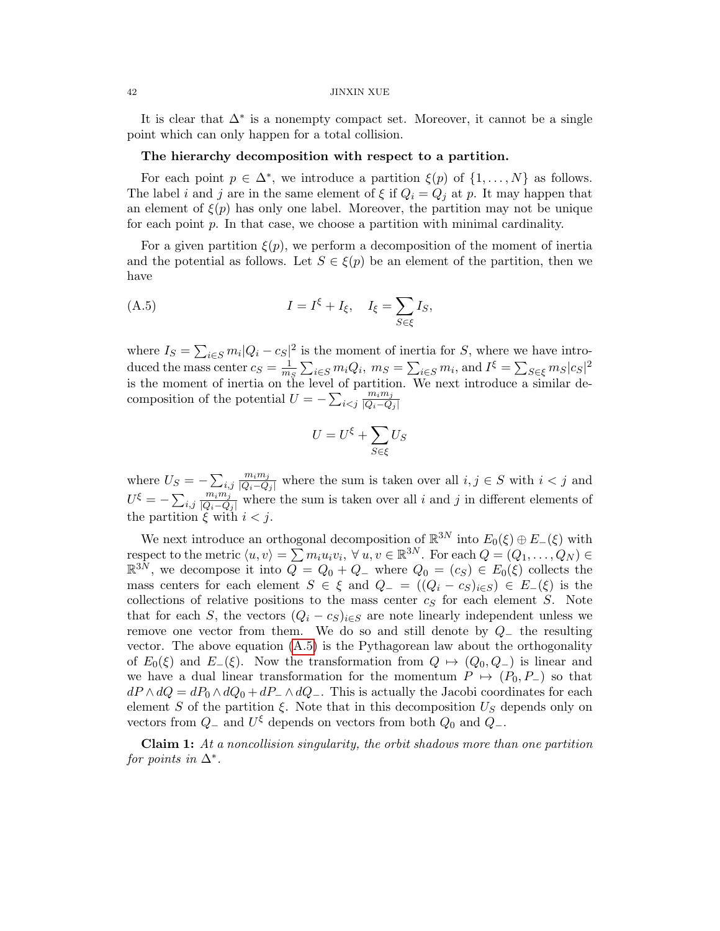It is clear that  $\Delta^*$  is a nonempty compact set. Moreover, it cannot be a single point which can only happen for a total collision.

### The hierarchy decomposition with respect to a partition.

For each point  $p \in \Delta^*$ , we introduce a partition  $\xi(p)$  of  $\{1, \ldots, N\}$  as follows. The label i and j are in the same element of  $\xi$  if  $Q_i = Q_j$  at p. It may happen that an element of  $\xi(p)$  has only one label. Moreover, the partition may not be unique for each point  $p$ . In that case, we choose a partition with minimal cardinality.

For a given partition  $\xi(p)$ , we perform a decomposition of the moment of inertia and the potential as follows. Let  $S \in \mathcal{E}(p)$  be an element of the partition, then we have

(A.5) 
$$
I = I^{\xi} + I_{\xi}, \quad I_{\xi} = \sum_{S \in \xi} I_S,
$$

where  $I_S = \sum_{i \in S} m_i |Q_i - c_S|^2$  is the moment of inertia for S, where we have introduced the mass center  $c_S = \frac{1}{m}$  $\frac{1}{m_S} \sum_{i \in S} m_i Q_i$ ,  $m_S = \sum_{i \in S} m_i$ , and  $I^{\xi} = \sum_{S \in \xi} m_S |c_S|^2$ is the moment of inertia on the level of partition. We next introduce a similar decomposition of the potential  $U = -\sum_{i \leq j}$  $m_i m_j$  $|Q_i-Q_j|$ 

<span id="page-41-0"></span>
$$
U=U^\xi+\sum_{S\in\xi}U_S
$$

where  $U_S = -\sum_{i,j}$  $\frac{m_i m_j}{|Q_i - Q_j|}$  where the sum is taken over all  $i, j \in S$  with  $i < j$  and  $U^\xi = -\sum_{i,j}$  $\frac{m_i m_j}{|Q_i - Q_j|}$  where the sum is taken over all i and j in different elements of the partition  $\xi$  with  $i < j$ .

We next introduce an orthogonal decomposition of  $\mathbb{R}^{3N}$  into  $E_0(\xi) \oplus E_-(\xi)$  with respect to the metric  $\langle u, v \rangle = \sum m_i u_i v_i, \forall u, v \in \mathbb{R}^{3N}$ . For each  $Q = (Q_1, \ldots, Q_N) \in$  $\mathbb{R}^{3N}$ , we decompose it into  $\overline{Q} = Q_0 + Q_-$  where  $Q_0 = (c_S) \in E_0(\xi)$  collects the mass centers for each element  $S \in \xi$  and  $Q_{-} = ((Q_i - c_S)_{i \in S}) \in E_{-}(\xi)$  is the collections of relative positions to the mass center  $c_S$  for each element S. Note that for each S, the vectors  $(Q_i - c_S)_{i \in S}$  are note linearly independent unless we remove one vector from them. We do so and still denote by  $Q_{-}$  the resulting vector. The above equation  $(A.5)$  is the Pythagorean law about the orthogonality of  $E_0(\xi)$  and  $E_-(\xi)$ . Now the transformation from  $Q \mapsto (Q_0, Q_-)$  is linear and we have a dual linear transformation for the momentum  $P \mapsto (P_0, P_-)$  so that  $dP \wedge dQ = dP_0 \wedge dQ_0 + dP_-\wedge dQ_-.$  This is actually the Jacobi coordinates for each element S of the partition  $\xi$ . Note that in this decomposition  $U<sub>S</sub>$  depends only on vectors from  $Q_-\$  and  $U^{\xi}$  depends on vectors from both  $Q_0$  and  $Q_-\$ .

Claim 1: At a noncollision singularity, the orbit shadows more than one partition for points in  $\Delta^*$ .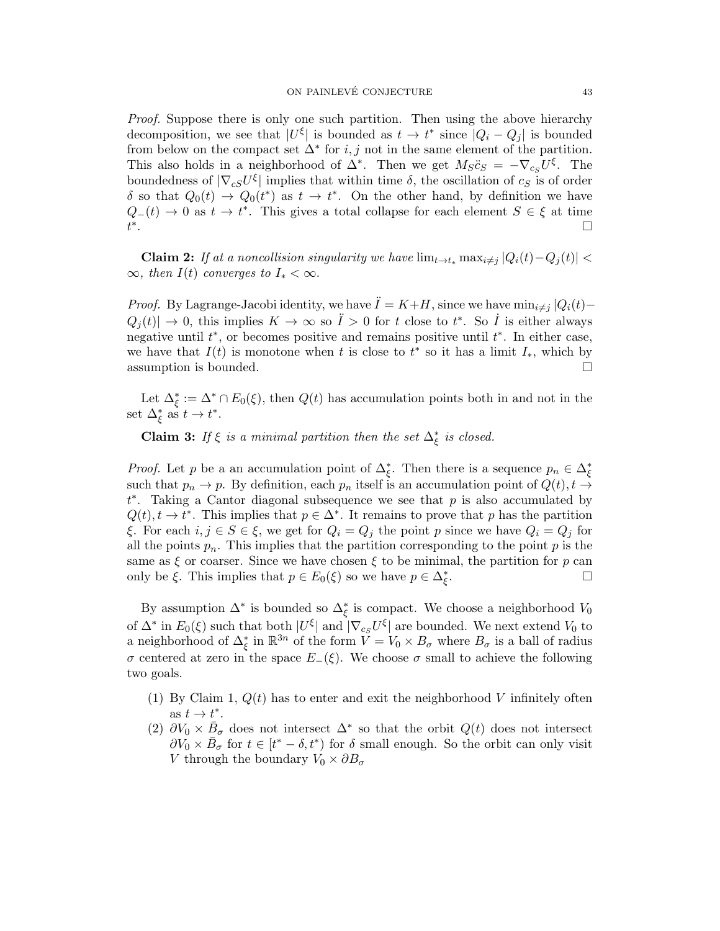Proof. Suppose there is only one such partition. Then using the above hierarchy decomposition, we see that  $|U^{\xi}|$  is bounded as  $t \to t^*$  since  $|Q_i - Q_j|$  is bounded from below on the compact set  $\Delta^*$  for  $i, j$  not in the same element of the partition. This also holds in a neighborhood of  $\Delta^*$ . Then we get  $M_S \ddot{c}_S = -\nabla_{c_S} U^{\xi}$ . The boundedness of  $|\nabla_{cS}U^{\xi}|$  implies that within time  $\delta$ , the oscillation of  $c_S$  is of order δ so that  $Q_0(t) \to Q_0(t^*)$  as  $t \to t^*$ . On the other hand, by definition we have  $Q_-(t) \to 0$  as  $t \to t^*$ . This gives a total collapse for each element  $S \in \xi$  at time t ∗ . In the contract of the contract of the contract of the contract of the contract of the contract of the contract of

**Claim 2:** If at a noncollision singularity we have  $\lim_{t \to t_*} \max_{i \neq j} |Q_i(t) - Q_j(t)|$  <  $\infty$ , then  $I(t)$  converges to  $I_* < \infty$ .

*Proof.* By Lagrange-Jacobi identity, we have  $\ddot{I} = K+H$ , since we have  $\min_{i \neq j} |Q_i(t) Q_j(t) \to 0$ , this implies  $K \to \infty$  so  $\ddot{I} > 0$  for t close to  $t^*$ . So  $\dot{I}$  is either always negative until  $t^*$ , or becomes positive and remains positive until  $t^*$ . In either case, we have that  $I(t)$  is monotone when t is close to  $t^*$  so it has a limit  $I_*,$  which by assumption is bounded.  $\square$ 

Let  $\Delta_{\xi}^* := \Delta^* \cap E_0(\xi)$ , then  $Q(t)$  has accumulation points both in and not in the set  $\Delta_{\xi}^*$  as  $t \to t^*$ .

**Claim 3:** If  $\xi$  is a minimal partition then the set  $\Delta_{\xi}^{*}$  is closed.

*Proof.* Let p be a an accumulation point of  $\Delta_{\xi}^*$ . Then there is a sequence  $p_n \in \Delta_{\xi}^*$ such that  $p_n \to p$ . By definition, each  $p_n$  itself is an accumulation point of  $Q(t), t \to$  $t^*$ . Taking a Cantor diagonal subsequence we see that p is also accumulated by  $Q(t), t \to t^*$ . This implies that  $p \in \Delta^*$ . It remains to prove that p has the partition ξ. For each  $i, j \in S \in \xi$ , we get for  $Q_i = Q_j$  the point p since we have  $Q_i = Q_j$  for all the points  $p_n$ . This implies that the partition corresponding to the point p is the same as  $\xi$  or coarser. Since we have chosen  $\xi$  to be minimal, the partition for p can only be  $\xi$ . This implies that  $p \in E_0(\xi)$  so we have  $p \in \Delta_{\xi}^*$ . В последните последните и последните и последните и последните и последните и последните и последните и посл<br>В последните и последните и последните и последните и последните и последните и последните и последните и посл

By assumption  $\Delta^*$  is bounded so  $\Delta_{\xi}^*$  is compact. We choose a neighborhood  $V_0$ of  $\Delta^*$  in  $E_0(\xi)$  such that both  $|U^{\xi}|$  and  $|\nabla_{c_S} U^{\xi}|$  are bounded. We next extend  $V_0$  to a neighborhood of  $\Delta_{\xi}^{*}$  in  $\mathbb{R}^{3n}$  of the form  $\tilde{V} = V_0 \times B_{\sigma}$  where  $B_{\sigma}$  is a ball of radius σ centered at zero in the space  $E_-(\xi)$ . We choose σ small to achieve the following two goals.

- (1) By Claim 1,  $Q(t)$  has to enter and exit the neighborhood V infinitely often as  $t \to t^*$ .
- (2)  $\partial V_0 \times \bar{B}_{\sigma}$  does not intersect  $\Delta^*$  so that the orbit  $Q(t)$  does not intersect  $\partial V_0 \times \bar{B}_{\sigma}$  for  $t \in [t^* - \delta, t^*)$  for  $\delta$  small enough. So the orbit can only visit V through the boundary  $V_0 \times \partial B_\sigma$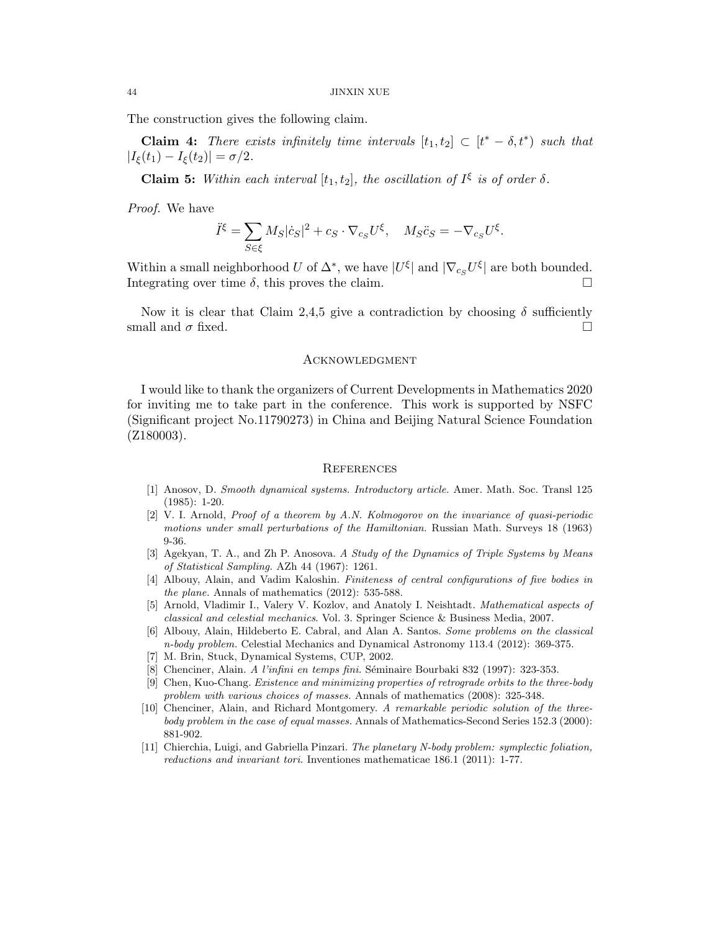The construction gives the following claim.

**Claim 4:** There exists infinitely time intervals  $[t_1, t_2] \subset [t^* - \delta, t^*)$  such that  $|I_{\xi}(t_1) - I_{\xi}(t_2)| = \sigma/2.$ 

**Claim 5:** Within each interval  $[t_1, t_2]$ , the oscillation of  $I^{\xi}$  is of order  $\delta$ .

Proof. We have

$$
\ddot{I}^{\xi} = \sum_{S \in \xi} M_S |\dot{c}_S|^2 + c_S \cdot \nabla_{c_S} U^{\xi}, \quad M_S \ddot{c}_S = -\nabla_{c_S} U^{\xi}.
$$

Within a small neighborhood U of  $\Delta^*$ , we have  $|U^{\xi}|$  and  $|\nabla_{c_S} U^{\xi}|$  are both bounded. Integrating over time  $\delta$ , this proves the claim.

Now it is clear that Claim 2,4,5 give a contradiction by choosing  $\delta$  sufficiently small and  $\sigma$  fixed.

#### <span id="page-43-0"></span>**ACKNOWLEDGMENT**

I would like to thank the organizers of Current Developments in Mathematics 2020 for inviting me to take part in the conference. This work is supported by NSFC (Significant project No.11790273) in China and Beijing Natural Science Foundation (Z180003).

### <span id="page-43-1"></span>**REFERENCES**

- [1] Anosov, D. Smooth dynamical systems. Introductory article. Amer. Math. Soc. Transl 125 (1985): 1-20.
- <span id="page-43-7"></span>[2] V. I. Arnold, Proof of a theorem by A.N. Kolmogorov on the invariance of quasi-periodic motions under small perturbations of the Hamiltonian. Russian Math. Surveys 18 (1963) 9-36.
- <span id="page-43-9"></span>[3] Agekyan, T. A., and Zh P. Anosova. A Study of the Dynamics of Triple Systems by Means of Statistical Sampling. AZh 44 (1967): 1261.
- <span id="page-43-2"></span>[4] Albouy, Alain, and Vadim Kaloshin. Finiteness of central configurations of five bodies in the plane. Annals of mathematics (2012): 535-588.
- <span id="page-43-4"></span>[5] Arnold, Vladimir I., Valery V. Kozlov, and Anatoly I. Neishtadt. Mathematical aspects of classical and celestial mechanics. Vol. 3. Springer Science & Business Media, 2007.
- <span id="page-43-3"></span>[6] Albouy, Alain, Hildeberto E. Cabral, and Alan A. Santos. Some problems on the classical n-body problem. Celestial Mechanics and Dynamical Astronomy 113.4 (2012): 369-375.
- [7] M. Brin, Stuck, Dynamical Systems, CUP, 2002.
- [8] Chenciner, Alain. A l'infini en temps fini. Séminaire Bourbaki 832 (1997): 323-353.
- <span id="page-43-5"></span>[9] Chen, Kuo-Chang. Existence and minimizing properties of retrograde orbits to the three-body problem with various choices of masses. Annals of mathematics (2008): 325-348.
- <span id="page-43-6"></span>[10] Chenciner, Alain, and Richard Montgomery. A remarkable periodic solution of the threebody problem in the case of equal masses. Annals of Mathematics-Second Series 152.3 (2000): 881-902.
- <span id="page-43-8"></span>[11] Chierchia, Luigi, and Gabriella Pinzari. The planetary N-body problem: symplectic foliation, reductions and invariant tori. Inventiones mathematicae 186.1 (2011): 1-77.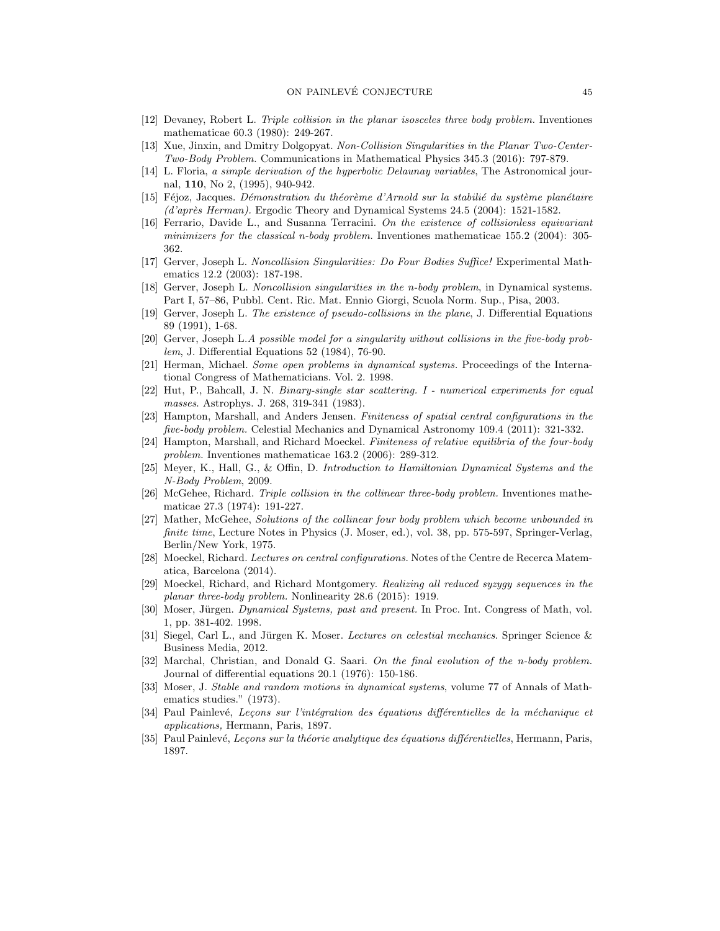- <span id="page-44-17"></span>[12] Devaney, Robert L. Triple collision in the planar isosceles three body problem. Inventiones mathematicae 60.3 (1980): 249-267.
- <span id="page-44-14"></span>[13] Xue, Jinxin, and Dmitry Dolgopyat. Non-Collision Singularities in the Planar Two-Center-Two-Body Problem. Communications in Mathematical Physics 345.3 (2016): 797-879.
- [14] L. Floria, a simple derivation of the hyperbolic Delaunay variables, The Astronomical journal, 110, No 2, (1995), 940-942.
- <span id="page-44-4"></span> $[15]$  Féjoz, Jacques. Démonstration du théorème d'Arnold sur la stabilié du système planétaire  $(d'après Herman)$ . Ergodic Theory and Dynamical Systems 24.5 (2004): 1521-1582.
- <span id="page-44-2"></span>[16] Ferrario, Davide L., and Susanna Terracini. On the existence of collisionless equivariant minimizers for the classical n-body problem. Inventiones mathematicae 155.2 (2004): 305- 362.
- <span id="page-44-15"></span>[17] Gerver, Joseph L. Noncollision Singularities: Do Four Bodies Suffice! Experimental Mathematics 12.2 (2003): 187-198.
- <span id="page-44-13"></span>[18] Gerver, Joseph L. Noncollision singularities in the n-body problem, in Dynamical systems. Part I, 57–86, Pubbl. Cent. Ric. Mat. Ennio Giorgi, Scuola Norm. Sup., Pisa, 2003.
- [19] Gerver, Joseph L. The existence of pseudo-collisions in the plane, J. Differential Equations 89 (1991), 1-68.
- <span id="page-44-12"></span>[20] Gerver, Joseph L.A possible model for a singularity without collisions in the five-body problem, J. Differential Equations 52 (1984), 76-90.
- <span id="page-44-5"></span>[21] Herman, Michael. Some open problems in dynamical systems. Proceedings of the International Congress of Mathematicians. Vol. 2. 1998.
- <span id="page-44-6"></span>[22] Hut, P., Bahcall, J. N. Binary-single star scattering. I - numerical experiments for equal masses. Astrophys. J. 268, 319-341 (1983).
- <span id="page-44-1"></span>[23] Hampton, Marshall, and Anders Jensen. Finiteness of spatial central configurations in the five-body problem. Celestial Mechanics and Dynamical Astronomy 109.4 (2011): 321-332.
- <span id="page-44-0"></span>[24] Hampton, Marshall, and Richard Moeckel. Finiteness of relative equilibria of the four-body problem. Inventiones mathematicae 163.2 (2006): 289-312.
- [25] Meyer, K., Hall, G., & Offin, D. Introduction to Hamiltonian Dynamical Systems and the N-Body Problem, 2009.
- <span id="page-44-16"></span>[26] McGehee, Richard. Triple collision in the collinear three-body problem. Inventiones mathematicae 27.3 (1974): 191-227.
- <span id="page-44-11"></span>[27] Mather, McGehee, Solutions of the collinear four body problem which become unbounded in finite time, Lecture Notes in Physics (J. Moser, ed.), vol. 38, pp. 575-597, Springer-Verlag, Berlin/New York, 1975.
- [28] Moeckel, Richard. Lectures on central configurations. Notes of the Centre de Recerca Matematica, Barcelona (2014).
- <span id="page-44-3"></span>[29] Moeckel, Richard, and Richard Montgomery. Realizing all reduced syzygy sequences in the planar three-body problem. Nonlinearity 28.6 (2015): 1919.
- <span id="page-44-10"></span>[30] Moser, Jürgen. Dynamical Systems, past and present. In Proc. Int. Congress of Math, vol. 1, pp. 381-402. 1998.
- [31] Siegel, Carl L., and Jürgen K. Moser. Lectures on celestial mechanics. Springer Science & Business Media, 2012.
- <span id="page-44-7"></span>[32] Marchal, Christian, and Donald G. Saari. On the final evolution of the n-body problem. Journal of differential equations 20.1 (1976): 150-186.
- <span id="page-44-18"></span>[33] Moser, J. Stable and random motions in dynamical systems, volume 77 of Annals of Mathematics studies." (1973).
- <span id="page-44-8"></span>[34] Paul Painlevé, Leçons sur l'intégration des équations différentielles de la méchanique et applications, Hermann, Paris, 1897.
- <span id="page-44-9"></span>[35] Paul Painlevé, Leçons sur la théorie analytique des équations différentielles, Hermann, Paris, 1897.